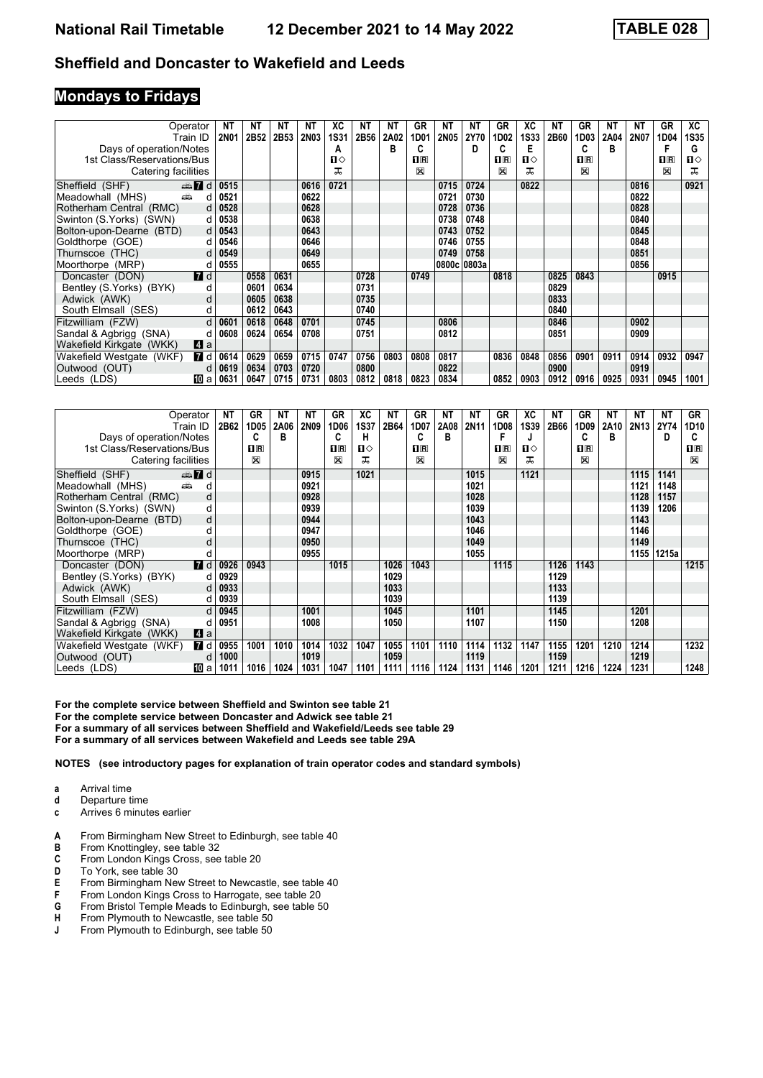### **Mondays to Fridays**

| Operator                        |                  | <b>NT</b>   | ΝT   | ΝT   | ΝT          | ХC          | ΝT   | ΝT   | GR           | ΝT          | ΝT          | GR                      | XC          | NΤ   | GR           | NΤ   | <b>NT</b> | GR          | ХC          |
|---------------------------------|------------------|-------------|------|------|-------------|-------------|------|------|--------------|-------------|-------------|-------------------------|-------------|------|--------------|------|-----------|-------------|-------------|
| Train ID                        |                  | <b>2N01</b> | 2B52 | 2B53 | <b>2N03</b> | <b>1S31</b> | 2B56 | 2A02 | 1D01         | <b>2N05</b> | 2Y70        | 1D02                    | <b>1S33</b> | 2B60 | 1D03         | 2A04 | 2N07      | 1D04        | <b>1S35</b> |
| Days of operation/Notes         |                  |             |      |      |             | A           |      | в    | C            |             | D           | C                       | Е           |      | c            | в    |           |             | G           |
| 1st Class/Reservations/Bus      |                  |             |      |      |             | ்ப          |      |      | $n_{\rm{R}}$ |             |             | $\overline{\mathbf{H}}$ | ப⇔          |      | $n_{\rm{R}}$ |      |           | $1\text{R}$ | ப⇔          |
| Catering facilities             |                  |             |      |      |             | ᅚ           |      |      | X            |             |             | X                       | ᅚ           |      | X            |      |           | X           | ᠼ           |
| $\oplus$ 7 d<br>Sheffield (SHF) |                  | 0515        |      |      | 0616        | 0721        |      |      |              | 0715        | 0724        |                         | 0822        |      |              |      | 0816      |             | 0921        |
| and a<br>Meadowhall (MHS)       | d                | 0521        |      |      | 0622        |             |      |      |              | 0721        | 0730        |                         |             |      |              |      | 0822      |             |             |
| Rotherham Central (RMC)         | d                | 0528        |      |      | 0628        |             |      |      |              | 0728        | 0736        |                         |             |      |              |      | 0828      |             |             |
| Swinton (S.Yorks) (SWN)         | d                | 0538        |      |      | 0638        |             |      |      |              | 0738        | 0748        |                         |             |      |              |      | 0840      |             |             |
| Bolton-upon-Dearne (BTD)        | d                | 0543        |      |      | 0643        |             |      |      |              | 0743        | 0752        |                         |             |      |              |      | 0845      |             |             |
| Goldthorpe (GOE)                | d                | 0546        |      |      | 0646        |             |      |      |              | 0746        | 0755        |                         |             |      |              |      | 0848      |             |             |
| Thurnscoe (THC)                 | d                | 0549        |      |      | 0649        |             |      |      |              | 0749        | 0758        |                         |             |      |              |      | 0851      |             |             |
| Moorthorpe (MRP)                | d                | 0555        |      |      | 0655        |             |      |      |              |             | 0800c 0803a |                         |             |      |              |      | 0856      |             |             |
| Doncaster (DON)                 | $\blacksquare$ d |             | 0558 | 0631 |             |             | 0728 |      | 0749         |             |             | 0818                    |             | 0825 | 0843         |      |           | 0915        |             |
| Bentley (S.Yorks) (BYK)         | d                |             | 0601 | 0634 |             |             | 0731 |      |              |             |             |                         |             | 0829 |              |      |           |             |             |
| Adwick (AWK)                    | d                |             | 0605 | 0638 |             |             | 0735 |      |              |             |             |                         |             | 0833 |              |      |           |             |             |
| South Elmsall (SES)             | d                |             | 0612 | 0643 |             |             | 0740 |      |              |             |             |                         |             | 0840 |              |      |           |             |             |
| Fitzwilliam (FZW)               | d                | 0601        | 0618 | 0648 | 0701        |             | 0745 |      |              | 0806        |             |                         |             | 0846 |              |      | 0902      |             |             |
| Sandal & Agbrigg (SNA)          | d                | 0608        | 0624 | 0654 | 0708        |             | 0751 |      |              | 0812        |             |                         |             | 0851 |              |      | 0909      |             |             |
| Wakefield Kirkgate (WKK)        | Z a              |             |      |      |             |             |      |      |              |             |             |                         |             |      |              |      |           |             |             |
| Wakefield Westgate (WKF)        | <b>7</b> d       | 0614        | 0629 | 0659 | 0715        | 0747        | 0756 | 0803 | 0808         | 0817        |             | 0836                    | 0848        | 0856 | 0901         | 0911 | 0914      | 0932        | 0947        |
| Outwood (OUT)                   | d                | 0619        | 0634 | 0703 | 0720        |             | 0800 |      |              | 0822        |             |                         |             | 0900 |              |      | 0919      |             |             |
| Leeds (LDS)                     | 100 a            | 0631        | 0647 | 0715 | 0731        | 0803        | 0812 | 0818 | 0823         | 0834        |             | 0852                    | 0903        | 0912 | 0916         | 0925 | 0931      | 0945        | 1001        |

| Operator                            | <b>NT</b> | GR             | <b>NT</b> | NΤ          | GR          | ХC           | ΝT   | <b>GR</b>      | ΝT   | ΝT          | GR          | XC   | NΤ   | GR           | ΝT   | NΤ               | ΝT    | GR          |
|-------------------------------------|-----------|----------------|-----------|-------------|-------------|--------------|------|----------------|------|-------------|-------------|------|------|--------------|------|------------------|-------|-------------|
| Train ID                            | 2B62      | 1D05           | 2A06      | <b>2N09</b> | 1D06        | <b>1S37</b>  | 2B64 | 1D07           | 2A08 | <b>2N11</b> | 1D08        | 1S39 | 2B66 | 1D09         | 2A10 | 2N <sub>13</sub> | 2Y74  | 1D10        |
| Days of operation/Notes             |           | C              | в         |             | C           | н            |      |                | в    |             |             |      |      | C            | в    |                  | D     | C           |
| 1st Class/Reservations/Bus          |           | $\mathbf{H}$ R |           |             | $n_{\rm R}$ | $\mathbf{u}$ |      | $\mathbf{H}$ R |      |             | $n_{\rm R}$ | п⇔   |      | $n_{\rm{R}}$ |      |                  |       | $\Pi$ R     |
| Catering facilities                 |           | ⊠              |           |             | ⊠           | ᅚ            |      | X              |      |             | ⊠           | ᅚ    |      | X            |      |                  |       | $\boxtimes$ |
| d <b>M</b><br>Sheffield (SHF)       |           |                |           | 0915        |             | 1021         |      |                |      | 1015        |             | 1121 |      |              |      | 1115             | 1141  |             |
| añ.<br>Meadowhall (MHS)             | d         |                |           | 0921        |             |              |      |                |      | 1021        |             |      |      |              |      | 1121             | 1148  |             |
| Rotherham Central (RMC)             | d         |                |           | 0928        |             |              |      |                |      | 1028        |             |      |      |              |      | 1128             | 1157  |             |
| Swinton (S.Yorks) (SWN)             | d         |                |           | 0939        |             |              |      |                |      | 1039        |             |      |      |              |      | 1139             | 1206  |             |
| Bolton-upon-Dearne (BTD)            | d         |                |           | 0944        |             |              |      |                |      | 1043        |             |      |      |              |      | 1143             |       |             |
| Goldthorpe (GOE)                    |           |                |           | 0947        |             |              |      |                |      | 1046        |             |      |      |              |      | 1146             |       |             |
| Thurnscoe (THC)                     |           |                |           | 0950        |             |              |      |                |      | 1049        |             |      |      |              |      | 1149             |       |             |
| Moorthorpe (MRP)                    |           |                |           | 0955        |             |              |      |                |      | 1055        |             |      |      |              |      | 1155             | 1215a |             |
| $\blacksquare$ d<br>Doncaster (DON) | 0926      | 0943           |           |             | 1015        |              | 1026 | 1043           |      |             | 1115        |      | 1126 | 1143         |      |                  |       | 1215        |
| Bentley (S.Yorks) (BYK)             | 0929      |                |           |             |             |              | 1029 |                |      |             |             |      | 1129 |              |      |                  |       |             |
| Adwick (AWK)                        | 0933<br>d |                |           |             |             |              | 1033 |                |      |             |             |      | 1133 |              |      |                  |       |             |
| South Elmsall (SES)                 | 0939<br>d |                |           |             |             |              | 1039 |                |      |             |             |      | 1139 |              |      |                  |       |             |
| Fitzwilliam (FZW)                   | 0945<br>d |                |           | 1001        |             |              | 1045 |                |      | 1101        |             |      | 1145 |              |      | 1201             |       |             |
| Sandal & Agbrigg (SNA)              | 0951      |                |           | 1008        |             |              | 1050 |                |      | 1107        |             |      | 1150 |              |      | 1208             |       |             |
| Wakefield Kirkgate (WKK)<br>Zi a    |           |                |           |             |             |              |      |                |      |             |             |      |      |              |      |                  |       |             |
| 7 d<br>Wakefield Westgate (WKF)     | 0955      | 1001           | 1010      | 1014        | 1032        | 1047         | 1055 | 1101           | 1110 | 1114        | 1132        | 1147 | 1155 | 1201         | 1210 | 1214             |       | 1232        |
| Outwood (OUT)                       | 1000<br>d |                |           | 1019        |             |              | 1059 |                |      | 1119        |             |      | 1159 |              |      | 1219             |       |             |
| Leeds (LDS)<br>10 a                 | 1011      | 1016           | 1024      | 1031        | 1047        | 1101         | 1111 | 1116           | 1124 | 1131        | 1146        | 1201 | 1211 | 1216         | 1224 | 1231             |       | 1248        |

**For the complete service between Sheffield and Swinton see table 21**

**For the complete service between Doncaster and Adwick see table 21**

**For a summary of all services between Sheffield and Wakefield/Leeds see table 2**

**For a summary of all services between Wakefield and Leeds see table 2A**

- **a** Arrival time
- **d** Departure time
- **c** Arrives 6 minutes earlier
- **A** From Birmingham New Street to Edinburgh, see table 40<br>**B** From Knottingley, see table 32
- **B** From Knottingley, see table 32<br>**C** From London Kings Cross, see
- **C** From London Kings Cross, see table 20<br>**D** To York, see table 30 To York, see table 30
- 
- **E** From Birmingham New Street to Newcastle, see table 40<br>**F** From London Kings Cross to Harrogate, see table 20
- **F** From London Kings Cross to Harrogate, see table 20<br>**G** From Bristol Temple Meads to Edinburgh, see table 5
- **6** From Bristol Temple Meads to Edinburgh, see table 50<br>**H** From Plymouth to Newcastle, see table 50
- **+** From Plymouth to Newcastle, see table 50<br>**J** From Plymouth to Edinburgh, see table 50 From Plymouth to Edinburgh, see table 50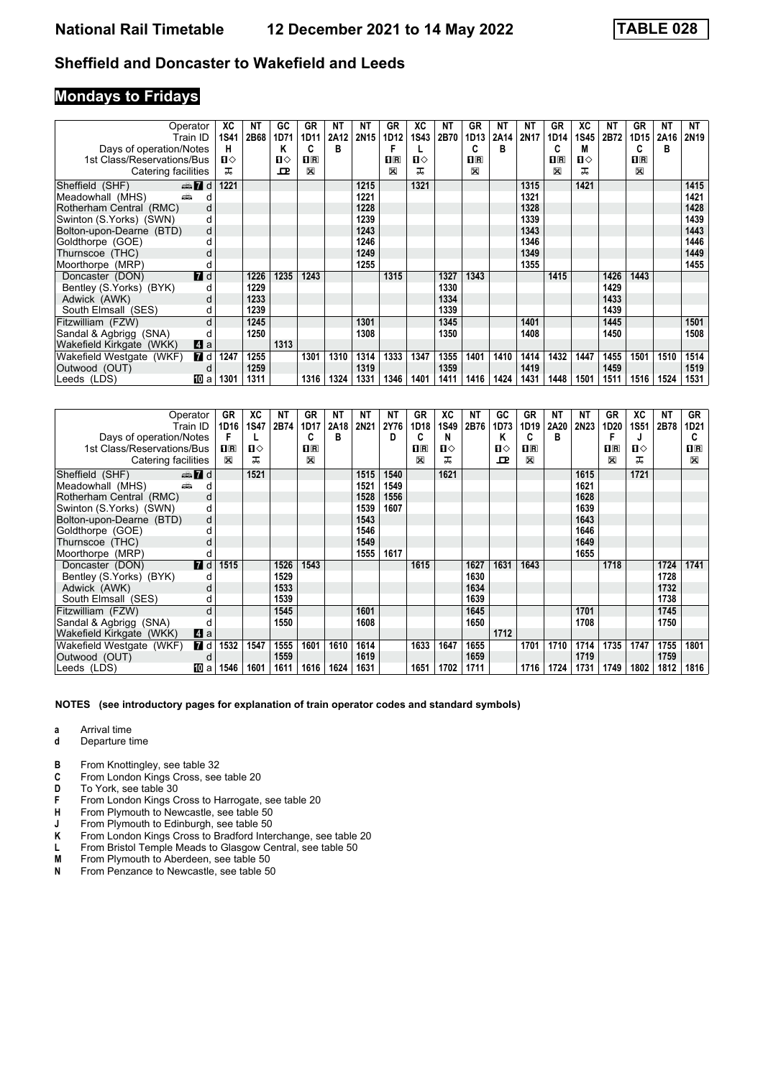# **Mondays to Fridays**

|                            | Operator     | ХC   | NΤ   | GC   | <b>GR</b>      | <b>NT</b> | NΤ   | <b>GR</b>      | ХC           | ΝT   | GR                      | ΝT   | <b>NT</b> | GR             | ХC          | <b>NT</b> | GR             | NΤ   | NT   |
|----------------------------|--------------|------|------|------|----------------|-----------|------|----------------|--------------|------|-------------------------|------|-----------|----------------|-------------|-----------|----------------|------|------|
|                            | Train ID     | 1S41 | 2B68 | 1D71 | 1D11           | 2A12      | 2N15 | 1D12           | 1S43         | 2B70 | 1D13                    | 2A14 | 2N17      | 1D14           | <b>1S45</b> | 2B72      | 1D15           | 2A16 | 2N19 |
| Days of operation/Notes    |              | н    |      | Κ    | C              | B         |      |                |              |      | C                       | в    |           | C              | M           |           | c              | в    |      |
| 1st Class/Reservations/Bus |              | ்ப   |      | п⇔   | $\mathbf{H}$ R |           |      | $\mathbf{H}$ R | $\mathbf{u}$ |      | $\overline{\mathbf{H}}$ |      |           | $\mathbf{H}$ R | п⇔          |           | $\mathbf{H}$ R |      |      |
| Catering facilities        |              | ᠼ    |      | 굔    | $\boxtimes$    |           |      | X              | ᠼ            |      | X                       |      |           | X              |             |           | X              |      |      |
| Sheffield (SHF)            | $\oplus$ 7 d | 1221 |      |      |                |           | 1215 |                | 1321         |      |                         |      | 1315      |                | 1421        |           |                |      | 1415 |
| Meadowhall (MHS)<br>añ.    | d            |      |      |      |                |           | 1221 |                |              |      |                         |      | 1321      |                |             |           |                |      | 1421 |
| Rotherham Central (RMC)    | d            |      |      |      |                |           | 1228 |                |              |      |                         |      | 1328      |                |             |           |                |      | 1428 |
| Swinton (S.Yorks) (SWN)    | d            |      |      |      |                |           | 1239 |                |              |      |                         |      | 1339      |                |             |           |                |      | 1439 |
| Bolton-upon-Dearne (BTD)   | d            |      |      |      |                |           | 1243 |                |              |      |                         |      | 1343      |                |             |           |                |      | 1443 |
| Goldthorpe (GOE)           | d            |      |      |      |                |           | 1246 |                |              |      |                         |      | 1346      |                |             |           |                |      | 1446 |
| Thurnscoe (THC)            | d            |      |      |      |                |           | 1249 |                |              |      |                         |      | 1349      |                |             |           |                |      | 1449 |
| Moorthorpe (MRP)           |              |      |      |      |                |           | 1255 |                |              |      |                         |      | 1355      |                |             |           |                |      | 1455 |
| Doncaster (DON)            | <b>7</b> d   |      | 1226 | 1235 | 1243           |           |      | 1315           |              | 1327 | 1343                    |      |           | 1415           |             | 1426      | 1443           |      |      |
| Bentley (S.Yorks) (BYK)    | d            |      | 1229 |      |                |           |      |                |              | 1330 |                         |      |           |                |             | 1429      |                |      |      |
| Adwick (AWK)               | d            |      | 1233 |      |                |           |      |                |              | 1334 |                         |      |           |                |             | 1433      |                |      |      |
| South Elmsall (SES)        | d            |      | 1239 |      |                |           |      |                |              | 1339 |                         |      |           |                |             | 1439      |                |      |      |
| Fitzwilliam (FZW)          | d            |      | 1245 |      |                |           | 1301 |                |              | 1345 |                         |      | 1401      |                |             | 1445      |                |      | 1501 |
| Sandal & Agbrigg (SNA)     |              |      | 1250 |      |                |           | 1308 |                |              | 1350 |                         |      | 1408      |                |             | 1450      |                |      | 1508 |
| Wakefield Kirkgate (WKK)   | ZI a         |      |      | 1313 |                |           |      |                |              |      |                         |      |           |                |             |           |                |      |      |
| Wakefield Westgate (WKF)   | 7 d          | 1247 | 1255 |      | 1301           | 1310      | 1314 | 1333           | 1347         | 1355 | 1401                    | 1410 | 1414      | 1432           | 1447        | 1455      | 1501           | 1510 | 1514 |
| Outwood (OUT)              | d            |      | 1259 |      |                |           | 1319 |                |              | 1359 |                         |      | 1419      |                |             | 1459      |                |      | 1519 |
| Leeds (LDS)                | [10] a       | 1301 | 1311 |      | 1316           | 1324      | 1331 | 1346           | 1401         | 1411 | 1416                    | 1424 | 1431      | 1448           | 1501        | 1511      | 1516           | 1524 | 1531 |

| Operator                         | GR               | XC          | ΝT   | GR             | ΝT   | NΤ   | ΝT   | GR             | XC          | ΝT   | GC   | GR           | NΤ   | NΤ          | GR               | XC           | <b>NT</b> | GR          |
|----------------------------------|------------------|-------------|------|----------------|------|------|------|----------------|-------------|------|------|--------------|------|-------------|------------------|--------------|-----------|-------------|
| Train ID                         | 1D <sub>16</sub> | <b>1S47</b> | 2B74 | 1D17           | 2A18 | 2N21 | 2Y76 | 1D18           | <b>1S49</b> | 2B76 | 1D73 | 1D19         | 2A20 | <b>2N23</b> | 1D <sub>20</sub> | 1S51         | 2B78      | 1D21        |
| Days of operation/Notes          | F                | L           |      | C              | в    |      | D    |                | N           |      | Κ    | C            | в    |             |                  |              |           | C           |
| 1st Class/Reservations/Bus       | <b>OR</b>        | п⇔          |      | $\mathbf{H}$ R |      |      |      | $\mathbf{H}$ R | п⇔          |      | п⇔   | $\mathbf{H}$ |      |             | $n_{\rm R}$      | $\mathbf{n}$ |           | $n_{\rm R}$ |
| Catering facilities              | X                | ᅚ           |      | X              |      |      |      | X              | ᅚ           |      | ᇁ    | X            |      |             | X                | ᅚ            |           | X           |
| $\oplus$ 7 d<br>Sheffield (SHF)  |                  | 1521        |      |                |      | 1515 | 1540 |                | 1621        |      |      |              |      | 1615        |                  | 1721         |           |             |
| پیش<br>Meadowhall (MHS)          | d                |             |      |                |      | 1521 | 1549 |                |             |      |      |              |      | 1621        |                  |              |           |             |
| Rotherham Central (RMC)          | d                |             |      |                |      | 1528 | 1556 |                |             |      |      |              |      | 1628        |                  |              |           |             |
| Swinton (S.Yorks) (SWN)          | d                |             |      |                |      | 1539 | 1607 |                |             |      |      |              |      | 1639        |                  |              |           |             |
| Bolton-upon-Dearne (BTD)         | d                |             |      |                |      | 1543 |      |                |             |      |      |              |      | 1643        |                  |              |           |             |
| Goldthorpe (GOE)                 | d                |             |      |                |      | 1546 |      |                |             |      |      |              |      | 1646        |                  |              |           |             |
| Thurnscoe (THC)                  | d                |             |      |                |      | 1549 |      |                |             |      |      |              |      | 1649        |                  |              |           |             |
| Moorthorpe (MRP)                 | d                |             |      |                |      | 1555 | 1617 |                |             |      |      |              |      | 1655        |                  |              |           |             |
| <b>7</b> d<br>Doncaster (DON)    | 1515             |             | 1526 | 1543           |      |      |      | 1615           |             | 1627 | 1631 | 1643         |      |             | 1718             |              | 1724      | 1741        |
| Bentley (S.Yorks) (BYK)          | п                |             | 1529 |                |      |      |      |                |             | 1630 |      |              |      |             |                  |              | 1728      |             |
| Adwick (AWK)                     | d                |             | 1533 |                |      |      |      |                |             | 1634 |      |              |      |             |                  |              | 1732      |             |
| South Elmsall (SES)              | d                |             | 1539 |                |      |      |      |                |             | 1639 |      |              |      |             |                  |              | 1738      |             |
| Fitzwilliam (FZW)                | d                |             | 1545 |                |      | 1601 |      |                |             | 1645 |      |              |      | 1701        |                  |              | 1745      |             |
| Sandal & Agbrigg (SNA)           |                  |             | 1550 |                |      | 1608 |      |                |             | 1650 |      |              |      | 1708        |                  |              | 1750      |             |
| Wakefield Kirkgate (WKK)<br>ZI a |                  |             |      |                |      |      |      |                |             |      | 1712 |              |      |             |                  |              |           |             |
| 7 d<br>Wakefield Westgate (WKF)  | 1532             | 1547        | 1555 | 1601           | 1610 | 1614 |      | 1633           | 1647        | 1655 |      | 1701         | 1710 | 1714        | 1735             | 1747         | 1755      | 1801        |
| Outwood (OUT)                    | d                |             | 1559 |                |      | 1619 |      |                |             | 1659 |      |              |      | 1719        |                  |              | 1759      |             |
| Leeds (LDS)<br>100 a             | 1546             | 1601        | 1611 | 1616           | 1624 | 1631 |      | 1651           | 1702        | 1711 |      | 1716         | 1724 | 1731        | 1749             | 1802         | 1812      | 1816        |

- **a** Arrival time<br>**d** Departure t
- **d** Departure time
- **B** From Knottingley, see table 32<br>**C** From London Kings Cross, see
- **C** From London Kings Cross, see table 20<br>**D** To York, see table 30
- To York, see table 30
- **F** From London Kings Cross to Harrogate, see table 20<br>**H** From Plymouth to Newcastle, see table 50
- **+** From Plymouth to Newcastle, see table 50<br>**J** From Plymouth to Edinburgh, see table 50
- **-** From Plymouth to Edinburgh, see table 50<br>**K** From London Kings Cross to Bradford Inter
- **K** From London Kings Cross to Bradford Interchange, see table 20 L From Bristol Temple Meads to Glasgow Central, see table 50
- **L** From Bristol Temple Meads to Glasgow Central, see table 50<br>**M** From Plymouth to Aberdeen, see table 50
- **0** From Plymouth to Aberdeen, see table 50<br>**N** From Penzance to Newcastle, see table 50
- From Penzance to Newcastle, see table 50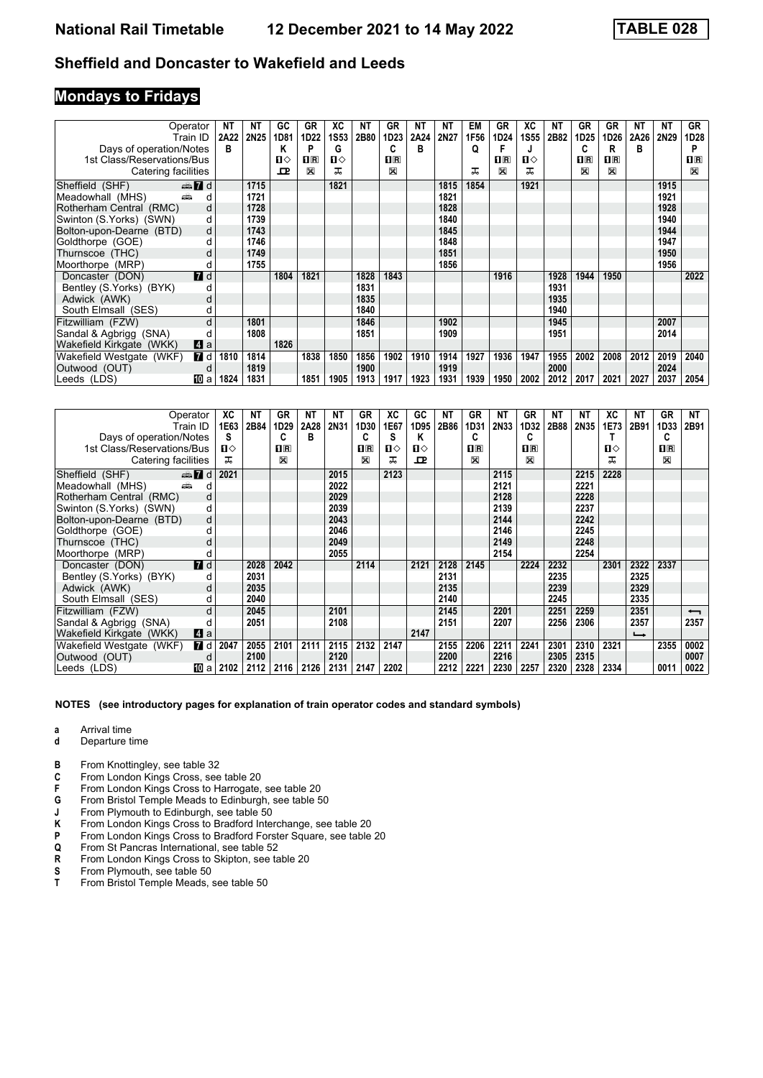### **Mondays to Fridays**

| Operator                                   |                  | <b>NT</b> | ΝT          | GC   | GR             | ХC   | NΤ   | <b>GR</b>    | ΝT   | NΤ   | <b>EM</b> | GR           | ХC   | <b>NT</b> | GR             | GR             | NT   | NΤ   | <b>GR</b>    |
|--------------------------------------------|------------------|-----------|-------------|------|----------------|------|------|--------------|------|------|-----------|--------------|------|-----------|----------------|----------------|------|------|--------------|
| Train ID                                   |                  | 2A22      | <b>2N25</b> | 1D81 | 1D22           | 1S53 | 2B80 | 1D23         | 2A24 | 2N27 | 1F56      | 1D24         | 1S55 | 2B82      | 1D25           | 1D26           | 2A26 | 2N29 | 1D28         |
| Days of operation/Notes                    |                  | в         |             | Κ    | P              | G    |      | C            | в    |      | Q         | F            | J    |           | C              | R              | в    |      | P            |
| 1st Class/Reservations/Bus                 |                  |           |             | п⇔   | $\mathbf{H}$ R | п⇔   |      | $n_{\rm{R}}$ |      |      |           | $\mathbf{H}$ | ப⇔   |           | $\mathbf{H}$ R | $\mathbf{H}$ R |      |      | $\mathbf{H}$ |
| Catering facilities                        |                  |           |             | ᇁ    | ⊠              | ᠼ    |      | X            |      |      | ᅚ         | X            | ᅚ    |           | $\mathbb{X}$   | $\mathbb{X}$   |      |      | $\mathbb{X}$ |
| $\oplus \blacksquare$ d<br>Sheffield (SHF) |                  |           | 1715        |      |                | 1821 |      |              |      | 1815 | 1854      |              | 1921 |           |                |                |      | 1915 |              |
| Meadowhall (MHS)<br>۳Ê                     | d                |           | 1721        |      |                |      |      |              |      | 1821 |           |              |      |           |                |                |      | 1921 |              |
| Rotherham Central (RMC)                    | d                |           | 1728        |      |                |      |      |              |      | 1828 |           |              |      |           |                |                |      | 1928 |              |
| Swinton (S.Yorks) (SWN)                    | d                |           | 1739        |      |                |      |      |              |      | 1840 |           |              |      |           |                |                |      | 1940 |              |
| Bolton-upon-Dearne (BTD)                   | d                |           | 1743        |      |                |      |      |              |      | 1845 |           |              |      |           |                |                |      | 1944 |              |
| Goldthorpe (GOE)                           | d                |           | 1746        |      |                |      |      |              |      | 1848 |           |              |      |           |                |                |      | 1947 |              |
| Thurnscoe (THC)                            | d                |           | 1749        |      |                |      |      |              |      | 1851 |           |              |      |           |                |                |      | 1950 |              |
| Moorthorpe (MRP)                           | d                |           | 1755        |      |                |      |      |              |      | 1856 |           |              |      |           |                |                |      | 1956 |              |
| Doncaster (DON)                            | $\blacksquare$ d |           |             | 1804 | 1821           |      | 1828 | 1843         |      |      |           | 1916         |      | 1928      | 1944           | 1950           |      |      | 2022         |
| Bentley (S.Yorks) (BYK)                    | d                |           |             |      |                |      | 1831 |              |      |      |           |              |      | 1931      |                |                |      |      |              |
| Adwick (AWK)                               | d                |           |             |      |                |      | 1835 |              |      |      |           |              |      | 1935      |                |                |      |      |              |
| South Elmsall (SES)                        | d                |           |             |      |                |      | 1840 |              |      |      |           |              |      | 1940      |                |                |      |      |              |
| Fitzwilliam (FZW)                          | d                |           | 1801        |      |                |      | 1846 |              |      | 1902 |           |              |      | 1945      |                |                |      | 2007 |              |
| Sandal & Agbrigg (SNA)                     | d                |           | 1808        |      |                |      | 1851 |              |      | 1909 |           |              |      | 1951      |                |                |      | 2014 |              |
| Wakefield Kirkgate (WKK)                   | Z1 a             |           |             | 1826 |                |      |      |              |      |      |           |              |      |           |                |                |      |      |              |
| Wakefield Westgate (WKF)                   | 7 d              | 1810      | 1814        |      | 1838           | 1850 | 1856 | 1902         | 1910 | 1914 | 1927      | 1936         | 1947 | 1955      | 2002           | 2008           | 2012 | 2019 | 2040         |
| Outwood (OUT)                              | d                |           | 1819        |      |                |      | 1900 |              |      | 1919 |           |              |      | 2000      |                |                |      | 2024 |              |
| Leeds (LDS)                                | 吅 a              | 1824      | 1831        |      | 1851           | 1905 | 1913 | 1917         | 1923 | 1931 | 1939      | 1950         | 2002 | 2012      | 2017           | 2021           | 2027 | 2037 | 2054         |

| Operator                               | XC   | NΤ   | GR             | NΤ   | NΤ   | GR             | XC   | GC   | NΤ   | GR   | ΝT   | GR      | NΤ   | NΤ   | ХC   | NΤ                       | GR          | NΤ                       |
|----------------------------------------|------|------|----------------|------|------|----------------|------|------|------|------|------|---------|------|------|------|--------------------------|-------------|--------------------------|
| Train ID                               | 1E63 | 2B84 | 1D29           | 2A28 | 2N31 | 1D30           | 1E67 | 1D95 | 2B86 | 1D31 | 2N33 | 1D32    | 2B88 | 2N35 | 1E73 | 2B91                     | 1D33        | 2B91                     |
| Days of operation/Notes                | s    |      | C              | в    |      | С              | S    | Κ    |      | C    |      | c       |      |      |      |                          | C           |                          |
| 1st Class/Reservations/Bus             | п⇔   |      | 1 <sup>R</sup> |      |      | $\mathbf{H}$ R | п⇔   | п⇔   |      | 0 R  |      | $\Pi$ R |      |      | п⇔   |                          | $n_{\rm R}$ |                          |
| Catering facilities                    | ᠼ    |      | ⊠              |      |      | ⊠              | ᅚ    | ᅭ    |      | X    |      | X       |      |      | ㅈ    |                          | $\boxtimes$ |                          |
| Sheffield (SHF)<br>$\oplus$ 7 d        | 2021 |      |                |      | 2015 |                | 2123 |      |      |      | 2115 |         |      | 2215 | 2228 |                          |             |                          |
| پیش<br>Meadowhall (MHS)<br>d           |      |      |                |      | 2022 |                |      |      |      |      | 2121 |         |      | 2221 |      |                          |             |                          |
| Rotherham Central (RMC)<br>d           |      |      |                |      | 2029 |                |      |      |      |      | 2128 |         |      | 2228 |      |                          |             |                          |
| Swinton (S.Yorks) (SWN)<br>d           |      |      |                |      | 2039 |                |      |      |      |      | 2139 |         |      | 2237 |      |                          |             |                          |
| Bolton-upon-Dearne (BTD)<br>d          |      |      |                |      | 2043 |                |      |      |      |      | 2144 |         |      | 2242 |      |                          |             |                          |
| Goldthorpe (GOE)                       |      |      |                |      | 2046 |                |      |      |      |      | 2146 |         |      | 2245 |      |                          |             |                          |
| Thurnscoe (THC)                        |      |      |                |      | 2049 |                |      |      |      |      | 2149 |         |      | 2248 |      |                          |             |                          |
| Moorthorpe (MRP)                       |      |      |                |      | 2055 |                |      |      |      |      | 2154 |         |      | 2254 |      |                          |             |                          |
| $I$ d<br>Doncaster (DON)               |      | 2028 | 2042           |      |      | 2114           |      | 2121 | 2128 | 2145 |      | 2224    | 2232 |      | 2301 | 2322                     | 2337        |                          |
| Bentley (S.Yorks) (BYK)                |      | 2031 |                |      |      |                |      |      | 2131 |      |      |         | 2235 |      |      | 2325                     |             |                          |
| Adwick (AWK)<br>d                      |      | 2035 |                |      |      |                |      |      | 2135 |      |      |         | 2239 |      |      | 2329                     |             |                          |
| South Elmsall (SES)                    |      | 2040 |                |      |      |                |      |      | 2140 |      |      |         | 2245 |      |      | 2335                     |             |                          |
| Fitzwilliam (FZW)<br>d                 |      | 2045 |                |      | 2101 |                |      |      | 2145 |      | 2201 |         | 2251 | 2259 |      | 2351                     |             | $\overline{\phantom{0}}$ |
| Sandal & Agbrigg (SNA)                 |      | 2051 |                |      | 2108 |                |      |      | 2151 |      | 2207 |         | 2256 | 2306 |      | 2357                     |             | 2357                     |
| Zi a<br>Wakefield Kirkgate (WKK)       |      |      |                |      |      |                |      | 2147 |      |      |      |         |      |      |      | $\overline{\phantom{a}}$ |             |                          |
| <b>7</b> d<br>Wakefield Westgate (WKF) | 2047 | 2055 | 2101           | 2111 | 2115 | 2132           | 2147 |      | 2155 | 2206 | 2211 | 2241    | 2301 | 2310 | 2321 |                          | 2355        | 0002                     |
| Outwood (OUT)<br>d                     |      | 2100 |                |      | 2120 |                |      |      | 2200 |      | 2216 |         | 2305 | 2315 |      |                          |             | 0007                     |
| 吅 a<br>Leeds (LDS)                     | 2102 | 2112 | 2116           | 2126 | 2131 | 2147           | 2202 |      | 2212 | 2221 | 2230 | 2257    | 2320 | 2328 | 2334 |                          | 0011        | 0022                     |

### **NOTES (see introductory pages for explanation of train operator codes and standard symbols)**

**a** Arrival time<br>**d** Departure t

- **Departure time**
- **B** From Knottingley, see table 32<br>**C** From London Kings Cross, see
- **C** From London Kings Cross, see table 20<br>**F** From London Kings Cross to Harrogate,
- From London Kings Cross to Harrogate, see table 20
- **6** From Bristol Temple Meads to Edinburgh, see table 50<br>**J** From Plymouth to Edinburgh, see table 50
- **J** From Plymouth to Edinburgh, see table 50<br>**K** From London Kings Cross to Bradford Inte
- **K** From London Kings Cross to Bradford Interchange, see table 20<br>**P** From London Kings Cross to Bradford Forster Square, see table
- **P** From London Kings Cross to Bradford Forster Square, see table 20<br>**Q** From St Pancras International, see table 52
- 
- **4** From St Pancras International, see table 52<br>**R** From London Kings Cross to Skipton, see ta **R** From London Kings Cross to Skipton, see table 20<br>**S** From Plymouth, see table 50
- **6** From Plymouth, see table 50<br>**T** From Bristol Temple Meads.
- From Bristol Temple Meads, see table 50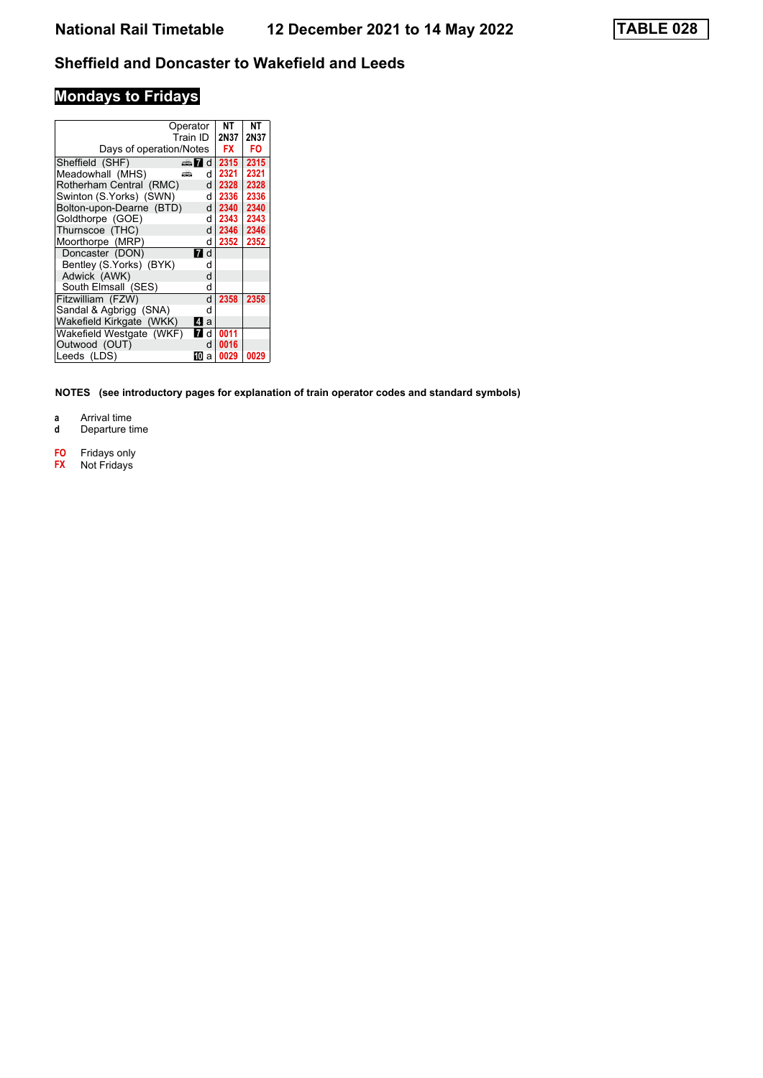# **Mondays to Fridays**

| Days of operation/Notes  | Operator<br>Train ID         | NΤ<br>2N37<br>FX | NΤ<br>2N37<br>FO |
|--------------------------|------------------------------|------------------|------------------|
| Sheffield (SHF)          | d<br>$\oplus$ $\blacksquare$ | 2315             | 2315             |
| Meadowhall (MHS)         | ىتتە<br>d l                  | 2321             | 2321             |
| Rotherham Central (RMC)  | d l                          | 2328             | 2328             |
| Swinton (S.Yorks) (SWN)  | d                            | 2336             | 2336             |
| Bolton-upon-Dearne (BTD) | d                            | 2340             | 2340             |
| Goldthorpe (GOE)         | d                            | 2343             | 2343             |
| Thurnscoe (THC)          | $\mathsf{d}$                 | 2346             | 2346             |
| Moorthorpe (MRP)         | d                            | 2352             | 2352             |
| Doncaster (DON)          | d<br>71                      |                  |                  |
| Bentley (S.Yorks) (BYK)  | d                            |                  |                  |
| Adwick (AWK)             | d                            |                  |                  |
| South Elmsall (SES)      | d                            |                  |                  |
| Fitzwilliam (FZW)        | d                            | 2358             | 2358             |
| Sandal & Agbrigg (SNA)   | d                            |                  |                  |
| Wakefield Kirkgate (WKK) | ZI a                         |                  |                  |
| Wakefield Westgate (WKF) | 7 d                          | 0011             |                  |
| Outwood (OUT)            | d                            | 0016             |                  |
| Leeds (LDS)              | 10<br>a                      | 0029             | 0029             |

**NOTES (see introductory pages for explanation of train operator codes and standard symbols)**

**a** Arrival time<br>**d** Departure t

- **d** Departure time
- **F0** Fridays only<br>**FX** Not Fridays
- **F;** Not Fridays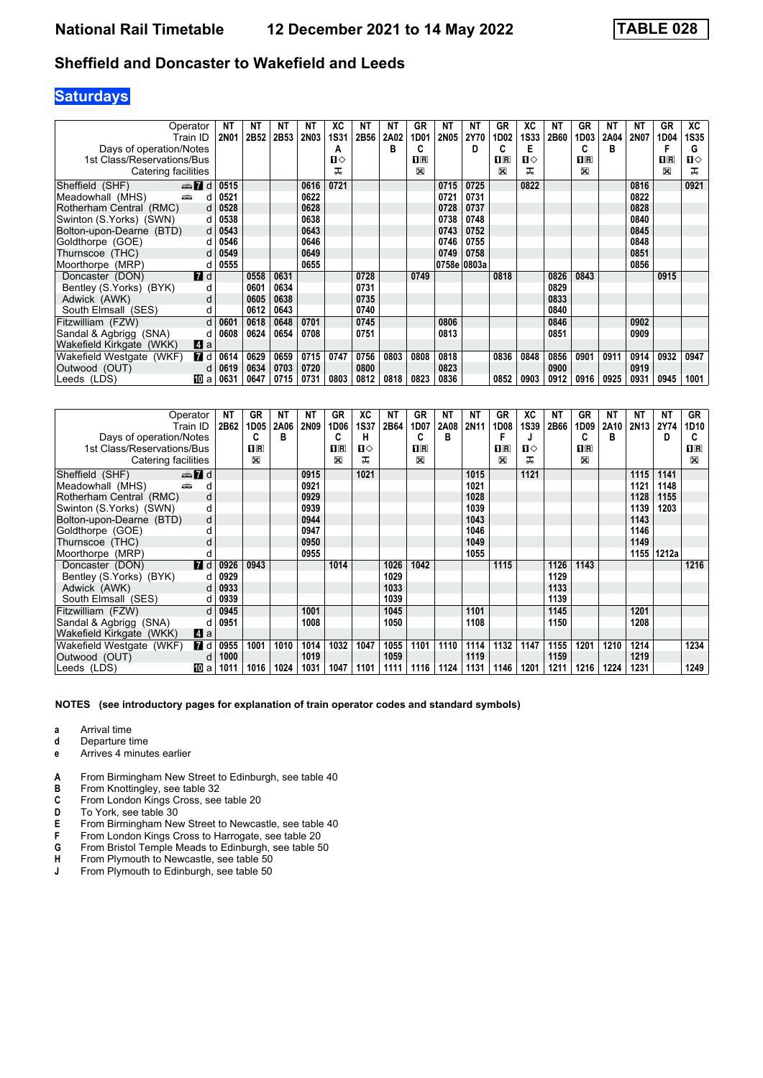# **Saturdays**

|                            | Operator         | NΤ          | NΤ   | NΤ   | NΤ          | ХC          | NΤ   | ΝT   | GR      | ΝT          | ΝT          | GR                      | XC   | NΤ   | GR                      | <b>NT</b> | NΤ   | GR                      | XC           |
|----------------------------|------------------|-------------|------|------|-------------|-------------|------|------|---------|-------------|-------------|-------------------------|------|------|-------------------------|-----------|------|-------------------------|--------------|
|                            | Train ID         | <b>2N01</b> | 2B52 | 2B53 | <b>2N03</b> | <b>1S31</b> | 2B56 | 2A02 | 1D01    | <b>2N05</b> | 2Y70        | 1D02                    | 1S33 | 2B60 | 1D03                    | 2A04      | 2N07 | 1D04                    | 1S35         |
| Days of operation/Notes    |                  |             |      |      |             | А           |      | в    | c       |             | D           | C                       | Е    |      | C                       | B         |      |                         | G            |
| 1st Class/Reservations/Bus |                  |             |      |      |             | Ⅱ♦          |      |      | $n_{R}$ |             |             | $\overline{\mathbf{B}}$ | Ⅱ♦   |      | $\overline{\mathbf{R}}$ |           |      | $\overline{\mathbf{B}}$ | $\mathbf{u}$ |
| Catering facilities        |                  |             |      |      |             | ᅚ           |      |      | X       |             |             | ⊠                       | ᠼ    |      | $\mathbb{X}$            |           |      | $\mathbb{X}$            | ᠼ            |
| Sheffield (SHF)            | $\oplus$ 7 d     | 0515        |      |      | 0616        | 0721        |      |      |         | 0715        | 0725        |                         | 0822 |      |                         |           | 0816 |                         | 0921         |
| Meadowhall (MHS)           | añ,<br>d         | 0521        |      |      | 0622        |             |      |      |         | 0721        | 0731        |                         |      |      |                         |           | 0822 |                         |              |
| Rotherham Central (RMC)    | d                | 0528        |      |      | 0628        |             |      |      |         | 0728        | 0737        |                         |      |      |                         |           | 0828 |                         |              |
| Swinton (S.Yorks) (SWN)    | d                | 0538        |      |      | 0638        |             |      |      |         | 0738        | 0748        |                         |      |      |                         |           | 0840 |                         |              |
| Bolton-upon-Dearne (BTD)   | d                | 0543        |      |      | 0643        |             |      |      |         | 0743        | 0752        |                         |      |      |                         |           | 0845 |                         |              |
| Goldthorpe (GOE)           | d                | 0546        |      |      | 0646        |             |      |      |         | 0746        | 0755        |                         |      |      |                         |           | 0848 |                         |              |
| Thurnscoe (THC)            | d                | 0549        |      |      | 0649        |             |      |      |         | 0749        | 0758        |                         |      |      |                         |           | 0851 |                         |              |
| Moorthorpe (MRP)           | d                | 0555        |      |      | 0655        |             |      |      |         |             | 0758e 0803a |                         |      |      |                         |           | 0856 |                         |              |
| Doncaster (DON)            | <b>7</b> d       |             | 0558 | 0631 |             |             | 0728 |      | 0749    |             |             | 0818                    |      | 0826 | 0843                    |           |      | 0915                    |              |
| Bentley (S.Yorks) (BYK)    | d                |             | 0601 | 0634 |             |             | 0731 |      |         |             |             |                         |      | 0829 |                         |           |      |                         |              |
| Adwick (AWK)               | d                |             | 0605 | 0638 |             |             | 0735 |      |         |             |             |                         |      | 0833 |                         |           |      |                         |              |
| South Elmsall (SES)        | d                |             | 0612 | 0643 |             |             | 0740 |      |         |             |             |                         |      | 0840 |                         |           |      |                         |              |
| Fitzwilliam (FZW)          | d                | 0601        | 0618 | 0648 | 0701        |             | 0745 |      |         | 0806        |             |                         |      | 0846 |                         |           | 0902 |                         |              |
| Sandal & Agbrigg (SNA)     | d                | 0608        | 0624 | 0654 | 0708        |             | 0751 |      |         | 0813        |             |                         |      | 0851 |                         |           | 0909 |                         |              |
| Wakefield Kirkgate (WKK)   | $\blacksquare$ a |             |      |      |             |             |      |      |         |             |             |                         |      |      |                         |           |      |                         |              |
| Wakefield Westgate (WKF)   | <b>7</b> d       | 0614        | 0629 | 0659 | 0715        | 0747        | 0756 | 0803 | 0808    | 0818        |             | 0836                    | 0848 | 0856 | 0901                    | 0911      | 0914 | 0932                    | 0947         |
| Outwood (OUT)              | d                | 0619        | 0634 | 0703 | 0720        |             | 0800 |      |         | 0823        |             |                         |      | 0900 |                         |           | 0919 |                         |              |
| Leeds (LDS)                | 100 a            | 0631        | 0647 | 0715 | 0731        | 0803        | 0812 | 0818 | 0823    | 0836        |             | 0852                    | 0903 | 0912 | 0916                    | 0925      | 0931 | 0945                    | 1001         |

| Operator                               |              | <b>NT</b> | GR               | <b>NT</b> | NΤ          | GR             | XC           | NΤ   | <b>GR</b>    | NΤ   | <b>NT</b> | GR               | XC          | NΤ   | GR           | ΝT   | NΤ          | <b>NT</b> | <b>GR</b> |
|----------------------------------------|--------------|-----------|------------------|-----------|-------------|----------------|--------------|------|--------------|------|-----------|------------------|-------------|------|--------------|------|-------------|-----------|-----------|
| Train ID                               |              | 2B62      | 1D <sub>05</sub> | 2A06      | <b>2N09</b> | 1D06           | <b>1S37</b>  | 2B64 | 1D07         | 2A08 | 2N11      | 1D <sub>08</sub> | <b>1S39</b> | 2B66 | 1D09         | 2A10 | <b>2N13</b> | 2Y74      | 1D10      |
| Days of operation/Notes                |              |           | C                | в         |             | C              | н            |      |              | в    |           | F                | J           |      | C            | в    |             | D         | C         |
| 1st Class/Reservations/Bus             |              |           | $n_{\rm{R}}$     |           |             | 1 <sup>R</sup> | $\mathbf{n}$ |      | $n_{\rm{R}}$ |      |           | $n_{\rm R}$      | п⇔          |      | $n_{\rm{R}}$ |      |             |           | $\Pi$ R   |
| Catering facilities                    |              |           | X                |           |             | X              | ㅈ            |      | X            |      |           | X                | 풊           |      | X            |      |             |           | X         |
| Sheffield (SHF)<br>$\oplus$ 7 d        |              |           |                  |           | 0915        |                | 1021         |      |              |      | 1015      |                  | 1121        |      |              |      | 1115        | 1141      |           |
| پیش<br>Meadowhall (MHS)                | d            |           |                  |           | 0921        |                |              |      |              |      | 1021      |                  |             |      |              |      | 1121        | 1148      |           |
| Rotherham Central (RMC)                | d            |           |                  |           | 0929        |                |              |      |              |      | 1028      |                  |             |      |              |      | 1128        | 1155      |           |
| Swinton (S.Yorks) (SWN)                | d            |           |                  |           | 0939        |                |              |      |              |      | 1039      |                  |             |      |              |      | 1139        | 1203      |           |
| Bolton-upon-Dearne (BTD)               | d            |           |                  |           | 0944        |                |              |      |              |      | 1043      |                  |             |      |              |      | 1143        |           |           |
| Goldthorpe (GOE)                       | d            |           |                  |           | 0947        |                |              |      |              |      | 1046      |                  |             |      |              |      | 1146        |           |           |
| Thurnscoe (THC)                        | d            |           |                  |           | 0950        |                |              |      |              |      | 1049      |                  |             |      |              |      | 1149        |           |           |
| Moorthorpe (MRP)                       | d            |           |                  |           | 0955        |                |              |      |              |      | 1055      |                  |             |      |              |      | 1155        | 1212a     |           |
| $\blacksquare$ d<br>Doncaster (DON)    |              | 0926      | 0943             |           |             | 1014           |              | 1026 | 1042         |      |           | 1115             |             | 1126 | 1143         |      |             |           | 1216      |
| Bentley (S.Yorks) (BYK)                | d            | 0929      |                  |           |             |                |              | 1029 |              |      |           |                  |             | 1129 |              |      |             |           |           |
| Adwick (AWK)                           | d            | 0933      |                  |           |             |                |              | 1033 |              |      |           |                  |             | 1133 |              |      |             |           |           |
| South Elmsall (SES)                    | d            | 0939      |                  |           |             |                |              | 1039 |              |      |           |                  |             | 1139 |              |      |             |           |           |
| Fitzwilliam (FZW)                      | $\mathsf{d}$ | 0945      |                  |           | 1001        |                |              | 1045 |              |      | 1101      |                  |             | 1145 |              |      | 1201        |           |           |
| Sandal & Agbrigg (SNA)                 | d            | 0951      |                  |           | 1008        |                |              | 1050 |              |      | 1108      |                  |             | 1150 |              |      | 1208        |           |           |
| Wakefield Kirkgate (WKK)<br>Zi a       |              |           |                  |           |             |                |              |      |              |      |           |                  |             |      |              |      |             |           |           |
| <b>7</b> d<br>Wakefield Westgate (WKF) |              | 0955      | 1001             | 1010      | 1014        | 1032           | 1047         | 1055 | 1101         | 1110 | 1114      | 1132             | 1147        | 1155 | 1201         | 1210 | 1214        |           | 1234      |
| Outwood (OUT)                          | d            | 1000      |                  |           | 1019        |                |              | 1059 |              |      | 1119      |                  |             | 1159 |              |      | 1219        |           |           |
| Leeds (LDS)<br>100 a                   |              | 1011      | 1016             | 1024      | 1031        | 1047           | 1101         | 1111 | 1116         | 1124 | 1131      | 1146             | 1201        | 1211 | 1216         | 1224 | 1231        |           | 1249      |

- **a** Arrival time<br>**d** Departure t
- **d** Departure time
- **e** Arrives 4 minutes earlier
- **A** From Birmingham New Street to Edinburgh, see table 40<br>**B** From Knottingley, see table 32
- From Knottingley, see table 32
- **C** From London Kings Cross, see table 20<br>**D** To York, see table 30
- **D** To York, see table 30<br> **E** From Birmingham Ne<br> **F** From London Kings C
- **From Birmingham New Street to Newcastle, see table 40**
- **F** From London Kings Cross to Harrogate, see table 20<br>**G** From Bristol Temple Meads to Edinburgh, see table 5
- **6** From Bristol Temple Meads to Edinburgh, see table 50 **H** From Plymouth to Newcastle, see table 50
- **+** From Plymouth to Newcastle, see table 50<br>**4** From Plymouth to Edinburgh, see table 50
- **From Plymouth to Edinburgh, see table 50**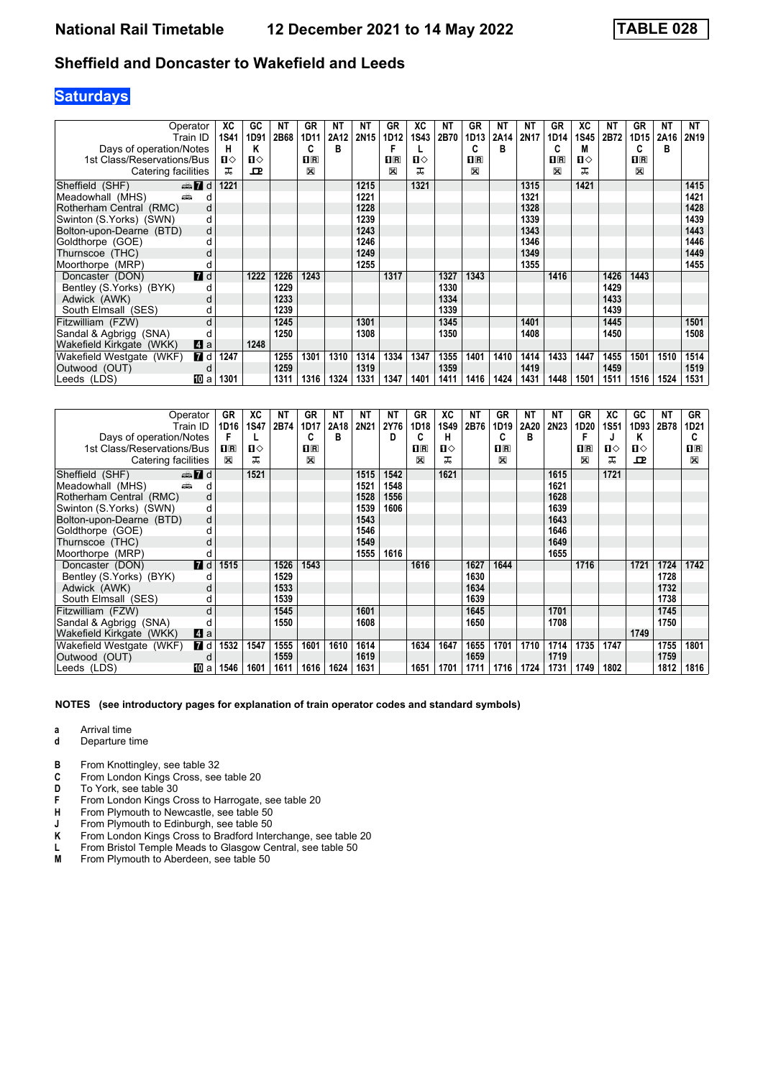# **Saturdays**

| Operator                   |              | ХC   | GC   | ΝT   | <b>GR</b>      | <b>NT</b> | NΤ   | <b>GR</b>      | XC           | NΤ   | GR             | ΝT   | <b>NT</b> | GR                      | ХC          | <b>NT</b> | GR             | NΤ   | <b>NT</b>        |
|----------------------------|--------------|------|------|------|----------------|-----------|------|----------------|--------------|------|----------------|------|-----------|-------------------------|-------------|-----------|----------------|------|------------------|
|                            | Train ID     | 1S41 | 1D91 | 2B68 | 1D11           | 2A12      | 2N15 | 1D12           | <b>1S43</b>  | 2B70 | 1D13           | 2A14 | 2N17      | 1D14                    | <b>1S45</b> | 2B72      | 1D15           | 2A16 | 2N <sub>19</sub> |
| Days of operation/Notes    |              | н    | Κ    |      | C              | B         |      |                |              |      | C              | в    |           | C                       | M           |           |                | в    |                  |
| 1st Class/Reservations/Bus |              | ்ப   | п⇔   |      | $\mathbf{H}$ R |           |      | $\mathbf{H}$ R | $\mathbf{u}$ |      | $\mathbf{H}$ R |      |           | $\overline{\mathbf{B}}$ | п⇔          |           | $\mathbf{H}$ R |      |                  |
| Catering facilities        |              | ᠼ    | ᇁ    |      | X              |           |      | X              | ᠼ            |      | X              |      |           | X                       | ᅚ           |           | X              |      |                  |
| Sheffield (SHF)            | $\oplus$ 7 d | 1221 |      |      |                |           | 1215 |                | 1321         |      |                |      | 1315      |                         | 1421        |           |                |      | 1415             |
| Meadowhall (MHS)<br>æ.     | d            |      |      |      |                |           | 1221 |                |              |      |                |      | 1321      |                         |             |           |                |      | 1421             |
| Rotherham Central (RMC)    | d            |      |      |      |                |           | 1228 |                |              |      |                |      | 1328      |                         |             |           |                |      | 1428             |
| Swinton (S.Yorks) (SWN)    | d            |      |      |      |                |           | 1239 |                |              |      |                |      | 1339      |                         |             |           |                |      | 1439             |
| Bolton-upon-Dearne (BTD)   | d            |      |      |      |                |           | 1243 |                |              |      |                |      | 1343      |                         |             |           |                |      | 1443             |
| Goldthorpe (GOE)           | d            |      |      |      |                |           | 1246 |                |              |      |                |      | 1346      |                         |             |           |                |      | 1446             |
| Thurnscoe (THC)            | d            |      |      |      |                |           | 1249 |                |              |      |                |      | 1349      |                         |             |           |                |      | 1449             |
| Moorthorpe (MRP)           | d            |      |      |      |                |           | 1255 |                |              |      |                |      | 1355      |                         |             |           |                |      | 1455             |
| Doncaster (DON)            | <b>7</b> d   |      | 1222 | 1226 | 1243           |           |      | 1317           |              | 1327 | 1343           |      |           | 1416                    |             | 1426      | 1443           |      |                  |
| Bentley (S.Yorks) (BYK)    | d            |      |      | 1229 |                |           |      |                |              | 1330 |                |      |           |                         |             | 1429      |                |      |                  |
| Adwick (AWK)               | d            |      |      | 1233 |                |           |      |                |              | 1334 |                |      |           |                         |             | 1433      |                |      |                  |
| South Elmsall (SES)        | d            |      |      | 1239 |                |           |      |                |              | 1339 |                |      |           |                         |             | 1439      |                |      |                  |
| Fitzwilliam (FZW)          | d            |      |      | 1245 |                |           | 1301 |                |              | 1345 |                |      | 1401      |                         |             | 1445      |                |      | 1501             |
| Sandal & Agbrigg (SNA)     |              |      |      | 1250 |                |           | 1308 |                |              | 1350 |                |      | 1408      |                         |             | 1450      |                |      | 1508             |
| Wakefield Kirkgate (WKK)   | Z a          |      | 1248 |      |                |           |      |                |              |      |                |      |           |                         |             |           |                |      |                  |
| Wakefield Westgate (WKF)   | 7 d          | 1247 |      | 1255 | 1301           | 1310      | 1314 | 1334           | 1347         | 1355 | 1401           | 1410 | 1414      | 1433                    | 1447        | 1455      | 1501           | 1510 | 1514             |
| Outwood (OUT)              | d            |      |      | 1259 |                |           | 1319 |                |              | 1359 |                |      | 1419      |                         |             | 1459      |                |      | 1519             |
| Leeds (LDS)                | ЮЮ а         | 1301 |      | 1311 | 1316           | 1324      | 1331 | 1347           | 1401         | 1411 | 1416           | 1424 | 1431      | 1448                    | 1501        | 1511      | 1516           | 1524 | 1531             |

| Operator                               | GR      | ХC           | ΝT   | GR          | NΤ   | NΤ   | NΤ   | <b>GR</b>   | ХC          | NΤ   | GR             | NΤ   | NΤ   | GR           | ХC          | GC   | <b>NT</b> | GR             |
|----------------------------------------|---------|--------------|------|-------------|------|------|------|-------------|-------------|------|----------------|------|------|--------------|-------------|------|-----------|----------------|
| Train ID                               | 1D16    | <b>1S47</b>  | 2B74 | 1D17        | 2A18 | 2N21 | 2Y76 | 1D18        | <b>1S49</b> | 2B76 | 1D19           | 2A20 | 2N23 | 1D20         | <b>1S51</b> | 1D93 | 2B78      | 1D21           |
| Days of operation/Notes                | F       |              |      | C           | в    |      | D    |             | н           |      | С              | в    |      | F            |             | Κ    |           | C              |
| 1st Class/Reservations/Bus             | $\Pi$ R | $\mathbf{u}$ |      | $n_{\rm R}$ |      |      |      | $n_{\rm R}$ | п⇔          |      | $\mathbf{H}$ R |      |      | $n_{\rm{R}}$ | ப⇔          | п⇔   |           | 1 <sup>R</sup> |
| Catering facilities                    | X       | ㅈ            |      | X           |      |      |      | X           | ᅚ           |      | X              |      |      | X            | ㅈ           | ᇁ    |           | $\boxtimes$    |
| $\oplus$ 7 d<br>Sheffield (SHF)        |         | 1521         |      |             |      | 1515 | 1542 |             | 1621        |      |                |      | 1615 |              | 1721        |      |           |                |
| پیش<br>Meadowhall (MHS)<br>d           |         |              |      |             |      | 1521 | 1548 |             |             |      |                |      | 1621 |              |             |      |           |                |
| Rotherham Central (RMC)<br>d           |         |              |      |             |      | 1528 | 1556 |             |             |      |                |      | 1628 |              |             |      |           |                |
| Swinton (S.Yorks) (SWN)<br>d           |         |              |      |             |      | 1539 | 1606 |             |             |      |                |      | 1639 |              |             |      |           |                |
| Bolton-upon-Dearne (BTD)<br>d          |         |              |      |             |      | 1543 |      |             |             |      |                |      | 1643 |              |             |      |           |                |
| Goldthorpe (GOE)<br>d                  |         |              |      |             |      | 1546 |      |             |             |      |                |      | 1646 |              |             |      |           |                |
| Thurnscoe (THC)                        |         |              |      |             |      | 1549 |      |             |             |      |                |      | 1649 |              |             |      |           |                |
| Moorthorpe (MRP)<br>d                  |         |              |      |             |      | 1555 | 1616 |             |             |      |                |      | 1655 |              |             |      |           |                |
| <b>7</b> d<br>Doncaster (DON)          | 1515    |              | 1526 | 1543        |      |      |      | 1616        |             | 1627 | 1644           |      |      | 1716         |             | 1721 | 1724      | 1742           |
| Bentley (S.Yorks) (BYK)<br>d           |         |              | 1529 |             |      |      |      |             |             | 1630 |                |      |      |              |             |      | 1728      |                |
| Adwick (AWK)<br>d                      |         |              | 1533 |             |      |      |      |             |             | 1634 |                |      |      |              |             |      | 1732      |                |
| South Elmsall (SES)<br>d               |         |              | 1539 |             |      |      |      |             |             | 1639 |                |      |      |              |             |      | 1738      |                |
| d<br>Fitzwilliam (FZW)                 |         |              | 1545 |             |      | 1601 |      |             |             | 1645 |                |      | 1701 |              |             |      | 1745      |                |
| Sandal & Agbrigg (SNA)                 |         |              | 1550 |             |      | 1608 |      |             |             | 1650 |                |      | 1708 |              |             |      | 1750      |                |
| Zi a<br>Wakefield Kirkgate (WKK)       |         |              |      |             |      |      |      |             |             |      |                |      |      |              |             | 1749 |           |                |
| <b>7</b> d<br>Wakefield Westgate (WKF) | 1532    | 1547         | 1555 | 1601        | 1610 | 1614 |      | 1634        | 1647        | 1655 | 1701           | 1710 | 1714 | 1735         | 1747        |      | 1755      | 1801           |
| Outwood (OUT)<br>d                     |         |              | 1559 |             |      | 1619 |      |             |             | 1659 |                |      | 1719 |              |             |      | 1759      |                |
| Leeds (LDS)<br>100 a                   | 1546    | 1601         | 1611 | 1616        | 1624 | 1631 |      | 1651        | 1701        | 1711 | 1716           | 1724 | 1731 | 1749         | 1802        |      | 1812      | 1816           |

- **a** Arrival time<br>**d** Departure t
- **d** Departure time
- **B** From Knottingley, see table 32<br>**C** From London Kings Cross, see
- **C** From London Kings Cross, see table 20<br>**D** To York, see table 30
- To York, see table 30
- **F** From London Kings Cross to Harrogate, see table 20<br>**H** From Plymouth to Newcastle, see table 50
- **+** From Plymouth to Newcastle, see table 50<br>**J** From Plymouth to Edinburgh, see table 50
- **-** From Plymouth to Edinburgh, see table 50<br>**K** From London Kings Cross to Bradford Inter
- **K** From London Kings Cross to Bradford Interchange, see table 20 L From Bristol Temple Meads to Glasgow Central, see table 50
- **L** From Bristol Temple Meads to Glasgow Central, see table 50<br>**M** From Plymouth to Aberdeen, see table 50
- From Plymouth to Aberdeen, see table 50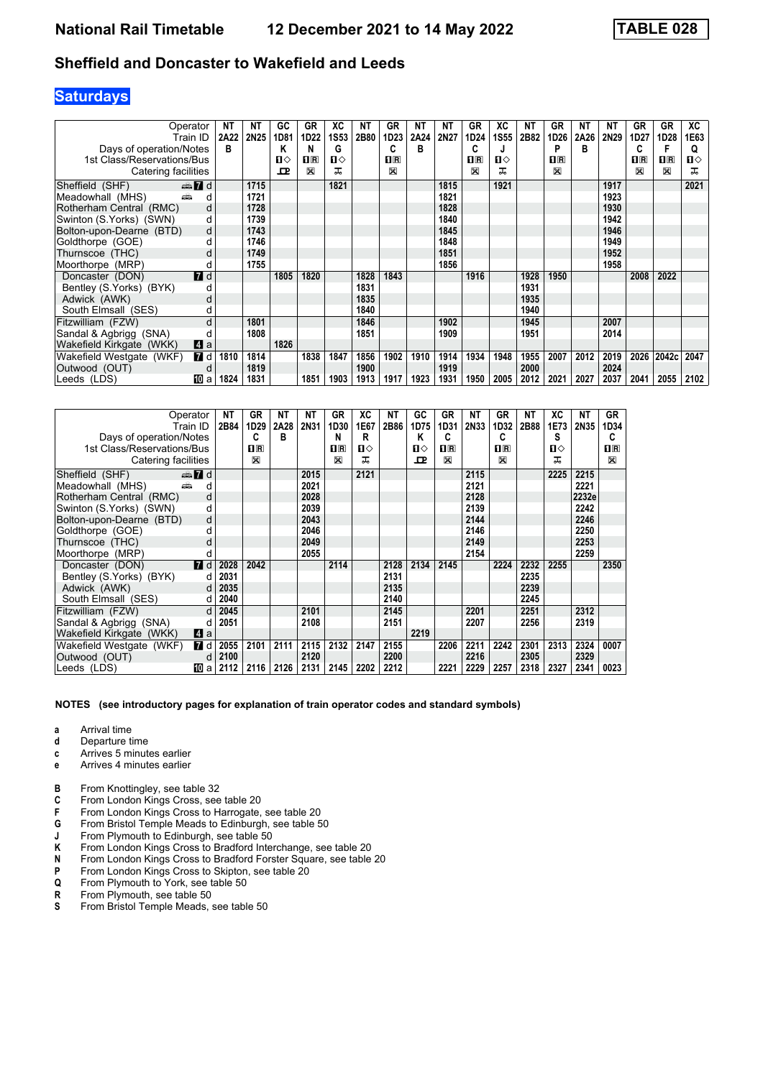# **Saturdays**

|                            | Operator                | NT   | NΤ          | GC   | GR             | ХC           | ΝT   | <b>GR</b>        | NΤ   | NΤ   | GR          | ХC          | NΤ   | GR          | NΤ   | NΤ   | GR          | GR           | XC           |
|----------------------------|-------------------------|------|-------------|------|----------------|--------------|------|------------------|------|------|-------------|-------------|------|-------------|------|------|-------------|--------------|--------------|
|                            | Train ID                | 2A22 | <b>2N25</b> | 1D81 | 1D22           | 1S53         | 2B80 | 1D <sub>23</sub> | 2A24 | 2N27 | 1D24        | <b>1S55</b> | 2B82 | 1D26        | 2A26 | 2N29 | 1D27        | 1D28         | 1E63         |
| Days of operation/Notes    |                         | в    |             | Κ    | N              | G            |      | c                | в    |      | C           | J           |      | P           | в    |      |             |              | Q            |
| 1st Class/Reservations/Bus |                         |      |             | п⇔   | $\mathbf{H}$ R | $\mathbf{u}$ |      | $n_{\rm R}$      |      |      | $n_{\rm R}$ | п⇔          |      | $n_{\rm R}$ |      |      | $n_{\rm R}$ | $\Pi$ R      | $\mathbf{u}$ |
| Catering facilities        |                         |      |             | ᇁ    | ⊠              | ᅚ            |      | $\boxtimes$      |      |      | 図           | ᅚ           |      | X           |      |      | X           | $\mathbb{X}$ | ᅚ            |
| Sheffield (SHF)            | $\oplus \blacksquare$ d |      | 1715        |      |                | 1821         |      |                  |      | 1815 |             | 1921        |      |             |      | 1917 |             |              | 2021         |
| Meadowhall (MHS)           | añ.<br>d                |      | 1721        |      |                |              |      |                  |      | 1821 |             |             |      |             |      | 1923 |             |              |              |
| Rotherham Central (RMC)    | d                       |      | 1728        |      |                |              |      |                  |      | 1828 |             |             |      |             |      | 1930 |             |              |              |
| Swinton (S.Yorks) (SWN)    | d                       |      | 1739        |      |                |              |      |                  |      | 1840 |             |             |      |             |      | 1942 |             |              |              |
| Bolton-upon-Dearne (BTD)   | d                       |      | 1743        |      |                |              |      |                  |      | 1845 |             |             |      |             |      | 1946 |             |              |              |
| Goldthorpe (GOE)           | d                       |      | 1746        |      |                |              |      |                  |      | 1848 |             |             |      |             |      | 1949 |             |              |              |
| Thurnscoe (THC)            |                         |      | 1749        |      |                |              |      |                  |      | 1851 |             |             |      |             |      | 1952 |             |              |              |
| Moorthorpe (MRP)           | d                       |      | 1755        |      |                |              |      |                  |      | 1856 |             |             |      |             |      | 1958 |             |              |              |
| Doncaster (DON)            | $I$ d                   |      |             | 1805 | 1820           |              | 1828 | 1843             |      |      | 1916        |             | 1928 | 1950        |      |      | 2008        | 2022         |              |
| Bentley (S.Yorks) (BYK)    | d                       |      |             |      |                |              | 1831 |                  |      |      |             |             | 1931 |             |      |      |             |              |              |
| Adwick (AWK)               | d                       |      |             |      |                |              | 1835 |                  |      |      |             |             | 1935 |             |      |      |             |              |              |
| South Elmsall (SES)        | d                       |      |             |      |                |              | 1840 |                  |      |      |             |             | 1940 |             |      |      |             |              |              |
| Fitzwilliam (FZW)          | d                       |      | 1801        |      |                |              | 1846 |                  |      | 1902 |             |             | 1945 |             |      | 2007 |             |              |              |
| Sandal & Agbrigg (SNA)     |                         |      | 1808        |      |                |              | 1851 |                  |      | 1909 |             |             | 1951 |             |      | 2014 |             |              |              |
| Wakefield Kirkgate (WKK)   | Z1 a                    |      |             | 1826 |                |              |      |                  |      |      |             |             |      |             |      |      |             |              |              |
| Wakefield Westgate (WKF)   | 7 d                     | 1810 | 1814        |      | 1838           | 1847         | 1856 | 1902             | 1910 | 1914 | 1934        | 1948        | 1955 | 2007        | 2012 | 2019 | 2026        | 2042c        | 2047         |
| Outwood (OUT)              | d                       |      | 1819        |      |                |              | 1900 |                  |      | 1919 |             |             | 2000 |             |      | 2024 |             |              |              |
| Leeds (LDS)                | ЮЮ а                    | 1824 | 1831        |      | 1851           | 1903         | 1913 | 1917             | 1923 | 1931 | 1950        | 2005        | 2012 | 2021        | 2027 | 2037 | 2041        | 2055         | 2102         |

|                            | Operator         | NΤ   | GR                                              | NΤ   | NΤ   | GR          | xс   | ΝT   | GC   | GR             | ΝT          | GR   | NΤ   | ХC   | NΤ    | GR                      |
|----------------------------|------------------|------|-------------------------------------------------|------|------|-------------|------|------|------|----------------|-------------|------|------|------|-------|-------------------------|
|                            | Train ID         | 2B84 | 1D29                                            | 2A28 | 2N31 | 1D30        | 1E67 | 2B86 | 1D75 | 1D31           | <b>2N33</b> | 1D32 | 2B88 | 1E73 | 2N35  | 1D34                    |
| Days of operation/Notes    |                  |      | C                                               | в    |      | N           | R    |      | κ    | C              |             | C    |      | S    |       | C                       |
| 1st Class/Reservations/Bus |                  |      | $\overline{\mathbf{H}}$ $\overline{\mathbf{R}}$ |      |      | $n_{\rm R}$ | п⇔   |      | п⇔   | $\mathbf{H}$ R |             | 1F   |      | п⇔   |       | $\overline{\mathbf{H}}$ |
| Catering facilities        |                  |      | ⊠                                               |      |      | X           | ᅚ    |      | ᇁ    | X              |             | ⊠    |      | ᠼ    |       | X                       |
| Sheffield (SHF)            | d <b>M</b>       |      |                                                 |      | 2015 |             | 2121 |      |      |                | 2115        |      |      | 2225 | 2215  |                         |
| Meadowhall (MHS)           | añ.<br>d         |      |                                                 |      | 2021 |             |      |      |      |                | 2121        |      |      |      | 2221  |                         |
| Rotherham Central (RMC)    | d                |      |                                                 |      | 2028 |             |      |      |      |                | 2128        |      |      |      | 2232e |                         |
| Swinton (S.Yorks) (SWN)    | d                |      |                                                 |      | 2039 |             |      |      |      |                | 2139        |      |      |      | 2242  |                         |
| Bolton-upon-Dearne (BTD)   | d                |      |                                                 |      | 2043 |             |      |      |      |                | 2144        |      |      |      | 2246  |                         |
| Goldthorpe (GOE)           | d                |      |                                                 |      | 2046 |             |      |      |      |                | 2146        |      |      |      | 2250  |                         |
| Thurnscoe (THC)            | d                |      |                                                 |      | 2049 |             |      |      |      |                | 2149        |      |      |      | 2253  |                         |
| Moorthorpe (MRP)           | d                |      |                                                 |      | 2055 |             |      |      |      |                | 2154        |      |      |      | 2259  |                         |
| Doncaster (DON)            | $\blacksquare$ d | 2028 | 2042                                            |      |      | 2114        |      | 2128 | 2134 | 2145           |             | 2224 | 2232 | 2255 |       | 2350                    |
| Bentley (S.Yorks) (BYK)    | d                | 2031 |                                                 |      |      |             |      | 2131 |      |                |             |      | 2235 |      |       |                         |
| Adwick (AWK)               | d                | 2035 |                                                 |      |      |             |      | 2135 |      |                |             |      | 2239 |      |       |                         |
| South Elmsall (SES)        | d                | 2040 |                                                 |      |      |             |      | 2140 |      |                |             |      | 2245 |      |       |                         |
| Fitzwilliam (FZW)          | <sub>d</sub>     | 2045 |                                                 |      | 2101 |             |      | 2145 |      |                | 2201        |      | 2251 |      | 2312  |                         |
| Sandal & Agbrigg (SNA)     | d                | 2051 |                                                 |      | 2108 |             |      | 2151 |      |                | 2207        |      | 2256 |      | 2319  |                         |
| Wakefield Kirkgate (WKK)   | ZI a             |      |                                                 |      |      |             |      |      | 2219 |                |             |      |      |      |       |                         |
| Wakefield Westgate (WKF)   | 7 d              | 2055 | 2101                                            | 2111 | 2115 | 2132        | 2147 | 2155 |      | 2206           | 2211        | 2242 | 2301 | 2313 | 2324  | 0007                    |
| Outwood (OUT)              | d                | 2100 |                                                 |      | 2120 |             |      | 2200 |      |                | 2216        |      | 2305 |      | 2329  |                         |
| Leeds (LDS)                | 100 a            | 2112 | 2116                                            | 2126 | 2131 | 2145        | 2202 | 2212 |      | 2221           | 2229        | 2257 | 2318 | 2327 | 2341  | 0023                    |

- **a** Arrival time<br>**d** Departure t
- **d** Departure time
- **c** Arrives 5 minutes earlier<br>**e** Arrives 4 minutes earlier
- **e** Arrives 4 minutes earlier
- **B** From Knottingley, see table 32
- **C** From London Kings Cross, see table 20<br>**F** From London Kings Cross to Harrogate,
- **F** From London Kings Cross to Harrogate, see table 20<br>**G** From Bristol Temple Meads to Edinburgh, see table 5
- **6** From Bristol Temple Meads to Edinburgh, see table 50<br>**J** From Plymouth to Edinburgh, see table 50
- **-** From Plymouth to Edinburgh, see table 50<br>**K** From London Kings Cross to Bradford Inter
- **K** From London Kings Cross to Bradford Interchange, see table 20<br>**N** From London Kings Cross to Bradford Forster Square, see table
- **N** From London Kings Cross to Bradford Forster Square, see table 20<br>**P** From London Kings Cross to Skipton, see table 20
- From London Kings Cross to Skipton, see table 20
- **4** From Plymouth to York, see table 50<br>**R** From Plymouth, see table 50
- **R** From Plymouth, see table 50<br>**S** From Bristol Temple Meads.
- From Bristol Temple Meads, see table 50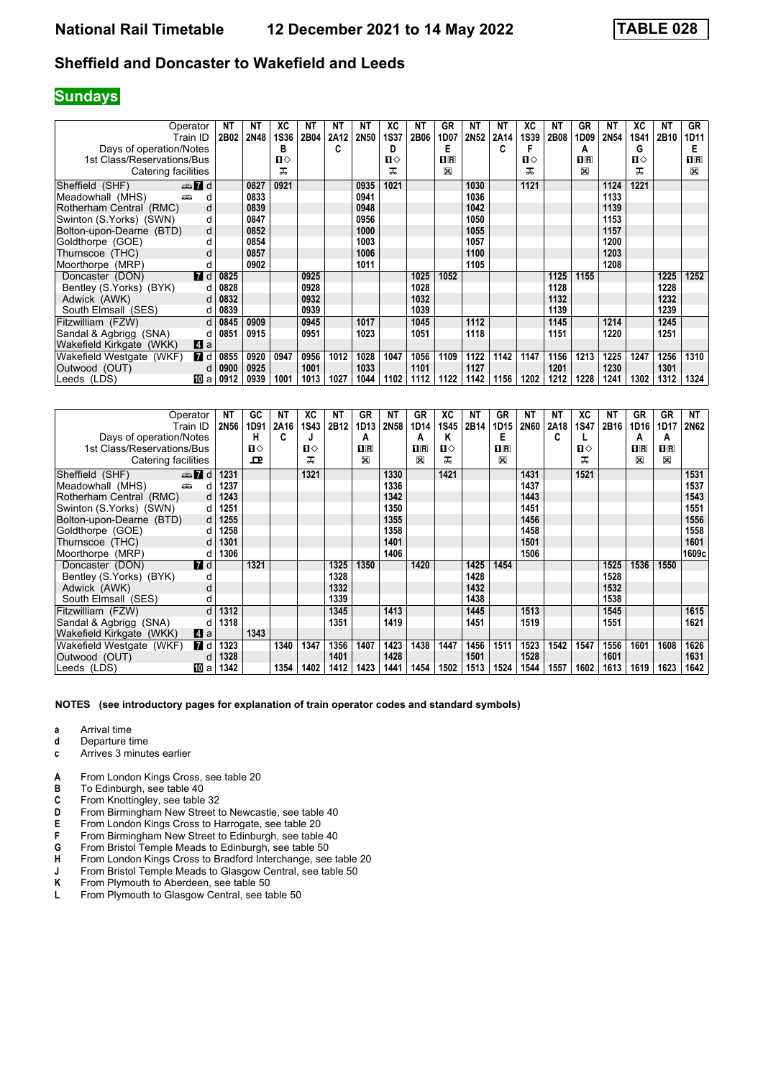### **Sundays**

| Operator                   |                  | NΤ   | NΤ   | ХC   | NΤ   | NΤ   | NΤ          | xс           | ΝT   | GR             | ΝT               | ΝT   | XC          | NΤ   | GR                      | <b>NT</b> | XC          | NΤ   | GR           |
|----------------------------|------------------|------|------|------|------|------|-------------|--------------|------|----------------|------------------|------|-------------|------|-------------------------|-----------|-------------|------|--------------|
| Train ID                   |                  | 2B02 | 2N48 | 1S36 | 2B04 | 2A12 | <b>2N50</b> | <b>1S37</b>  | 2B06 | 1D07           | 2N <sub>52</sub> | 2A14 | <b>1S39</b> | 2B08 | 1D09                    | 2N54      | <b>1S41</b> | 2B10 | 1D11         |
| Days of operation/Notes    |                  |      |      | в    |      | C    |             | D            |      | E              |                  | C    |             |      | A                       |           | G           |      | Е            |
| 1st Class/Reservations/Bus |                  |      |      | Ⅱ♦   |      |      |             | $\mathbf{n}$ |      | $\mathbf{I}$ R |                  |      | Ⅱ♦          |      | $\overline{\mathbf{R}}$ |           | п⇔          |      | $\mathbf{H}$ |
| Catering facilities        |                  |      |      | ᠼ    |      |      |             | ᠼ            |      | X              |                  |      | ᠼ           |      | $\mathbb{X}$            |           | ᅚ           |      | $\mathbb{X}$ |
| Sheffield (SHF)            | $\oplus$ 7 d     |      | 0827 | 0921 |      |      | 0935        | 1021         |      |                | 1030             |      | 1121        |      |                         | 1124      | 1221        |      |              |
| Meadowhall (MHS)<br>añ,    | d                |      | 0833 |      |      |      | 0941        |              |      |                | 1036             |      |             |      |                         | 1133      |             |      |              |
| Rotherham Central (RMC)    | d                |      | 0839 |      |      |      | 0948        |              |      |                | 1042             |      |             |      |                         | 1139      |             |      |              |
| Swinton (S.Yorks) (SWN)    | d                |      | 0847 |      |      |      | 0956        |              |      |                | 1050             |      |             |      |                         | 1153      |             |      |              |
| Bolton-upon-Dearne (BTD)   | d                |      | 0852 |      |      |      | 1000        |              |      |                | 1055             |      |             |      |                         | 1157      |             |      |              |
| Goldthorpe (GOE)           | d                |      | 0854 |      |      |      | 1003        |              |      |                | 1057             |      |             |      |                         | 1200      |             |      |              |
| Thurnscoe (THC)            |                  |      | 0857 |      |      |      | 1006        |              |      |                | 1100             |      |             |      |                         | 1203      |             |      |              |
| Moorthorpe (MRP)           | d                |      | 0902 |      |      |      | 1011        |              |      |                | 1105             |      |             |      |                         | 1208      |             |      |              |
| Doncaster (DON)            | $\blacksquare$ d | 0825 |      |      | 0925 |      |             |              | 1025 | 1052           |                  |      |             | 1125 | 1155                    |           |             | 1225 | 1252         |
| Bentley (S.Yorks) (BYK)    | d                | 0828 |      |      | 0928 |      |             |              | 1028 |                |                  |      |             | 1128 |                         |           |             | 1228 |              |
| Adwick (AWK)               | d                | 0832 |      |      | 0932 |      |             |              | 1032 |                |                  |      |             | 1132 |                         |           |             | 1232 |              |
| South Elmsall (SES)        | d                | 0839 |      |      | 0939 |      |             |              | 1039 |                |                  |      |             | 1139 |                         |           |             | 1239 |              |
| Fitzwilliam (FZW)          | d                | 0845 | 0909 |      | 0945 |      | 1017        |              | 1045 |                | 1112             |      |             | 1145 |                         | 1214      |             | 1245 |              |
| Sandal & Agbrigg (SNA)     | d                | 0851 | 0915 |      | 0951 |      | 1023        |              | 1051 |                | 1118             |      |             | 1151 |                         | 1220      |             | 1251 |              |
| Wakefield Kirkgate (WKK)   | $\blacksquare$ a |      |      |      |      |      |             |              |      |                |                  |      |             |      |                         |           |             |      |              |
| Wakefield Westgate (WKF)   | <b>7</b> d       | 0855 | 0920 | 0947 | 0956 | 1012 | 1028        | 1047         | 1056 | 1109           | 1122             | 1142 | 1147        | 1156 | 1213                    | 1225      | 1247        | 1256 | 1310         |
| Outwood (OUT)              | d                | 0900 | 0925 |      | 1001 |      | 1033        |              | 1101 |                | 1127             |      |             | 1201 |                         | 1230      |             | 1301 |              |
| Leeds (LDS)                | 100 a            | 0912 | 0939 | 1001 | 1013 | 1027 | 1044        | 1102         | 1112 | 1122           | 1142             | 1156 | 1202        | 1212 | 1228                    | 1241      | 1302        | 1312 | 1324         |

| Operator                               |   | ΝT          | GC   | ΝT   | ХC    | NΤ               | <b>GR</b>   | NT          | GR      | XC          | ΝT   | GR           | ΝT          | NΤ   | ХC          | NΤ   | GR          | GR                      | NT    |
|----------------------------------------|---|-------------|------|------|-------|------------------|-------------|-------------|---------|-------------|------|--------------|-------------|------|-------------|------|-------------|-------------------------|-------|
| Train ID                               |   | <b>2N56</b> | 1D91 | 2A16 | 1S43  | 2B <sub>12</sub> | 1D13        | <b>2N58</b> | 1D14    | <b>1S45</b> | 2B14 | 1D15         | <b>2N60</b> | 2A18 | <b>1S47</b> | 2B16 | 1D16        | 1D17                    | 2N62  |
| Days of operation/Notes                |   |             | н    | C    |       |                  | A           |             | А       | Κ           |      | Е            |             | C    |             |      | А           | А                       |       |
| 1st Class/Reservations/Bus             |   |             | п⇔   |      | $\Pi$ |                  | $\Pi$ R     |             | $\Pi$ R | Ⅱ♦          |      | $\mathbf{H}$ |             |      | ்ப          |      | $n_{\rm R}$ | $\overline{\mathbf{H}}$ |       |
| Catering facilities                    |   |             | ᇁ    |      | ᇁ     |                  | $\boxtimes$ |             | X       | ᅚ           |      | X            |             |      | ᅚ           |      | $\boxtimes$ | X                       |       |
| Sheffield (SHF)<br>$\oplus$ 7 d        |   | 1231        |      |      | 1321  |                  |             | 1330        |         | 1421        |      |              | 1431        |      | 1521        |      |             |                         | 1531  |
| هشته<br>Meadowhall (MHS)               | d | 1237        |      |      |       |                  |             | 1336        |         |             |      |              | 1437        |      |             |      |             |                         | 1537  |
| Rotherham Central (RMC)                |   | 1243        |      |      |       |                  |             | 1342        |         |             |      |              | 1443        |      |             |      |             |                         | 1543  |
| Swinton (S.Yorks) (SWN)                | d | 1251        |      |      |       |                  |             | 1350        |         |             |      |              | 1451        |      |             |      |             |                         | 1551  |
| Bolton-upon-Dearne (BTD)               | d | 1255        |      |      |       |                  |             | 1355        |         |             |      |              | 1456        |      |             |      |             |                         | 1556  |
| Goldthorpe (GOE)                       |   | 1258        |      |      |       |                  |             | 1358        |         |             |      |              | 1458        |      |             |      |             |                         | 1558  |
| Thurnscoe (THC)                        |   | 1301        |      |      |       |                  |             | 1401        |         |             |      |              | 1501        |      |             |      |             |                         | 1601  |
| Moorthorpe (MRP)                       |   | 1306        |      |      |       |                  |             | 1406        |         |             |      |              | 1506        |      |             |      |             |                         | 1609c |
| <b>7</b> d<br>Doncaster (DON)          |   |             | 1321 |      |       | 1325             | 1350        |             | 1420    |             | 1425 | 1454         |             |      |             | 1525 | 1536        | 1550                    |       |
| Bentley (S.Yorks) (BYK)                |   |             |      |      |       | 1328             |             |             |         |             | 1428 |              |             |      |             | 1528 |             |                         |       |
| Adwick (AWK)                           | d |             |      |      |       | 1332             |             |             |         |             | 1432 |              |             |      |             | 1532 |             |                         |       |
| South Elmsall (SES)                    |   |             |      |      |       | 1339             |             |             |         |             | 1438 |              |             |      |             | 1538 |             |                         |       |
| Fitzwilliam (FZW)                      | d | 1312        |      |      |       | 1345             |             | 1413        |         |             | 1445 |              | 1513        |      |             | 1545 |             |                         | 1615  |
| Sandal & Agbrigg (SNA)                 |   | 1318        |      |      |       | 1351             |             | 1419        |         |             | 1451 |              | 1519        |      |             | 1551 |             |                         | 1621  |
| Wakefield Kirkgate (WKK)<br>ZI a       |   |             | 1343 |      |       |                  |             |             |         |             |      |              |             |      |             |      |             |                         |       |
| Wakefield Westgate (WKF)<br><b>7</b> d |   | 1323        |      | 1340 | 1347  | 1356             | 1407        | 1423        | 1438    | 1447        | 1456 | 1511         | 1523        | 1542 | 1547        | 1556 | 1601        | 1608                    | 1626  |
| Outwood (OUT)                          |   | 1328        |      |      |       | 1401             |             | 1428        |         |             | 1501 |              | 1528        |      |             | 1601 |             |                         | 1631  |
| 100 a<br>Leeds (LDS)                   |   | 1342        |      | 1354 | 1402  | 1412             | 1423        | 1441        | 1454    | 1502        | 1513 | 1524         | 1544        | 1557 | 1602        | 1613 | 1619        | 1623                    | 1642  |

- **a** Arrival time<br>**d** Departure t
- **d** Departure time
- **c** Arrives 3 minutes earlier
- **A** From London Kings Cross, see table 20<br>**B** To Edinburgh, see table 40
- To Edinburgh, see table 40
- **C** From Knottingley, see table 32<br>**D** From Birmingham New Street t
- **D** From Birmingham New Street to Newcastle, see table 40<br>**E** From London Kings Cross to Harrogate, see table 20
- **E** From London Kings Cross to Harrogate, see table 20<br> **F** From Birmingham New Street to Edinburgh. see table
- **F** From Birmingham New Street to Edinburgh, see table 40<br>**G** From Bristol Temple Meads to Edinburgh, see table 50
- **6** From Bristol Temple Meads to Edinburgh, see table 50 **H** From London Kings Cross to Bradford Interchange, see
- **+** From London Kings Cross to Bradford Interchange, see table 20<br>**4** From Bristol Temple Meads to Glasgow Central, see table 50
- From Bristol Temple Meads to Glasgow Central, see table 50
- **K** From Plymouth to Aberdeen, see table 50<br>**L** From Plymouth to Glasgow Central, see ta
- From Plymouth to Glasgow Central, see table 50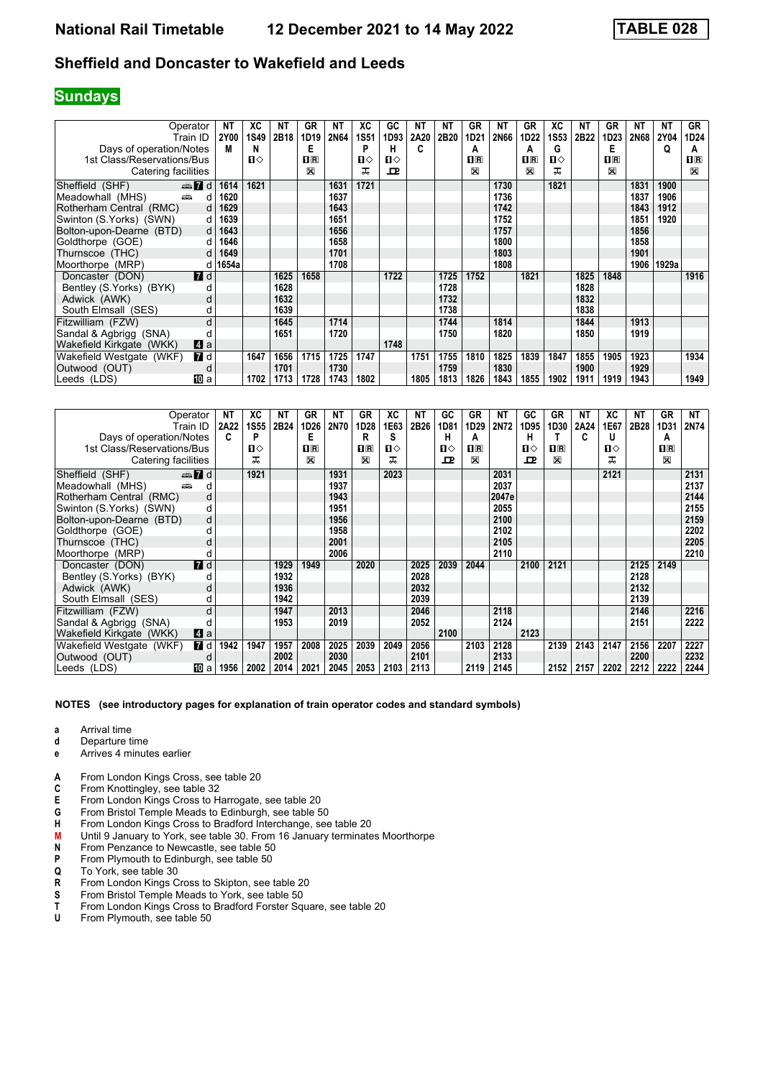### **Sundays**

| Operator                               | NΤ    | XC           | NΤ   | <b>GR</b>          | NΤ          | ХC          | GC           | ΝT   | ΝT   | GR               | ΝT          | GR                      | ХC          | NΤ   | GR           | NT          | ΝT          | GR           |
|----------------------------------------|-------|--------------|------|--------------------|-------------|-------------|--------------|------|------|------------------|-------------|-------------------------|-------------|------|--------------|-------------|-------------|--------------|
| Train ID                               | 2Y00  | <b>1S49</b>  | 2B18 | 1D19               | <b>2N64</b> | <b>1S51</b> | 1D93         | 2A20 | 2B20 | 1D <sub>21</sub> | <b>2N66</b> | 1D22                    | <b>1S53</b> | 2B22 | 1D23         | <b>2N68</b> | <b>2Y04</b> | 1D24         |
| Days of operation/Notes                | M     | N            |      | Е                  |             | P           | н            | C    |      | A                |             | А                       | G           |      | Е            |             | Q           | А            |
| 1st Class/Reservations/Bus             |       | $\mathbf{u}$ |      | $\Pi$ <sub>R</sub> |             | п⇔          | $\mathbf{u}$ |      |      | $\Pi$ R          |             | $\overline{\mathbf{B}}$ | п⇔          |      | $\mathbf{H}$ |             |             | $\mathbf{H}$ |
| Catering facilities                    |       |              |      | ⊠                  |             | ᅚ           | ᇁ            |      |      | ⊠                |             | X                       | ᅚ           |      | X            |             |             | $\mathbb{X}$ |
| $\oplus$ 7 d<br>Sheffield (SHF)        | 1614  | 1621         |      |                    | 1631        | 1721        |              |      |      |                  | 1730        |                         | 1821        |      |              | 1831        | 1900        |              |
| Meadowhall (MHS)<br>and a<br>d         | 1620  |              |      |                    | 1637        |             |              |      |      |                  | 1736        |                         |             |      |              | 1837        | 1906        |              |
| Rotherham Central (RMC)<br>d           | 1629  |              |      |                    | 1643        |             |              |      |      |                  | 1742        |                         |             |      |              | 1843        | 1912        |              |
| Swinton (S.Yorks) (SWN)<br>d           | 1639  |              |      |                    | 1651        |             |              |      |      |                  | 1752        |                         |             |      |              | 1851        | 1920        |              |
| Bolton-upon-Dearne (BTD)<br>d          | 1643  |              |      |                    | 1656        |             |              |      |      |                  | 1757        |                         |             |      |              | 1856        |             |              |
| Goldthorpe (GOE)<br><sub>d</sub>       | 1646  |              |      |                    | 1658        |             |              |      |      |                  | 1800        |                         |             |      |              | 1858        |             |              |
| Thurnscoe (THC)<br>d                   | 1649  |              |      |                    | 1701        |             |              |      |      |                  | 1803        |                         |             |      |              | 1901        |             |              |
| Moorthorpe (MRP)<br>d                  | 1654a |              |      |                    | 1708        |             |              |      |      |                  | 1808        |                         |             |      |              | 1906        | 1929a       |              |
| <b>7</b> d<br>Doncaster (DON)          |       |              | 1625 | 1658               |             |             | 1722         |      | 1725 | 1752             |             | 1821                    |             | 1825 | 1848         |             |             | 1916         |
| Bentley (S.Yorks) (BYK)<br>d           |       |              | 1628 |                    |             |             |              |      | 1728 |                  |             |                         |             | 1828 |              |             |             |              |
| Adwick (AWK)<br>d                      |       |              | 1632 |                    |             |             |              |      | 1732 |                  |             |                         |             | 1832 |              |             |             |              |
| South Elmsall (SES)<br>d               |       |              | 1639 |                    |             |             |              |      | 1738 |                  |             |                         |             | 1838 |              |             |             |              |
| Fitzwilliam (FZW)<br>d                 |       |              | 1645 |                    | 1714        |             |              |      | 1744 |                  | 1814        |                         |             | 1844 |              | 1913        |             |              |
| Sandal & Agbrigg (SNA)                 |       |              | 1651 |                    | 1720        |             |              |      | 1750 |                  | 1820        |                         |             | 1850 |              | 1919        |             |              |
| Wakefield Kirkgate (WKK)<br>ZI a       |       |              |      |                    |             |             | 1748         |      |      |                  |             |                         |             |      |              |             |             |              |
| <b>7</b> d<br>Wakefield Westgate (WKF) |       | 1647         | 1656 | 1715               | 1725        | 1747        |              | 1751 | 1755 | 1810             | 1825        | 1839                    | 1847        | 1855 | 1905         | 1923        |             | 1934         |
| Outwood (OUT)<br>d                     |       |              | 1701 |                    | 1730        |             |              |      | 1759 |                  | 1830        |                         |             | 1900 |              | 1929        |             |              |
| III a<br>Leeds (LDS)                   |       | 1702         | 1713 | 1728               | 1743        | 1802        |              | 1805 | 1813 | 1826             | 1843        | 1855                    | 1902        | 1911 | 1919         | 1943        |             | 1949         |

|                            | Operator         | NΤ   | ХC           | NΤ   | GR      | NΤ   | GR   | XC           | NΤ   | GC   | GR           | NΤ    | GC   | GR                      | <b>NT</b> | XC   | NT.  | GR             | NT   |
|----------------------------|------------------|------|--------------|------|---------|------|------|--------------|------|------|--------------|-------|------|-------------------------|-----------|------|------|----------------|------|
|                            | Train ID         | 2A22 | <b>1S55</b>  | 2B24 | 1D26    | 2N70 | 1D28 | 1E63         | 2B26 | 1D81 | 1D29         | 2N72  | 1D95 | 1D30                    | 2A24      | 1E67 | 2B28 | 1D31           | 2N74 |
| Days of operation/Notes    |                  | C    | P            |      | E       |      | R    | s            |      | н    | Α            |       | н    |                         | C         | U    |      | А              |      |
| 1st Class/Reservations/Bus |                  |      | $\mathbf{u}$ |      | $\Pi$ R |      | nR   | $\mathbf{u}$ |      | Ⅱ◇   | $\mathbf{H}$ |       | П⇔   | $\overline{\mathbf{B}}$ |           | Ⅱ◇   |      | $\mathbf{H}$ R |      |
| Catering facilities        |                  |      | ᅚ            |      | X       |      | ⊠    | ᅚ            |      | ᇁ    | X            |       | ᇁ    | X                       |           | ᅚ    |      | X              |      |
| Sheffield (SHF)            | $\oplus$ 7 d     |      | 1921         |      |         | 1931 |      | 2023         |      |      |              | 2031  |      |                         |           | 2121 |      |                | 2131 |
| añ,<br>Meadowhall (MHS)    | d                |      |              |      |         | 1937 |      |              |      |      |              | 2037  |      |                         |           |      |      |                | 2137 |
| Rotherham Central (RMC)    | d                |      |              |      |         | 1943 |      |              |      |      |              | 2047e |      |                         |           |      |      |                | 2144 |
| Swinton (S.Yorks) (SWN)    | d                |      |              |      |         | 1951 |      |              |      |      |              | 2055  |      |                         |           |      |      |                | 2155 |
| Bolton-upon-Dearne (BTD)   | d                |      |              |      |         | 1956 |      |              |      |      |              | 2100  |      |                         |           |      |      |                | 2159 |
| Goldthorpe (GOE)           | d                |      |              |      |         | 1958 |      |              |      |      |              | 2102  |      |                         |           |      |      |                | 2202 |
| Thurnscoe (THC)            |                  |      |              |      |         | 2001 |      |              |      |      |              | 2105  |      |                         |           |      |      |                | 2205 |
| Moorthorpe (MRP)           | d                |      |              |      |         | 2006 |      |              |      |      |              | 2110  |      |                         |           |      |      |                | 2210 |
| Doncaster (DON)            | $\blacksquare$ d |      |              | 1929 | 1949    |      | 2020 |              | 2025 | 2039 | 2044         |       | 2100 | 2121                    |           |      | 2125 | 2149           |      |
| Bentley (S.Yorks) (BYK)    |                  |      |              | 1932 |         |      |      |              | 2028 |      |              |       |      |                         |           |      | 2128 |                |      |
| Adwick (AWK)               | d                |      |              | 1936 |         |      |      |              | 2032 |      |              |       |      |                         |           |      | 2132 |                |      |
| South Elmsall (SES)        | d                |      |              | 1942 |         |      |      |              | 2039 |      |              |       |      |                         |           |      | 2139 |                |      |
| Fitzwilliam (FZW)          |                  |      |              | 1947 |         | 2013 |      |              | 2046 |      |              | 2118  |      |                         |           |      | 2146 |                | 2216 |
| Sandal & Agbrigg (SNA)     |                  |      |              | 1953 |         | 2019 |      |              | 2052 |      |              | 2124  |      |                         |           |      | 2151 |                | 2222 |
| Wakefield Kirkgate (WKK)   | Zi a             |      |              |      |         |      |      |              |      | 2100 |              |       | 2123 |                         |           |      |      |                |      |
| Wakefield Westgate (WKF)   | <b>7</b> d       | 1942 | 1947         | 1957 | 2008    | 2025 | 2039 | 2049         | 2056 |      | 2103         | 2128  |      | 2139                    | 2143      | 2147 | 2156 | 2207           | 2227 |
| Outwood (OUT)              | d                |      |              | 2002 |         | 2030 |      |              | 2101 |      |              | 2133  |      |                         |           |      | 2200 |                | 2232 |
| Leeds (LDS)                | III a            | 1956 | 2002         | 2014 | 2021    | 2045 | 2053 | 2103         | 2113 |      | 2119         | 2145  |      | 2152                    | 2157      | 2202 | 2212 | 2222           | 2244 |

- **a** Arrival time<br>**d** Departure to
- **d** Departure time
- **e** Arrives 4 minutes earlier
- **A** From London Kings Cross, see table 20<br>**C** From Knottingley, see table 32
- From Knottingley, see table 32
- **E** From London Kings Cross to Harrogate, see table 20<br>**G** From Bristol Temple Meads to Edinburgh, see table 5
- 
- **6** From Bristol Temple Meads to Edinburgh, see table 50<br>**\*\*\*** From London Kings Cross to Bradford Interchange, see **M**<br>**M** Until 9 January to York, see table 30. From 16 January From London Kings Cross to Bradford Interchange, see table 20
- **M** Until 9 January to York, see table 30. From 16 January terminates Moorthorpe<br>**N** From Penzance to Newcastle, see table 50
- **N** From Penzance to Newcastle, see table 50<br>**P** From Plymouth to Edinburgh, see table 50
- **P** From Plymouth to Edinburgh, see table 50<br>**Q** To York, see table 30
- To York, see table 30
- **R** From London Kings Cross to Skipton, see table 20<br>**S** From Bristol Temple Meads to York, see table 50
- **6** From Bristol Temple Meads to York, see table 50<br>**T** From London Kings Cross to Bradford Forster Sq
- **T** From London Kings Cross to Bradford Forster Square, see table 20<br>**U** From Plymouth see table 50
- From Plymouth, see table 50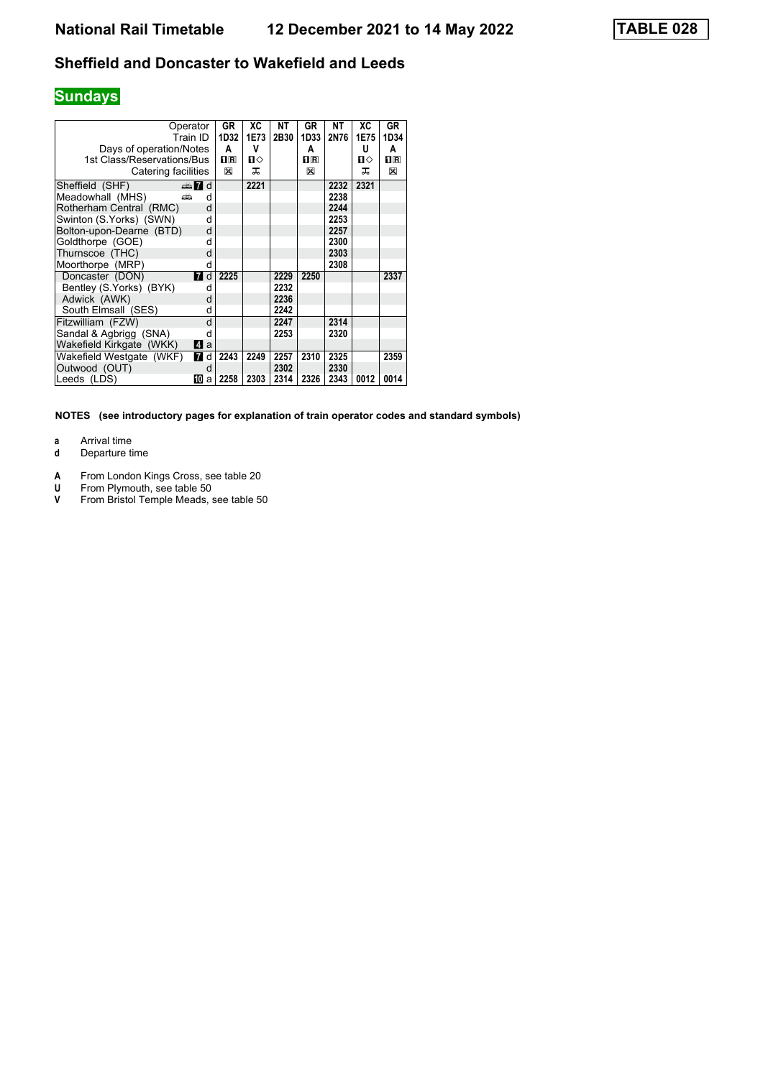# **Sundays**

| Days of operation/Notes<br>1st Class/Reservations/Bus<br>Catering facilities | Operator<br>Train ID | GR<br>1D32<br>A<br>$\mathbf{I}$ R<br>X | XC<br>1E73<br>v<br>п⇔<br>ᅚ | NΤ<br>2B30 | GR<br>1D33<br>A<br>$\mathbf{H}$ R<br>X | NΤ<br>2N76 | ХC<br>1E75<br>U<br>п⇔<br>ᅚ | GR<br>1D34<br>A<br>0 R<br>X |
|------------------------------------------------------------------------------|----------------------|----------------------------------------|----------------------------|------------|----------------------------------------|------------|----------------------------|-----------------------------|
| Sheffield (SHF)                                                              | $\Rightarrow$ 7 d    |                                        | 2221                       |            |                                        | 2232       | 2321                       |                             |
| Meadowhall (MHS)                                                             | añ.<br>d             |                                        |                            |            |                                        | 2238       |                            |                             |
| Rotherham Central (RMC)                                                      | d                    |                                        |                            |            |                                        | 2244       |                            |                             |
| Swinton (S.Yorks) (SWN)                                                      | d                    |                                        |                            |            |                                        | 2253       |                            |                             |
| Bolton-upon-Dearne (BTD)                                                     | d                    |                                        |                            |            |                                        | 2257       |                            |                             |
| Goldthorpe (GOE)                                                             | d                    |                                        |                            |            |                                        | 2300       |                            |                             |
| Thurnscoe (THC)                                                              | d                    |                                        |                            |            |                                        | 2303       |                            |                             |
| Moorthorpe (MRP)                                                             | d                    |                                        |                            |            |                                        | 2308       |                            |                             |
| Doncaster (DON)                                                              | <b>7</b> d           | 2225                                   |                            | 2229       | 2250                                   |            |                            | 2337                        |
| Bentley (S.Yorks) (BYK)                                                      | d                    |                                        |                            | 2232       |                                        |            |                            |                             |
| Adwick (AWK)                                                                 | d                    |                                        |                            | 2236       |                                        |            |                            |                             |
| South Elmsall (SES)                                                          | d                    |                                        |                            | 2242       |                                        |            |                            |                             |
| Fitzwilliam (FZW)                                                            | d                    |                                        |                            | 2247       |                                        | 2314       |                            |                             |
| Sandal & Agbrigg (SNA)                                                       | d                    |                                        |                            | 2253       |                                        | 2320       |                            |                             |
| Wakefield Kirkgate (WKK)                                                     | 41 a                 |                                        |                            |            |                                        |            |                            |                             |
| Wakefield Westgate (WKF)                                                     | <b>7</b> d           | 2243                                   | 2249                       | 2257       | 2310                                   | 2325       |                            | 2359                        |
| Outwood (OUT)                                                                | d                    |                                        |                            | 2302       |                                        | 2330       |                            |                             |
| Leeds (LDS)                                                                  | 10<br>a              | 2258                                   | 2303                       | 2314       | 2326                                   | 2343       | 0012                       | 0014                        |

- **a** Arrival time<br>**d** Departure t
- **d** Departure time
- **A** From London Kings Cross, see table 20
- **8** From Plymouth, see table 50
- **V** From Bristol Temple Meads, see table 50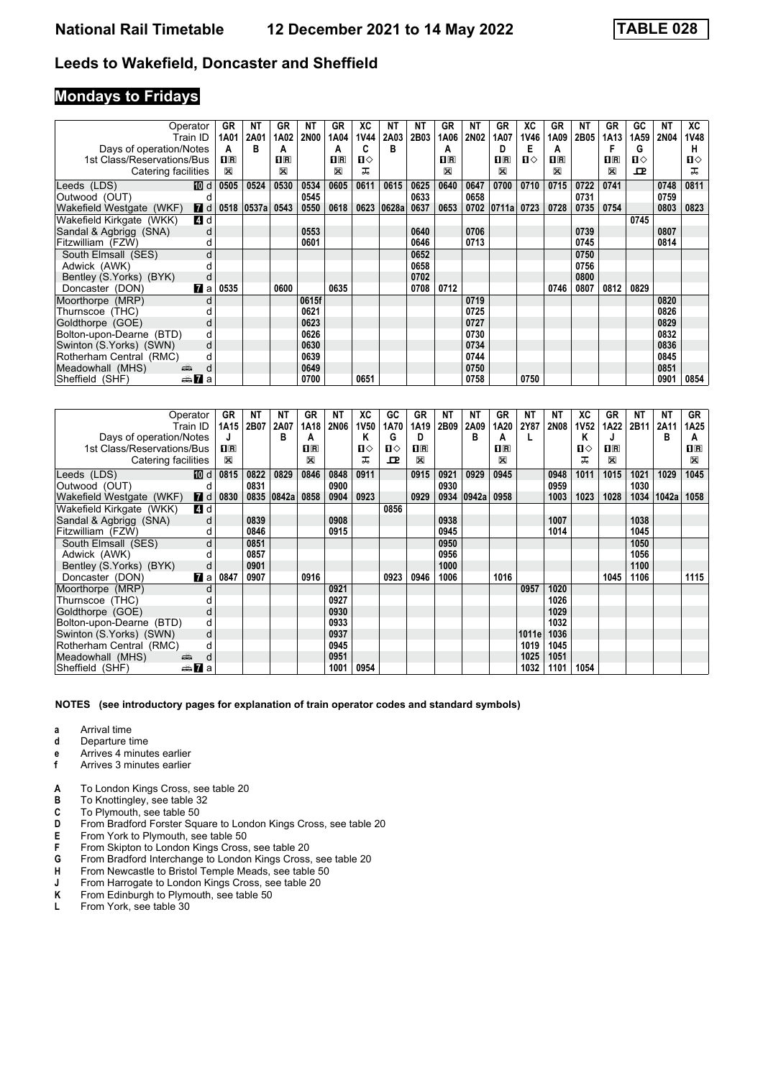### **Mondays to Fridays**

|                            | Operator         | GR             | NΤ    | GR                 | NΤ          | <b>GR</b>               | ХC          | ΝT    | ΝT   | GR      | ΝT          | GR             | ХC   | GR             | NΤ   | GR             | GC   | ΝT          | XC           |
|----------------------------|------------------|----------------|-------|--------------------|-------------|-------------------------|-------------|-------|------|---------|-------------|----------------|------|----------------|------|----------------|------|-------------|--------------|
|                            | Train ID         | 1A01           | 2A01  | 1A02               | <b>2N00</b> | 1A04                    | <b>1V44</b> | 2A03  | 2B03 | 1A06    | <b>2N02</b> | 1A07           | 1V46 | 1A09           | 2B05 | 1A13           | 1A59 | <b>2N04</b> | 1V48         |
| Days of operation/Notes    |                  | А              | в     | A                  |             | А                       | C           | в     |      | A       |             | D              | Е    | A              |      |                | G    |             | н            |
| 1st Class/Reservations/Bus |                  | $\mathbf{H}$ R |       | $\Pi$ <sub>R</sub> |             | $\overline{\mathbf{R}}$ | п⇔          |       |      | $\Pi$ R |             | $\mathbf{H}$ R | п⇔   | $\mathbf{1}$ R |      | $\mathbf{H}$ R | п⇔   |             | $\mathbf{u}$ |
| Catering facilities        |                  | $\boxtimes$    |       | ⊠                  |             | ⊠                       | ᠼ           |       |      | X       |             | X              |      | ⊠              |      | X              | ᇁ    |             | ᅚ            |
| Leeds (LDS)                | <b>IDI</b> d     | 0505           | 0524  | 0530               | 0534        | 0605                    | 0611        | 0615  | 0625 | 0640    | 0647        | 0700           | 0710 | 0715           | 0722 | 0741           |      | 0748        | 0811         |
| Outwood (OUT)              | a                |                |       |                    | 0545        |                         |             |       | 0633 |         | 0658        |                |      |                | 0731 |                |      | 0759        |              |
| Wakefield Westgate (WKF)   | <b>7</b> d       | 0518           | 0537a | 0543               | 0550        | 0618                    | 0623        | 0628a | 0637 | 0653    |             | 0702 0711a     | 0723 | 0728           | 0735 | 0754           |      | 0803        | 0823         |
| Wakefield Kirkgate (WKK)   | 4 d              |                |       |                    |             |                         |             |       |      |         |             |                |      |                |      |                | 0745 |             |              |
| Sandal & Agbrigg (SNA)     | d                |                |       |                    | 0553        |                         |             |       | 0640 |         | 0706        |                |      |                | 0739 |                |      | 0807        |              |
| Fitzwilliam (FZW)          | d                |                |       |                    | 0601        |                         |             |       | 0646 |         | 0713        |                |      |                | 0745 |                |      | 0814        |              |
| South Elmsall (SES)        | d                |                |       |                    |             |                         |             |       | 0652 |         |             |                |      |                | 0750 |                |      |             |              |
| Adwick (AWK)               |                  |                |       |                    |             |                         |             |       | 0658 |         |             |                |      |                | 0756 |                |      |             |              |
| Bentley (S.Yorks) (BYK)    | d                |                |       |                    |             |                         |             |       | 0702 |         |             |                |      |                | 0800 |                |      |             |              |
| Doncaster (DON)            | $\mathbf{z}$ a   | 0535           |       | 0600               |             | 0635                    |             |       | 0708 | 0712    |             |                |      | 0746           | 0807 | 0812           | 0829 |             |              |
| Moorthorpe (MRP)           | d                |                |       |                    | 0615f       |                         |             |       |      |         | 0719        |                |      |                |      |                |      | 0820        |              |
| Thurnscoe (THC)            |                  |                |       |                    | 0621        |                         |             |       |      |         | 0725        |                |      |                |      |                |      | 0826        |              |
| Goldthorpe (GOE)           | d                |                |       |                    | 0623        |                         |             |       |      |         | 0727        |                |      |                |      |                |      | 0829        |              |
| Bolton-upon-Dearne (BTD)   | d                |                |       |                    | 0626        |                         |             |       |      |         | 0730        |                |      |                |      |                |      | 0832        |              |
| Swinton (S.Yorks) (SWN)    | d                |                |       |                    | 0630        |                         |             |       |      |         | 0734        |                |      |                |      |                |      | 0836        |              |
| Rotherham Central (RMC)    | d                |                |       |                    | 0639        |                         |             |       |      |         | 0744        |                |      |                |      |                |      | 0845        |              |
| Meadowhall (MHS)           | پېښ<br>d         |                |       |                    | 0649        |                         |             |       |      |         | 0750        |                |      |                |      |                |      | 0851        |              |
| Sheffield (SHF)            | <del>⊯</del> 7aa |                |       |                    | 0700        |                         | 0651        |       |      |         | 0758        |                | 0750 |                |      |                |      | 0901        | 0854         |

|                            | Operator        | GR           | NΤ   | ΝT    | GR      | ΝT          | XC   | GC   | GR             | NT   | ΝT    | GR          | ΝT          | ΝT          | ХC   | GR      | NΤ   | ΝT    | GR          |
|----------------------------|-----------------|--------------|------|-------|---------|-------------|------|------|----------------|------|-------|-------------|-------------|-------------|------|---------|------|-------|-------------|
|                            | Train ID        | 1A15         | 2B07 | 2A07  | 1A18    | <b>2N06</b> | 1V50 | 1A70 | 1A19           | 2B09 | 2A09  | 1A20        | <b>2Y87</b> | <b>2N08</b> | 1V52 | 1A22    | 2B11 | 2A11  | 1A25        |
| Days of operation/Notes    |                 | J            |      | в     | A       |             | Κ    | G    | D              |      | в     | А           |             |             | Κ    |         |      | в     | А           |
| 1st Class/Reservations/Bus |                 | $n_{\rm{R}}$ |      |       | $\Pi$ R |             | п⇔   | ப⇔   | $\mathbf{H}$ R |      |       | $n_{\rm R}$ |             |             | ப⇔   | $\Pi$ R |      |       | $n_{\rm R}$ |
| Catering facilities        |                 | $\boxtimes$  |      |       | ⊠       |             | ᠼ    | ᇁ    | X              |      |       | ⊠           |             |             | ᅚ    | ⊠       |      |       | X           |
| Leeds (LDS)                | <b>M</b> d      | 0815         | 0822 | 0829  | 0846    | 0848        | 0911 |      | 0915           | 0921 | 0929  | 0945        |             | 0948        | 1011 | 1015    | 1021 | 1029  | 1045        |
| Outwood (OUT)              | d               |              | 0831 |       |         | 0900        |      |      |                | 0930 |       |             |             | 0959        |      |         | 1030 |       |             |
| Wakefield Westgate (WKF)   | <b>7</b> d      | 0830         | 0835 | 0842a | 0858    | 0904        | 0923 |      | 0929           | 0934 | 0942a | 0958        |             | 1003        | 1023 | 1028    | 1034 | 1042a | 1058        |
| Wakefield Kirkgate (WKK)   | ZI d            |              |      |       |         |             |      | 0856 |                |      |       |             |             |             |      |         |      |       |             |
| Sandal & Agbrigg (SNA)     | d               |              | 0839 |       |         | 0908        |      |      |                | 0938 |       |             |             | 1007        |      |         | 1038 |       |             |
| Fitzwilliam (FZW)          | d               |              | 0846 |       |         | 0915        |      |      |                | 0945 |       |             |             | 1014        |      |         | 1045 |       |             |
| South Elmsall (SES)        | d               |              | 0851 |       |         |             |      |      |                | 0950 |       |             |             |             |      |         | 1050 |       |             |
| Adwick (AWK)               |                 |              | 0857 |       |         |             |      |      |                | 0956 |       |             |             |             |      |         | 1056 |       |             |
| Bentley (S.Yorks) (BYK)    | d               |              | 0901 |       |         |             |      |      |                | 1000 |       |             |             |             |      |         | 1100 |       |             |
| Doncaster (DON)            | <b>7</b> a      | 0847         | 0907 |       | 0916    |             |      | 0923 | 0946           | 1006 |       | 1016        |             |             |      | 1045    | 1106 |       | 1115        |
| Moorthorpe (MRP)           | d               |              |      |       |         | 0921        |      |      |                |      |       |             | 0957        | 1020        |      |         |      |       |             |
| Thurnscoe (THC)            |                 |              |      |       |         | 0927        |      |      |                |      |       |             |             | 1026        |      |         |      |       |             |
| Goldthorpe (GOE)           | d               |              |      |       |         | 0930        |      |      |                |      |       |             |             | 1029        |      |         |      |       |             |
| Bolton-upon-Dearne (BTD)   | d               |              |      |       |         | 0933        |      |      |                |      |       |             |             | 1032        |      |         |      |       |             |
| Swinton (S.Yorks) (SWN)    | d               |              |      |       |         | 0937        |      |      |                |      |       |             | 1011e       | 1036        |      |         |      |       |             |
| Rotherham Central (RMC)    | d               |              |      |       |         | 0945        |      |      |                |      |       |             | 1019        | 1045        |      |         |      |       |             |
| Meadowhall (MHS)           | پپه<br>d        |              |      |       |         | 0951        |      |      |                |      |       |             | 1025        | 1051        |      |         |      |       |             |
| Sheffield (SHF)            | <del>⊯</del> ∎a |              |      |       |         | 1001        | 0954 |      |                |      |       |             | 1032        | 1101        | 1054 |         |      |       |             |

- **a** Arrival time<br>**d** Departure t
- **d** Departure time
- **e** Arrives 4 minutes earlier<br>**f** Arrives 3 minutes earlier
- **f** Arrives 3 minutes earlier
- **A** To London Kings Cross, see table 20
- **B** To Knottingley, see table 32<br>**C** To Plymouth, see table 50
- **C** To Plymouth, see table 50<br>**D** From Bradford Forster Squ
- **D** From Bradford Forster Square to London Kings Cross, see table 20<br>**E** From York to Plymouth. see table 50
- 
- **E** From York to Plymouth, see table 50<br>**F** From Skipton to London Kings Cross
- **F** From Skipton to London Kings Cross, see table 20<br>**G** From Bradford Interchange to London Kings Cross **6** From Bradford Interchange to London Kings Cross, see table 20<br>**H** From Newcastle to Bristol Temple Meads, see table 50
- From Newcastle to Bristol Temple Meads, see table 50
- **J** From Harrogate to London Kings Cross, see table 20<br>**K** From Edinburgh to Plymouth, see table 50
- **K** From Edinburgh to Plymouth, see table 50<br>**L** From York, see table 30
- **From York, see table 30**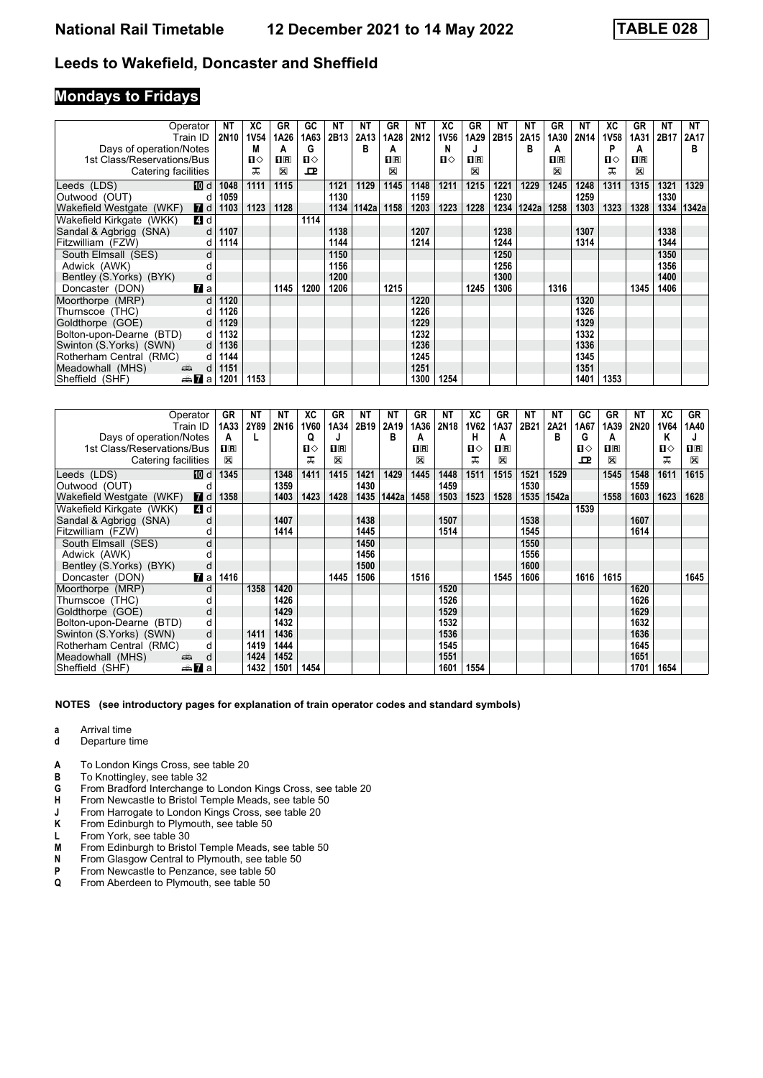## **Mondays to Fridays**

|                            | Operator                                                                                                                                                                                                                           | NT          | XC           | GR   | GC           | NΤ   | NΤ    | GR      | ΝT   | ХC          | GR   | <b>NT</b> | NΤ    | GR      | NΤ               | ХC          | GR          | NT   | NT    |
|----------------------------|------------------------------------------------------------------------------------------------------------------------------------------------------------------------------------------------------------------------------------|-------------|--------------|------|--------------|------|-------|---------|------|-------------|------|-----------|-------|---------|------------------|-------------|-------------|------|-------|
|                            | Train ID                                                                                                                                                                                                                           | <b>2N10</b> | <b>1V54</b>  | 1A26 | 1A63         | 2B13 | 2A13  | 1A28    | 2N12 | <b>1V56</b> | 1A29 | 2B15      | 2A15  | 1A30    | 2N <sub>14</sub> | <b>1V58</b> | 1A31        | 2B17 | 2A17  |
| Days of operation/Notes    |                                                                                                                                                                                                                                    |             | М            | A    | G            |      | в     | A       |      | N           |      |           | в     | A       |                  | P           |             |      | в     |
| 1st Class/Reservations/Bus |                                                                                                                                                                                                                                    |             | $\mathbf{u}$ | nR   | $\mathbf{u}$ |      |       | $\Pi$ R |      | п⇔          | nR   |           |       | $\Pi$ R |                  | ப⇔          | $\Pi$ R     |      |       |
| Catering facilities        |                                                                                                                                                                                                                                    |             | ᅚ            | X    | ᇁ            |      |       | ⊠       |      |             | ⊠    |           |       | X       |                  |             | $\boxtimes$ |      |       |
| Leeds (LDS)                | [10] d                                                                                                                                                                                                                             | 1048        | 1111         | 1115 |              | 1121 | 1129  | 1145    | 1148 | 1211        | 1215 | 1221      | 1229  | 1245    | 1248             | 1311        | 1315        | 1321 | 1329  |
| Outwood (OUT)              | d                                                                                                                                                                                                                                  | 1059        |              |      |              | 1130 |       |         | 1159 |             |      | 1230      |       |         | 1259             |             |             | 1330 |       |
| Wakefield Westgate (WKF)   | $I$ d                                                                                                                                                                                                                              | 1103        | 1123         | 1128 |              | 1134 | 1142a | 1158    | 1203 | 1223        | 1228 | 1234      | 1242a | 1258    | 1303             | 1323        | 1328        | 1334 | 1342a |
| Wakefield Kirkgate (WKK)   | 4 d                                                                                                                                                                                                                                |             |              |      | 1114         |      |       |         |      |             |      |           |       |         |                  |             |             |      |       |
| Sandal & Agbrigg (SNA)     | d                                                                                                                                                                                                                                  | 1107        |              |      |              | 1138 |       |         | 1207 |             |      | 1238      |       |         | 1307             |             |             | 1338 |       |
| Fitzwilliam (FZW)          | d                                                                                                                                                                                                                                  | 1114        |              |      |              | 1144 |       |         | 1214 |             |      | 1244      |       |         | 1314             |             |             | 1344 |       |
| South Elmsall (SES)        | d                                                                                                                                                                                                                                  |             |              |      |              | 1150 |       |         |      |             |      | 1250      |       |         |                  |             |             | 1350 |       |
| Adwick (AWK)               |                                                                                                                                                                                                                                    |             |              |      |              | 1156 |       |         |      |             |      | 1256      |       |         |                  |             |             | 1356 |       |
| Bentley (S. Yorks) (BYK)   | d                                                                                                                                                                                                                                  |             |              |      |              | 1200 |       |         |      |             |      | 1300      |       |         |                  |             |             | 1400 |       |
| Doncaster (DON)            | $\mathbf{z}$ a                                                                                                                                                                                                                     |             |              | 1145 | 1200         | 1206 |       | 1215    |      |             | 1245 | 1306      |       | 1316    |                  |             | 1345        | 1406 |       |
| Moorthorpe (MRP)           | d                                                                                                                                                                                                                                  | 1120        |              |      |              |      |       |         | 1220 |             |      |           |       |         | 1320             |             |             |      |       |
| Thurnscoe (THC)            | d                                                                                                                                                                                                                                  | 1126        |              |      |              |      |       |         | 1226 |             |      |           |       |         | 1326             |             |             |      |       |
| Goldthorpe (GOE)           | d                                                                                                                                                                                                                                  | 1129        |              |      |              |      |       |         | 1229 |             |      |           |       |         | 1329             |             |             |      |       |
| Bolton-upon-Dearne (BTD)   | d                                                                                                                                                                                                                                  | 1132        |              |      |              |      |       |         | 1232 |             |      |           |       |         | 1332             |             |             |      |       |
| Swinton (S.Yorks) (SWN)    | d                                                                                                                                                                                                                                  | 1136        |              |      |              |      |       |         | 1236 |             |      |           |       |         | 1336             |             |             |      |       |
| Rotherham Central (RMC)    | d                                                                                                                                                                                                                                  | 1144        |              |      |              |      |       |         | 1245 |             |      |           |       |         | 1345             |             |             |      |       |
| Meadowhall (MHS)           | and the second second second second the second second second second second second second second second second second second second second second second second second second second second second second second second second<br>d | 1151        |              |      |              |      |       |         | 1251 |             |      |           |       |         | 1351             |             |             |      |       |
| Sheffield (SHF)            | dan 7a                                                                                                                                                                                                                             | 1201        | 1153         |      |              |      |       |         | 1300 | 1254        |      |           |       |         | 1401             | 1353        |             |      |       |

|                            | Operator             | GR          | NΤ   | ΝT          | ХC   | GR             | ΝT   | ΝT    | GR             | NT          | ХC          | GR      | ΝT   | NΤ    | GC   | GR          | NΤ   | XC          | GR           |
|----------------------------|----------------------|-------------|------|-------------|------|----------------|------|-------|----------------|-------------|-------------|---------|------|-------|------|-------------|------|-------------|--------------|
|                            | Train ID             | 1A33        | 2Y89 | <b>2N16</b> | 1V60 | 1A34           | 2B19 | 2A19  | 1A36           | <b>2N18</b> | <b>1V62</b> | 1A37    | 2B21 | 2A21  | 1A67 | 1A39        | 2N20 | <b>1V64</b> | 1A40         |
| Days of operation/Notes    |                      | А           |      |             | Q    | J              |      | в     | A              |             | н           | А       |      | в     | G    | A           |      | Κ           |              |
| 1st Class/Reservations/Bus |                      | $\Pi$ R     |      |             | п⇔   | $\mathbf{H}$ R |      |       | $\mathbf{H}$ R |             | п⇔          | $\Pi$ R |      |       | п⇔   | $\Pi$ R     |      | п⇔          | $\mathbf{H}$ |
| Catering facilities        |                      | $\boxtimes$ |      |             | ᅚ    | ⊠              |      |       | X              |             | ᅚ           | X       |      |       | ᇁ    | $\boxtimes$ |      | ᅚ           | $\boxtimes$  |
| Leeds (LDS)                | 10 d                 | 1345        |      | 1348        | 1411 | 1415           | 1421 | 1429  | 1445           | 1448        | 1511        | 1515    | 1521 | 1529  |      | 1545        | 1548 | 1611        | 1615         |
| Outwood (OUT)              | d                    |             |      | 1359        |      |                | 1430 |       |                | 1459        |             |         | 1530 |       |      |             | 1559 |             |              |
| Wakefield Westgate (WKF)   | <b>7</b> d           | 1358        |      | 1403        | 1423 | 1428           | 1435 | 1442a | 1458           | 1503        | 1523        | 1528    | 1535 | 1542a |      | 1558        | 1603 | 1623        | 1628         |
| Wakefield Kirkgate (WKK)   | 4 d                  |             |      |             |      |                |      |       |                |             |             |         |      |       | 1539 |             |      |             |              |
| Sandal & Agbrigg (SNA)     | d                    |             |      | 1407        |      |                | 1438 |       |                | 1507        |             |         | 1538 |       |      |             | 1607 |             |              |
| Fitzwilliam (FZW)          | d                    |             |      | 1414        |      |                | 1445 |       |                | 1514        |             |         | 1545 |       |      |             | 1614 |             |              |
| South Elmsall (SES)        | d                    |             |      |             |      |                | 1450 |       |                |             |             |         | 1550 |       |      |             |      |             |              |
| Adwick (AWK)               |                      |             |      |             |      |                | 1456 |       |                |             |             |         | 1556 |       |      |             |      |             |              |
| Bentley (S.Yorks) (BYK)    | d                    |             |      |             |      |                | 1500 |       |                |             |             |         | 1600 |       |      |             |      |             |              |
| Doncaster (DON)            | <b>7</b> а           | 1416        |      |             |      | 1445           | 1506 |       | 1516           |             |             | 1545    | 1606 |       | 1616 | 1615        |      |             | 1645         |
| Moorthorpe (MRP)           | d                    |             | 1358 | 1420        |      |                |      |       |                | 1520        |             |         |      |       |      |             | 1620 |             |              |
| Thurnscoe (THC)            |                      |             |      | 1426        |      |                |      |       |                | 1526        |             |         |      |       |      |             | 1626 |             |              |
| Goldthorpe (GOE)           | d                    |             |      | 1429        |      |                |      |       |                | 1529        |             |         |      |       |      |             | 1629 |             |              |
| Bolton-upon-Dearne (BTD)   | d                    |             |      | 1432        |      |                |      |       |                | 1532        |             |         |      |       |      |             | 1632 |             |              |
| Swinton (S. Yorks) (SWN)   | d                    |             | 1411 | 1436        |      |                |      |       |                | 1536        |             |         |      |       |      |             | 1636 |             |              |
| Rotherham Central (RMC)    | d                    |             | 1419 | 1444        |      |                |      |       |                | 1545        |             |         |      |       |      |             | 1645 |             |              |
| Meadowhall (MHS)           | پېښتو<br>d           |             | 1424 | 1452        |      |                |      |       |                | 1551        |             |         |      |       |      |             | 1651 |             |              |
| Sheffield (SHF)            | dan <mark>7</mark> a |             | 1432 | 1501        | 1454 |                |      |       |                | 1601        | 1554        |         |      |       |      |             | 1701 | 1654        |              |

- **a** Arrival time<br>**d** Departure t
- **d** Departure time
- 
- **A** To London Kings Cross, see table 20<br>**B** To Knottingley, see table 32 **B** To Knottingley, see table 32
- **G** From Bradford Interchange to London Kings Cross, see table 20
- 
- **+** From Newcastle to Bristol Temple Meads, see table 50<br>**4** From Harrogate to London Kings Cross, see table 20 **J** From Harrogate to London Kings Cross, see table 20<br>**K** From Edinburgh to Plymouth, see table 50
- From Edinburgh to Plymouth, see table 50
- 
- **L** From York, see table 30<br>**M** From Edinburgh to Briste **M** From Edinburgh to Bristol Temple Meads, see table 50<br>**N** From Glasgow Central to Plymouth, see table 50
- **N** From Glasgow Central to Plymouth, see table 50<br>**P** From Newcastle to Penzance, see table 50
- 
- **P** From Newcastle to Penzance, see table 50<br>**Q** From Aberdeen to Plymouth, see table 50 From Aberdeen to Plymouth, see table 50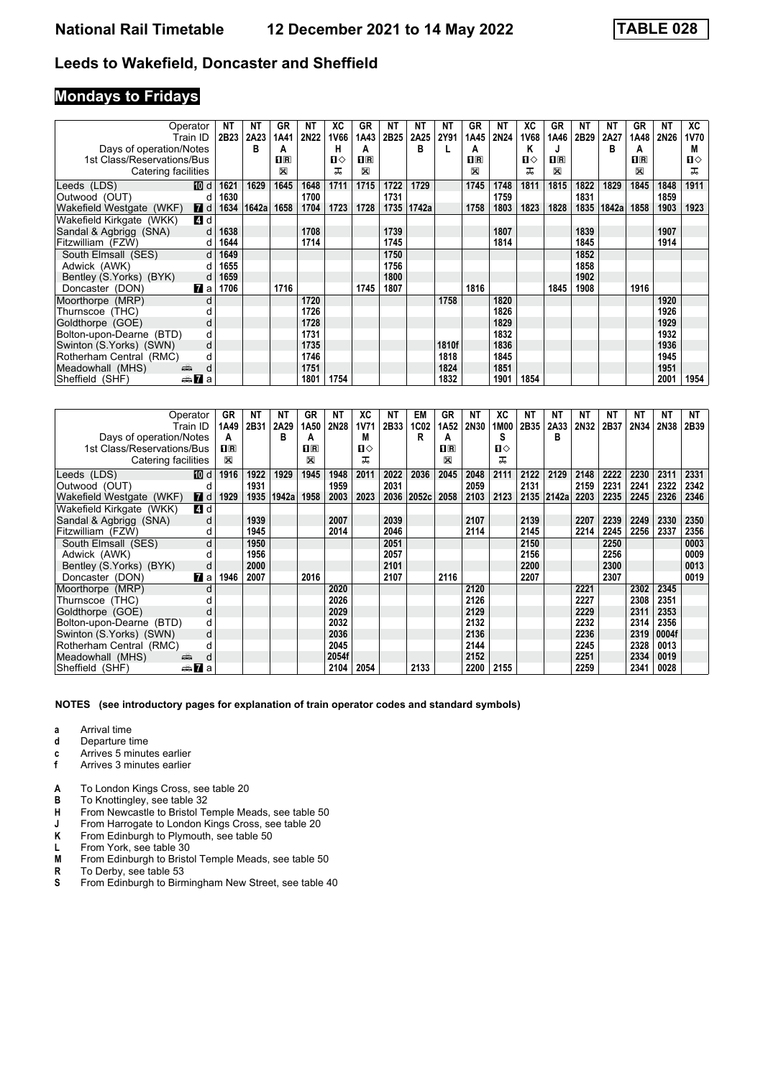## **Mondays to Fridays**

|                            | Operator        | NΤ   | NΤ    | GR                      | NΤ          | ХC   | <b>GR</b> | ΝT               | ΝT    | <b>NT</b> | GR      | ΝT          | ХC   | GR             | NΤ   | <b>NT</b> | GR      | ΝT          | XC           |
|----------------------------|-----------------|------|-------|-------------------------|-------------|------|-----------|------------------|-------|-----------|---------|-------------|------|----------------|------|-----------|---------|-------------|--------------|
|                            | Train ID        | 2B23 | 2A23  | 1A41                    | <b>2N22</b> | 1V66 | 1A43      | 2B <sub>25</sub> | 2A25  | 2Y91      | 1A45    | <b>2N24</b> | 1V68 | 1A46           | 2B29 | 2A27      | 1A48    | <b>2N26</b> | 1V70         |
| Days of operation/Notes    |                 |      | в     | A                       |             | н    | A         |                  | в     |           | А       |             | ĸ    |                |      | R         | А       |             | M            |
| 1st Class/Reservations/Bus |                 |      |       | $\overline{\mathbf{H}}$ |             | п⇔   | $\Pi$ R   |                  |       |           | $\Pi$ R |             | п⇔   | $\mathbf{1}$ R |      |           | $\Pi$ R |             | $\mathbf{u}$ |
| Catering facilities        |                 |      |       | ⊠                       |             | ᅚ    | X         |                  |       |           | ⊠       |             | ᠼ    | X              |      |           | X       |             | ᅚ            |
| Leeds (LDS)                | 10 d            | 1621 | 1629  | 1645                    | 1648        | 1711 | 1715      | 1722             | 1729  |           | 1745    | 1748        | 1811 | 1815           | 1822 | 1829      | 1845    | 1848        | 1911         |
| Outwood (OUT)              | d               | 1630 |       |                         | 1700        |      |           | 1731             |       |           |         | 1759        |      |                | 1831 |           |         | 1859        |              |
| Wakefield Westgate (WKF)   | <b>7</b> d      | 1634 | 1642a | 1658                    | 1704        | 1723 | 1728      | 1735             | 1742a |           | 1758    | 1803        | 1823 | 1828           | 1835 | 1842a     | 1858    | 1903        | 1923         |
| Wakefield Kirkgate (WKK)   | 4 d             |      |       |                         |             |      |           |                  |       |           |         |             |      |                |      |           |         |             |              |
| Sandal & Agbrigg (SNA)     | d               | 1638 |       |                         | 1708        |      |           | 1739             |       |           |         | 1807        |      |                | 1839 |           |         | 1907        |              |
| Fitzwilliam (FZW)          | d               | 1644 |       |                         | 1714        |      |           | 1745             |       |           |         | 1814        |      |                | 1845 |           |         | 1914        |              |
| South Elmsall (SES)        | d               | 1649 |       |                         |             |      |           | 1750             |       |           |         |             |      |                | 1852 |           |         |             |              |
| Adwick (AWK)               | d               | 1655 |       |                         |             |      |           | 1756             |       |           |         |             |      |                | 1858 |           |         |             |              |
| Bentley (S.Yorks) (BYK)    | d               | 1659 |       |                         |             |      |           | 1800             |       |           |         |             |      |                | 1902 |           |         |             |              |
| Doncaster (DON)            | <b>7</b> ∎a     | 1706 |       | 1716                    |             |      | 1745      | 1807             |       |           | 1816    |             |      | 1845           | 1908 |           | 1916    |             |              |
| Moorthorpe (MRP)           | d               |      |       |                         | 1720        |      |           |                  |       | 1758      |         | 1820        |      |                |      |           |         | 1920        |              |
| Thurnscoe (THC)            |                 |      |       |                         | 1726        |      |           |                  |       |           |         | 1826        |      |                |      |           |         | 1926        |              |
| Goldthorpe (GOE)           | d               |      |       |                         | 1728        |      |           |                  |       |           |         | 1829        |      |                |      |           |         | 1929        |              |
| Bolton-upon-Dearne (BTD)   | d               |      |       |                         | 1731        |      |           |                  |       |           |         | 1832        |      |                |      |           |         | 1932        |              |
| Swinton (S. Yorks) (SWN)   | d               |      |       |                         | 1735        |      |           |                  |       | 1810f     |         | 1836        |      |                |      |           |         | 1936        |              |
| Rotherham Central (RMC)    | d               |      |       |                         | 1746        |      |           |                  |       | 1818      |         | 1845        |      |                |      |           |         | 1945        |              |
| Meadowhall (MHS)           | پیش<br>d        |      |       |                         | 1751        |      |           |                  |       | 1824      |         | 1851        |      |                |      |           |         | 1951        |              |
| Sheffield (SHF)            | <del>⊯</del> ∎a |      |       |                         | 1801        | 1754 |           |                  |       | 1832      |         | 1901        | 1854 |                |      |           |         | 2001        | 1954         |

|                            | Operator         | GR      | ΝT   | ΝT    | GR      | NΤ    | XC          | NΤ   | EM    | GR               | ΝT          | ХC   | <b>NT</b> | NΤ    | NΤ   | NΤ   | NT   | <b>NT</b> | NT   |
|----------------------------|------------------|---------|------|-------|---------|-------|-------------|------|-------|------------------|-------------|------|-----------|-------|------|------|------|-----------|------|
|                            | Train ID         | 1A49    | 2B31 | 2A29  | 1A50    | 2N28  | <b>1V71</b> | 2B33 | 1C02  | 1A <sub>52</sub> | <b>2N30</b> | 1M00 | 2B35      | 2A33  | 2N32 | 2B37 | 2N34 | 2N38      | 2B39 |
| Days of operation/Notes    |                  | A       |      | в     | А       |       | M           |      | R     | А                |             | S    |           | в     |      |      |      |           |      |
| 1st Class/Reservations/Bus |                  | $\Pi$ R |      |       | $\Pi$ R |       | п⇔          |      |       | $n_{\rm R}$      |             | п⇔   |           |       |      |      |      |           |      |
| Catering facilities        |                  | X       |      |       | ⊠       |       | ᅚ           |      |       | X                |             | ᠼ    |           |       |      |      |      |           |      |
| Leeds (LDS)                | 10 d             | 1916    | 1922 | 1929  | 1945    | 1948  | 2011        | 2022 | 2036  | 2045             | 2048        | 2111 | 2122      | 2129  | 2148 | 2222 | 2230 | 2311      | 2331 |
| Outwood (OUT)              |                  |         | 1931 |       |         | 1959  |             | 2031 |       |                  | 2059        |      | 2131      |       | 2159 | 2231 | 2241 | 2322      | 2342 |
| Wakefield Westgate (WKF)   | <b>7</b> d       | 1929    | 1935 | 1942a | 1958    | 2003  | 2023        | 2036 | 2052c | 2058             | 2103        | 2123 | 2135      | 2142a | 2203 | 2235 | 2245 | 2326      | 2346 |
| Wakefield Kirkgate (WKK)   | 4 d              |         |      |       |         |       |             |      |       |                  |             |      |           |       |      |      |      |           |      |
| Sandal & Agbrigg (SNA)     | d                |         | 1939 |       |         | 2007  |             | 2039 |       |                  | 2107        |      | 2139      |       | 2207 | 2239 | 2249 | 2330      | 2350 |
| Fitzwilliam (FZW)          | d                |         | 1945 |       |         | 2014  |             | 2046 |       |                  | 2114        |      | 2145      |       | 2214 | 2245 | 2256 | 2337      | 2356 |
| South Elmsall (SES)        | d                |         | 1950 |       |         |       |             | 2051 |       |                  |             |      | 2150      |       |      | 2250 |      |           | 0003 |
| Adwick (AWK)               |                  |         | 1956 |       |         |       |             | 2057 |       |                  |             |      | 2156      |       |      | 2256 |      |           | 0009 |
| Bentley (S.Yorks) (BYK)    | d                |         | 2000 |       |         |       |             | 2101 |       |                  |             |      | 2200      |       |      | 2300 |      |           | 0013 |
| Doncaster (DON)            | $\mathbf{z}$ a   | 1946    | 2007 |       | 2016    |       |             | 2107 |       | 2116             |             |      | 2207      |       |      | 2307 |      |           | 0019 |
| Moorthorpe (MRP)           | d                |         |      |       |         | 2020  |             |      |       |                  | 2120        |      |           |       | 2221 |      | 2302 | 2345      |      |
| Thurnscoe (THC)            |                  |         |      |       |         | 2026  |             |      |       |                  | 2126        |      |           |       | 2227 |      | 2308 | 2351      |      |
| Goldthorpe (GOE)           | d                |         |      |       |         | 2029  |             |      |       |                  | 2129        |      |           |       | 2229 |      | 2311 | 2353      |      |
| Bolton-upon-Dearne (BTD)   | d                |         |      |       |         | 2032  |             |      |       |                  | 2132        |      |           |       | 2232 |      | 2314 | 2356      |      |
| Swinton (S.Yorks) (SWN)    | d                |         |      |       |         | 2036  |             |      |       |                  | 2136        |      |           |       | 2236 |      | 2319 | 0004f     |      |
| Rotherham Central (RMC)    | d                |         |      |       |         | 2045  |             |      |       |                  | 2144        |      |           |       | 2245 |      | 2328 | 0013      |      |
| Meadowhall (MHS)           | پته<br>d         |         |      |       |         | 2054f |             |      |       |                  | 2152        |      |           |       | 2251 |      | 2334 | 0019      |      |
| Sheffield (SHF)            | <del>⊯</del> 7aa |         |      |       |         | 2104  | 2054        |      | 2133  |                  | 2200        | 2155 |           |       | 2259 |      | 2341 | 0028      |      |

- **a** Arrival time<br>**d** Departure t
- **d** Departure time
- **c** Arrives 5 minutes earlier<br>**f** Arrives 3 minutes earlier
- **f** Arrives 3 minutes earlier
- A To London Kings Cross, see table 20
- **B** To Knottingley, see table 32<br>**H** From Newcastle to Bristol Te
- **+** From Newcastle to Bristol Temple Meads, see table 50<br>**4** From Harrogate to London Kings Cross, see table 20
- **J** From Harrogate to London Kings Cross, see table 20<br>**K** From Edinburgh to Plymouth. see table 50
- **K** From Edinburgh to Plymouth, see table 50<br>**L** From York, see table 30
- **L** From York, see table 30<br>**M** From Edinburgh to Briste
- **0** From Edinburgh to Bristol Temple Meads, see table 50<br>**R** To Derby, see table 53
- To Derby, see table 53
- **6** From Edinburgh to Birmingham New Street, see table 40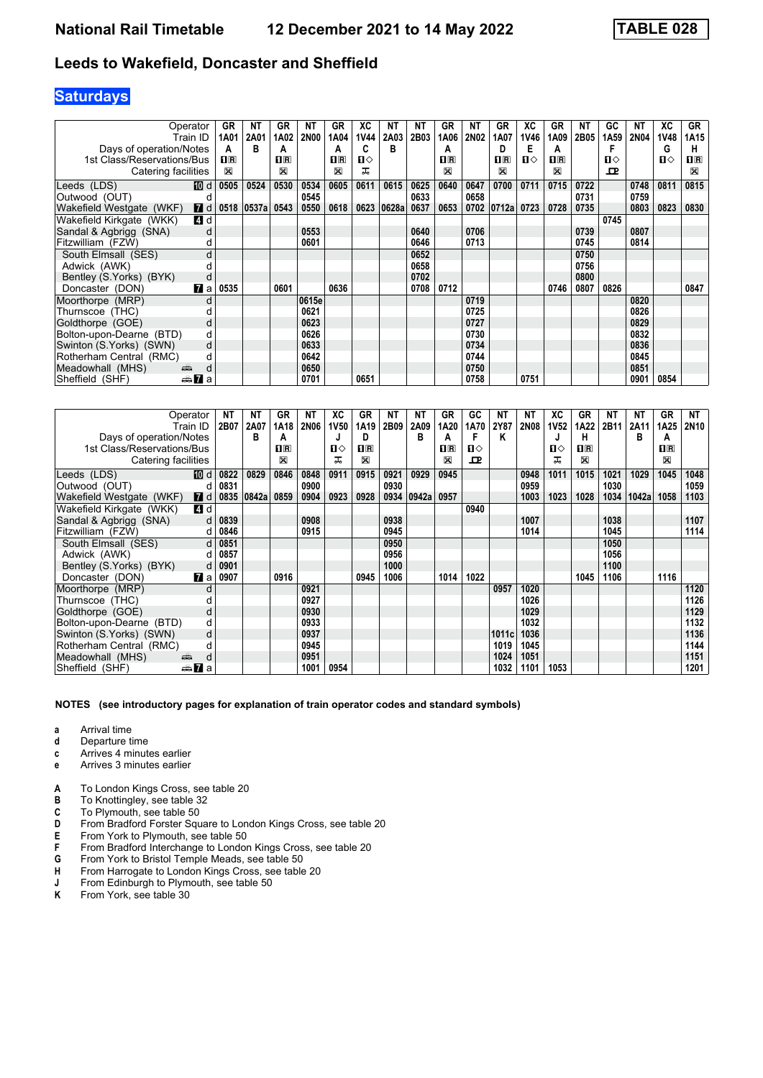# **Saturdays**

|                            | Operator         | GR          | NΤ    | GR                 | NΤ          | GR                                              | ХC           | ΝT    | <b>NT</b> | GR      | NΤ          | GR                      | XC           | GR             | <b>NT</b> | GC           | <b>NT</b>   | ХC          | <b>GR</b>      |
|----------------------------|------------------|-------------|-------|--------------------|-------------|-------------------------------------------------|--------------|-------|-----------|---------|-------------|-------------------------|--------------|----------------|-----------|--------------|-------------|-------------|----------------|
|                            | Train ID         | 1A01        | 2A01  | 1A02               | <b>2N00</b> | 1A04                                            | 1V44         | 2A03  | 2B03      | 1A06    | <b>2N02</b> | 1A07                    | 1V46         | 1A09           | 2B05      | 1A59         | <b>2N04</b> | <b>1V48</b> | 1A15           |
| Days of operation/Notes    |                  | А           | B     | А                  |             | А                                               | c            | в     |           | А       |             | D                       | Е            | A              |           |              |             | G           | н              |
| 1st Class/Reservations/Bus |                  | $\Pi$ R     |       | $\Pi$ <sub>R</sub> |             | $\overline{\mathbf{H}}$ $\overline{\mathbf{R}}$ | $\mathbf{u}$ |       |           | $\Pi$ R |             | $\overline{\mathbf{B}}$ | $\mathbf{u}$ | $\mathbf{I}$ R |           | $\mathbf{u}$ |             | ்ப          | $\mathbf{H}$ R |
| Catering facilities        |                  | $\boxtimes$ |       | X                  |             | ⊠                                               | ᅚ            |       |           | X       |             | X                       |              | X              |           | $\mathbf{P}$ |             |             | X              |
| Leeds (LDS)                | [10] d           | 0505        | 0524  | 0530               | 0534        | 0605                                            | 0611         | 0615  | 0625      | 0640    | 0647        | 0700                    | 0711         | 0715           | 0722      |              | 0748        | 0811        | 0815           |
| Outwood (OUT)              | d                |             |       |                    | 0545        |                                                 |              |       | 0633      |         | 0658        |                         |              |                | 0731      |              | 0759        |             |                |
| Wakefield Westgate (WKF)   | $\blacksquare$ d | 0518        | 0537a | 0543               | 0550        | 0618                                            | 0623         | 0628a | 0637      | 0653    | 0702        | 0712a                   | 0723         | 0728           | 0735      |              | 0803        | 0823        | 0830           |
| Wakefield Kirkgate (WKK)   | 4 d              |             |       |                    |             |                                                 |              |       |           |         |             |                         |              |                |           | 0745         |             |             |                |
| Sandal & Agbrigg (SNA)     | d                |             |       |                    | 0553        |                                                 |              |       | 0640      |         | 0706        |                         |              |                | 0739      |              | 0807        |             |                |
| Fitzwilliam (FZW)          | d                |             |       |                    | 0601        |                                                 |              |       | 0646      |         | 0713        |                         |              |                | 0745      |              | 0814        |             |                |
| South Elmsall (SES)        | d                |             |       |                    |             |                                                 |              |       | 0652      |         |             |                         |              |                | 0750      |              |             |             |                |
| Adwick (AWK)               |                  |             |       |                    |             |                                                 |              |       | 0658      |         |             |                         |              |                | 0756      |              |             |             |                |
| Bentley (S. Yorks) (BYK)   | d                |             |       |                    |             |                                                 |              |       | 0702      |         |             |                         |              |                | 0800      |              |             |             |                |
| Doncaster (DON)            | <b>7</b> a       | 0535        |       | 0601               |             | 0636                                            |              |       | 0708      | 0712    |             |                         |              | 0746           | 0807      | 0826         |             |             | 0847           |
| Moorthorpe (MRP)           | d                |             |       |                    | 0615e       |                                                 |              |       |           |         | 0719        |                         |              |                |           |              | 0820        |             |                |
| Thurnscoe (THC)            |                  |             |       |                    | 0621        |                                                 |              |       |           |         | 0725        |                         |              |                |           |              | 0826        |             |                |
| Goldthorpe (GOE)           | d                |             |       |                    | 0623        |                                                 |              |       |           |         | 0727        |                         |              |                |           |              | 0829        |             |                |
| Bolton-upon-Dearne (BTD)   | d                |             |       |                    | 0626        |                                                 |              |       |           |         | 0730        |                         |              |                |           |              | 0832        |             |                |
| Swinton (S. Yorks) (SWN)   | d                |             |       |                    | 0633        |                                                 |              |       |           |         | 0734        |                         |              |                |           |              | 0836        |             |                |
| Rotherham Central (RMC)    | d                |             |       |                    | 0642        |                                                 |              |       |           |         | 0744        |                         |              |                |           |              | 0845        |             |                |
| Meadowhall (MHS)           | añ,<br>d         |             |       |                    | 0650        |                                                 |              |       |           |         | 0750        |                         |              |                |           |              | 0851        |             |                |
| Sheffield (SHF)            | <del>⊯</del> ∎a  |             |       |                    | 0701        |                                                 | 0651         |       |           |         | 0758        |                         | 0751         |                |           |              | 0901        | 0854        |                |

|                            | Operator               | ΝT   | ΝT    | GR                      | ΝT          | XC   | GR      | ΝT   | ΝT    | GR      | GC   | NΤ    | ΝT          | ХC           | GR      | ΝT   | NΤ    | GR          | NT          |
|----------------------------|------------------------|------|-------|-------------------------|-------------|------|---------|------|-------|---------|------|-------|-------------|--------------|---------|------|-------|-------------|-------------|
|                            | Train ID               | 2B07 | 2A07  | 1A18                    | <b>2N06</b> | 1V50 | 1A19    | 2B09 | 2A09  | 1A20    | 1A70 | 2Y87  | <b>2N08</b> | <b>1V52</b>  | 1A22    | 2B11 | 2A11  | 1A25        | <b>2N10</b> |
| Days of operation/Notes    |                        |      | в     | A                       |             | J    | D       |      | в     | А       | F    | Κ     |             | J            | н       |      | в     | A           |             |
| 1st Class/Reservations/Bus |                        |      |       | $\overline{\mathbf{H}}$ |             | п⇔   | $\Pi$ R |      |       | $\Pi$ R | Ⅱ♦   |       |             | $\mathbf{u}$ | $\Pi$ R |      |       | $n_{\rm R}$ |             |
| Catering facilities        |                        |      |       | X                       |             | ᠼ    | ⊠       |      |       | ⊠       | ᇁ    |       |             | ᠼ            | X       |      |       | $\boxtimes$ |             |
| Leeds (LDS)                | <b>M</b> d             | 0822 | 0829  | 0846                    | 0848        | 0911 | 0915    | 0921 | 0929  | 0945    |      |       | 0948        | 1011         | 1015    | 1021 | 1029  | 1045        | 1048        |
| Outwood (OUT)              | d                      | 0831 |       |                         | 0900        |      |         | 0930 |       |         |      |       | 0959        |              |         | 1030 |       |             | 1059        |
| Wakefield Westgate (WKF)   | <b>7</b> d             | 0835 | 0842a | 0859                    | 0904        | 0923 | 0928    | 0934 | 0942a | 0957    |      |       | 1003        | 1023         | 1028    | 1034 | 1042a | 1058        | 1103        |
| Wakefield Kirkgate (WKK)   | 4 d                    |      |       |                         |             |      |         |      |       |         | 0940 |       |             |              |         |      |       |             |             |
| Sandal & Agbrigg (SNA)     | d                      | 0839 |       |                         | 0908        |      |         | 0938 |       |         |      |       | 1007        |              |         | 1038 |       |             | 1107        |
| Fitzwilliam (FZW)          | d                      | 0846 |       |                         | 0915        |      |         | 0945 |       |         |      |       | 1014        |              |         | 1045 |       |             | 1114        |
| South Elmsall (SES)        | d                      | 0851 |       |                         |             |      |         | 0950 |       |         |      |       |             |              |         | 1050 |       |             |             |
| Adwick (AWK)               | d                      | 0857 |       |                         |             |      |         | 0956 |       |         |      |       |             |              |         | 1056 |       |             |             |
| Bentley (S.Yorks) (BYK)    | d                      | 0901 |       |                         |             |      |         | 1000 |       |         |      |       |             |              |         | 1100 |       |             |             |
| Doncaster (DON)            | 7 a                    | 0907 |       | 0916                    |             |      | 0945    | 1006 |       | 1014    | 1022 |       |             |              | 1045    | 1106 |       | 1116        |             |
| Moorthorpe (MRP)           | d                      |      |       |                         | 0921        |      |         |      |       |         |      | 0957  | 1020        |              |         |      |       |             | 1120        |
| Thurnscoe (THC)            | d                      |      |       |                         | 0927        |      |         |      |       |         |      |       | 1026        |              |         |      |       |             | 1126        |
| Goldthorpe (GOE)           | d                      |      |       |                         | 0930        |      |         |      |       |         |      |       | 1029        |              |         |      |       |             | 1129        |
| Bolton-upon-Dearne (BTD)   | d                      |      |       |                         | 0933        |      |         |      |       |         |      |       | 1032        |              |         |      |       |             | 1132        |
| Swinton (S. Yorks) (SWN)   | d                      |      |       |                         | 0937        |      |         |      |       |         |      | 1011c | 1036        |              |         |      |       |             | 1136        |
| Rotherham Central (RMC)    | d                      |      |       |                         | 0945        |      |         |      |       |         |      | 1019  | 1045        |              |         |      |       |             | 1144        |
| Meadowhall (MHS)           | d<br>پېښ               |      |       |                         | 0951        |      |         |      |       |         |      | 1024  | 1051        |              |         |      |       |             | 1151        |
| Sheffield (SHF)            | anna <mark>7</mark> ∎a |      |       |                         | 1001        | 0954 |         |      |       |         |      | 1032  | 1101        | 1053         |         |      |       |             | 1201        |

- **a** Arrival time<br>**d** Departure t
- **d** Departure time
- **c** Arrives 4 minutes earlier<br>**e** Arrives 3 minutes earlier
- **e** Arrives 3 minutes earlier
- A To London Kings Cross, see table 20
- **B** To Knottingley, see table 32<br>**C** To Plymouth, see table 50
- **C** To Plymouth, see table 50<br>**D** From Bradford Forster Squ
- **D** From Bradford Forster Square to London Kings Cross, see table 20<br>**E** From York to Plymouth. see table 50
- 
- **E** From York to Plymouth, see table 50<br>**F** From Bradford Interchange to Londor **F** From Bradford Interchange to London Kings Cross, see table 20<br>**G** From York to Bristol Temple Meads, see table 50
- **G** From York to Bristol Temple Meads, see table 50
- **H** From Harrogate to London Kings Cross, see table 20
- **-** From Edinburgh to Plymouth, see table 50<br>**K** From York, see table 30
- From York, see table 30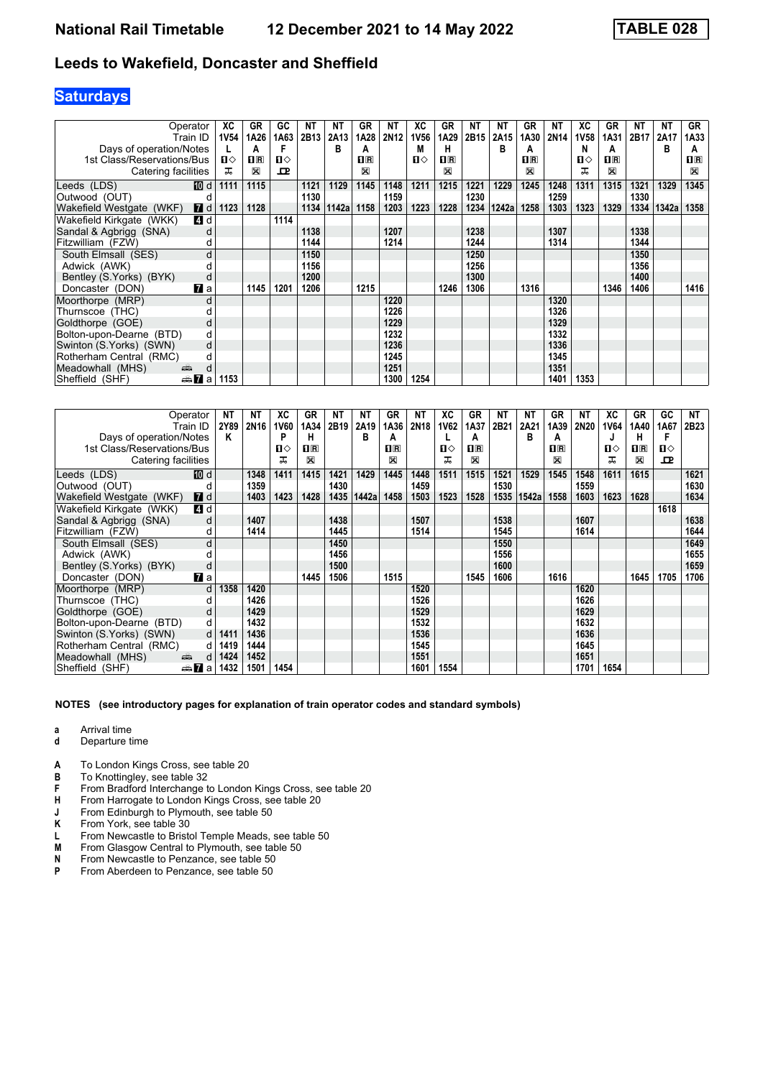# **Saturdays**

|                            | Operator              | XC           | GR                      | GC   | NΤ   | NΤ    | GR   | NΤ   | ХC   | GR                      | NΤ   | <b>NT</b> | GR          | NΤ   | XC          | GR      | NΤ   | <b>NT</b> | GR             |
|----------------------------|-----------------------|--------------|-------------------------|------|------|-------|------|------|------|-------------------------|------|-----------|-------------|------|-------------|---------|------|-----------|----------------|
|                            | Train ID              | <b>1V54</b>  | 1A26                    | 1A63 | 2B13 | 2A13  | 1A28 | 2N12 | 1V56 | 1A29                    | 2B15 | 2A15      | 1A30        | 2N14 | <b>1V58</b> | 1A31    | 2B17 | 2A17      | 1A33           |
| Days of operation/Notes    |                       |              | А                       |      |      | B     | А    |      | М    | н                       |      | в         | А           |      | N           | A       |      | в         | A              |
| 1st Class/Reservations/Bus |                       | $\mathbf{n}$ | $\mathbf{1} \mathbf{R}$ | п⇔   |      |       | ПR   |      | п⇔   | $\overline{\mathbf{R}}$ |      |           | $n_{\rm R}$ |      | ப⇔          | $\Pi$ R |      |           | $\mathbf{H}$ R |
| Catering facilities        |                       | ᠼ            | X                       | ᅭ    |      |       | ⊠    |      |      | ⊠                       |      |           | 図           |      | ᠼ           | X       |      |           | $\boxtimes$    |
| Leeds (LDS)                | [10] d                | 1111         | 1115                    |      | 1121 | 1129  | 1145 | 1148 | 1211 | 1215                    | 1221 | 1229      | 1245        | 1248 | 1311        | 1315    | 1321 | 1329      | 1345           |
| Outwood (OUT)              |                       |              |                         |      | 1130 |       |      | 1159 |      |                         | 1230 |           |             | 1259 |             |         | 1330 |           |                |
| Wakefield Westgate (WKF)   | $\blacksquare$ d      | 1123         | 1128                    |      | 1134 | 1142a | 1158 | 1203 | 1223 | 1228                    | 1234 | 1242a     | 1258        | 1303 | 1323        | 1329    | 1334 | 1342a     | 1358           |
| Wakefield Kirkgate (WKK)   | 4 d                   |              |                         | 1114 |      |       |      |      |      |                         |      |           |             |      |             |         |      |           |                |
| Sandal & Agbrigg (SNA)     | d                     |              |                         |      | 1138 |       |      | 1207 |      |                         | 1238 |           |             | 1307 |             |         | 1338 |           |                |
| Fitzwilliam (FZW)          | d                     |              |                         |      | 1144 |       |      | 1214 |      |                         | 1244 |           |             | 1314 |             |         | 1344 |           |                |
| South Elmsall (SES)        | d                     |              |                         |      | 1150 |       |      |      |      |                         | 1250 |           |             |      |             |         | 1350 |           |                |
| Adwick (AWK)               |                       |              |                         |      | 1156 |       |      |      |      |                         | 1256 |           |             |      |             |         | 1356 |           |                |
| Bentley (S.Yorks) (BYK)    | d                     |              |                         |      | 1200 |       |      |      |      |                         | 1300 |           |             |      |             |         | 1400 |           |                |
| Doncaster (DON)            | $\mathbf{z}$ a        |              | 1145                    | 1201 | 1206 |       | 1215 |      |      | 1246                    | 1306 |           | 1316        |      |             | 1346    | 1406 |           | 1416           |
| Moorthorpe (MRP)           | d                     |              |                         |      |      |       |      | 1220 |      |                         |      |           |             | 1320 |             |         |      |           |                |
| Thurnscoe (THC)            |                       |              |                         |      |      |       |      | 1226 |      |                         |      |           |             | 1326 |             |         |      |           |                |
| Goldthorpe (GOE)           | d                     |              |                         |      |      |       |      | 1229 |      |                         |      |           |             | 1329 |             |         |      |           |                |
| Bolton-upon-Dearne (BTD)   | d                     |              |                         |      |      |       |      | 1232 |      |                         |      |           |             | 1332 |             |         |      |           |                |
| Swinton (S.Yorks) (SWN)    | d                     |              |                         |      |      |       |      | 1236 |      |                         |      |           |             | 1336 |             |         |      |           |                |
| Rotherham Central (RMC)    | d                     |              |                         |      |      |       |      | 1245 |      |                         |      |           |             | 1345 |             |         |      |           |                |
| Meadowhall (MHS)           | d<br>پېښ              |              |                         |      |      |       |      | 1251 |      |                         |      |           |             | 1351 |             |         |      |           |                |
| Sheffield (SHF)            | dan <mark>7a</mark> a | 1153         |                         |      |      |       |      | 1300 | 1254 |                         |      |           |             | 1401 | 1353        |         |      |           |                |

|                            | Operator             | NΤ   | NΤ               | ХC   | <b>GR</b>    | NΤ   | ΝT    | <b>GR</b> | NΤ               | XC   | GR                                              | ΝT   | NΤ    | GR          | NΤ   | ХC          | GR           | GC    | NT   |
|----------------------------|----------------------|------|------------------|------|--------------|------|-------|-----------|------------------|------|-------------------------------------------------|------|-------|-------------|------|-------------|--------------|-------|------|
|                            | Train ID             | 2Y89 | 2N <sub>16</sub> | 1V60 | 1A34         | 2B19 | 2A19  | 1A36      | 2N <sub>18</sub> | 1V62 | 1A37                                            | 2B21 | 2A21  | 1A39        | 2N20 | <b>1V64</b> | 1A40         | 1A67  | 2B23 |
| Days of operation/Notes    |                      | Κ    |                  | P    | н            |      | в     | A         |                  |      | A                                               |      | в     | A           |      |             | н            |       |      |
| 1st Class/Reservations/Bus |                      |      |                  | п⇔   | $n_{\rm{R}}$ |      |       | $n_{R}$   |                  | п⇔   | $\overline{\mathbf{H}}$ $\overline{\mathbf{R}}$ |      |       | $n_{\rm R}$ |      | ப⇔          | $\mathbf{H}$ | $\Pi$ |      |
| Catering facilities        |                      |      |                  | ᅚ    | ⊠            |      |       | X         |                  | ᠼ    | X                                               |      |       | X           |      | ᠼ           | X            | ᅭ     |      |
| Leeds (LDS)                | [10] d               |      | 1348             | 1411 | 1415         | 1421 | 1429  | 1445      | 1448             | 1511 | 1515                                            | 1521 | 1529  | 1545        | 1548 | 1611        | 1615         |       | 1621 |
| Outwood (OUT)              | d                    |      | 1359             |      |              | 1430 |       |           | 1459             |      |                                                 | 1530 |       |             | 1559 |             |              |       | 1630 |
| Wakefield Westgate (WKF)   | <b>7</b> d           |      | 1403             | 1423 | 1428         | 1435 | 1442a | 1458      | 1503             | 1523 | 1528                                            | 1535 | 1542a | 1558        | 1603 | 1623        | 1628         |       | 1634 |
| Wakefield Kirkgate (WKK)   | 4 d                  |      |                  |      |              |      |       |           |                  |      |                                                 |      |       |             |      |             |              | 1618  |      |
| Sandal & Agbrigg (SNA)     | d                    |      | 1407             |      |              | 1438 |       |           | 1507             |      |                                                 | 1538 |       |             | 1607 |             |              |       | 1638 |
| Fitzwilliam (FZW)          |                      |      | 1414             |      |              | 1445 |       |           | 1514             |      |                                                 | 1545 |       |             | 1614 |             |              |       | 1644 |
| South Elmsall (SES)        | d                    |      |                  |      |              | 1450 |       |           |                  |      |                                                 | 1550 |       |             |      |             |              |       | 1649 |
| Adwick (AWK)               |                      |      |                  |      |              | 1456 |       |           |                  |      |                                                 | 1556 |       |             |      |             |              |       | 1655 |
| Bentley (S. Yorks) (BYK)   | d                    |      |                  |      |              | 1500 |       |           |                  |      |                                                 | 1600 |       |             |      |             |              |       | 1659 |
| Doncaster (DON)            | <b>7</b> a           |      |                  |      | 1445         | 1506 |       | 1515      |                  |      | 1545                                            | 1606 |       | 1616        |      |             | 1645         | 1705  | 1706 |
| Moorthorpe (MRP)           | d                    | 1358 | 1420             |      |              |      |       |           | 1520             |      |                                                 |      |       |             | 1620 |             |              |       |      |
| Thurnscoe (THC)            |                      |      | 1426             |      |              |      |       |           | 1526             |      |                                                 |      |       |             | 1626 |             |              |       |      |
| Goldthorpe (GOE)           | d                    |      | 1429             |      |              |      |       |           | 1529             |      |                                                 |      |       |             | 1629 |             |              |       |      |
| Bolton-upon-Dearne (BTD)   | d                    |      | 1432             |      |              |      |       |           | 1532             |      |                                                 |      |       |             | 1632 |             |              |       |      |
| Swinton (S. Yorks) (SWN)   | d                    | 1411 | 1436             |      |              |      |       |           | 1536             |      |                                                 |      |       |             | 1636 |             |              |       |      |
| Rotherham Central (RMC)    | d                    | 1419 | 1444             |      |              |      |       |           | 1545             |      |                                                 |      |       |             | 1645 |             |              |       |      |
| Meadowhall (MHS)<br>پیش    | d                    | 1424 | 1452             |      |              |      |       |           | 1551             |      |                                                 |      |       |             | 1651 |             |              |       |      |
| Sheffield (SHF)            | dan <mark>7</mark> a | 1432 | 1501             | 1454 |              |      |       |           | 1601             | 1554 |                                                 |      |       |             | 1701 | 1654        |              |       |      |

- **a** Arrival time<br>**d** Departure t
- **d** Departure time
- 
- **A** To London Kings Cross, see table 20<br>**B** To Knottingley, see table 32 **B** To Knottingley, see table 32
- **F** From Bradford Interchange to London Kings Cross, see table 20
- 
- **+** From Harrogate to London Kings Cross, see table 20<br>**J** From Edinburgh to Plymouth, see table 50 **J** From Edinburgh to Plymouth, see table 50<br>**K** From York, see table 30
- **K** From York, see table 30<br>**L** From Newcastle to Brist
- L From Newcastle to Bristol Temple Meads, see table 50<br>M From Glasgow Central to Plymouth, see table 50
- **M** From Glasgow Central to Plymouth, see table 50<br>**N** From Newcastle to Penzance, see table 50
- **N** From Newcastle to Penzance, see table 50<br>**P** From Aberdeen to Penzance, see table 50
- From Aberdeen to Penzance, see table 50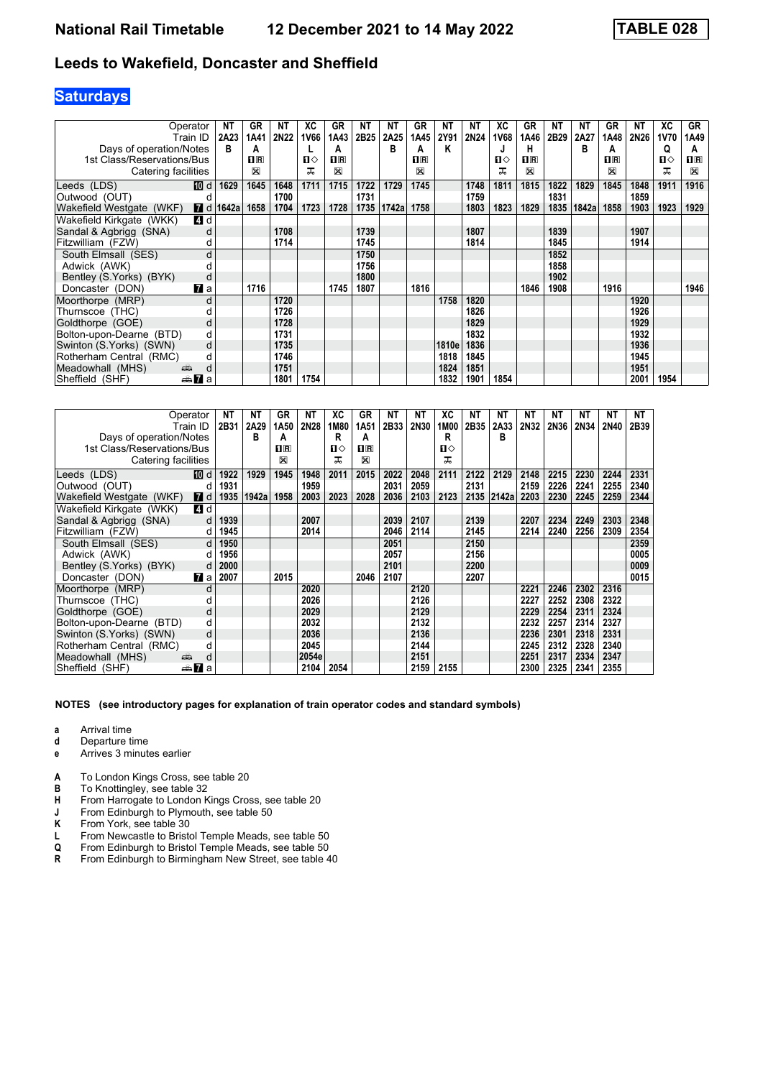# **Saturdays**

|                            | Operator        | <b>NT</b> | GR          | ΝT          | ХC   | GR             | NΤ   | ΝT    | GR   | ΝT    | NΤ   | ХC          | GR                                              | NΤ   | NΤ    | GR      | <b>NT</b> | XC   | GR           |
|----------------------------|-----------------|-----------|-------------|-------------|------|----------------|------|-------|------|-------|------|-------------|-------------------------------------------------|------|-------|---------|-----------|------|--------------|
|                            | Train ID        | 2A23      | 1A41        | <b>2N22</b> | 1V66 | 1A43           | 2B25 | 2A25  | 1A45 | 2Y91  | 2N24 | <b>1V68</b> | 1A46                                            | 2B29 | 2A27  | 1A48    | 2N26      | 1V70 | 1A49         |
| Days of operation/Notes    |                 | B         | A           |             |      | А              |      | в     | А    | Κ     |      | J           | н                                               |      | в     | А       |           | Q    | А            |
| 1st Class/Reservations/Bus |                 |           | $n_{R}$     |             | п⇔   | $\mathbf{H}$ R |      |       | nR   |       |      | п⇔          | $\overline{\mathbf{H}}$ $\overline{\mathbf{R}}$ |      |       | $\Pi$ R |           | п⇔   | $\mathbf{H}$ |
| Catering facilities        |                 |           | $\boxtimes$ |             | ᅚ    | ⊠              |      |       | X    |       |      | ᅚ           | ⊠                                               |      |       | X       |           | ᅚ    | $\boxtimes$  |
| Leeds (LDS)                | 而 d             | 1629      | 1645        | 1648        | 1711 | 1715           | 1722 | 1729  | 1745 |       | 1748 | 1811        | 1815                                            | 1822 | 1829  | 1845    | 1848      | 1911 | 1916         |
| Outwood (OUT)              | d               |           |             | 1700        |      |                | 1731 |       |      |       | 1759 |             |                                                 | 1831 |       |         | 1859      |      |              |
| Wakefield Westgate (WKF)   | <b>7</b> d      | 1642a     | 1658        | 1704        | 1723 | 1728           | 1735 | 1742a | 1758 |       | 1803 | 1823        | 1829                                            | 1835 | 1842a | 1858    | 1903      | 1923 | 1929         |
| Wakefield Kirkgate (WKK)   | 4 d             |           |             |             |      |                |      |       |      |       |      |             |                                                 |      |       |         |           |      |              |
| Sandal & Agbrigg (SNA)     | d               |           |             | 1708        |      |                | 1739 |       |      |       | 1807 |             |                                                 | 1839 |       |         | 1907      |      |              |
| Fitzwilliam (FZW)          | d               |           |             | 1714        |      |                | 1745 |       |      |       | 1814 |             |                                                 | 1845 |       |         | 1914      |      |              |
| South Elmsall (SES)        | d               |           |             |             |      |                | 1750 |       |      |       |      |             |                                                 | 1852 |       |         |           |      |              |
| Adwick (AWK)               |                 |           |             |             |      |                | 1756 |       |      |       |      |             |                                                 | 1858 |       |         |           |      |              |
| Bentley (S. Yorks) (BYK)   | d               |           |             |             |      |                | 1800 |       |      |       |      |             |                                                 | 1902 |       |         |           |      |              |
| Doncaster (DON)            | $\mathbf{z}$ a  |           | 1716        |             |      | 1745           | 1807 |       | 1816 |       |      |             | 1846                                            | 1908 |       | 1916    |           |      | 1946         |
| Moorthorpe (MRP)           | d               |           |             | 1720        |      |                |      |       |      | 1758  | 1820 |             |                                                 |      |       |         | 1920      |      |              |
| Thurnscoe (THC)            |                 |           |             | 1726        |      |                |      |       |      |       | 1826 |             |                                                 |      |       |         | 1926      |      |              |
| Goldthorpe (GOE)           | d               |           |             | 1728        |      |                |      |       |      |       | 1829 |             |                                                 |      |       |         | 1929      |      |              |
| Bolton-upon-Dearne (BTD)   | d               |           |             | 1731        |      |                |      |       |      |       | 1832 |             |                                                 |      |       |         | 1932      |      |              |
| Swinton (S.Yorks) (SWN)    | d               |           |             | 1735        |      |                |      |       |      | 1810e | 1836 |             |                                                 |      |       |         | 1936      |      |              |
| Rotherham Central (RMC)    | d               |           |             | 1746        |      |                |      |       |      | 1818  | 1845 |             |                                                 |      |       |         | 1945      |      |              |
| Meadowhall (MHS)           | æ<br>d          |           |             | 1751        |      |                |      |       |      | 1824  | 1851 |             |                                                 |      |       |         | 1951      |      |              |
| Sheffield (SHF)            | <del>⊯</del> ∎a |           |             | 1801        | 1754 |                |      |       |      | 1832  | 1901 | 1854        |                                                 |      |       |         | 2001      | 1954 |              |

|                            | Operator       | ΝT   | NΤ    | GR           | ΝT    | ХC   | GR                      | ΝT   | ΝT   | ХC   | NΤ   | ΝT    | NΤ   | NΤ   | <b>NT</b> | NΤ   | NT   |
|----------------------------|----------------|------|-------|--------------|-------|------|-------------------------|------|------|------|------|-------|------|------|-----------|------|------|
|                            | Train ID       | 2B31 | 2A29  | 1A50         | 2N28  | 1M80 | 1A51                    | 2B33 | 2N30 | 1M00 | 2B35 | 2A33  | 2N32 | 2N36 | 2N34      | 2N40 | 2B39 |
| Days of operation/Notes    |                |      | в     | A            |       | R    | А                       |      |      | R    |      | в     |      |      |           |      |      |
| 1st Class/Reservations/Bus |                |      |       | $n_{\rm{F}}$ |       | п⇔   | $\overline{\mathbf{H}}$ |      |      | п⇔   |      |       |      |      |           |      |      |
| Catering facilities        |                |      |       | X            |       | ᇁ    | ⊠                       |      |      | ᠼ    |      |       |      |      |           |      |      |
| Leeds (LDS)                | [10] d         | 1922 | 1929  | 1945         | 1948  | 2011 | 2015                    | 2022 | 2048 | 2111 | 2122 | 2129  | 2148 | 2215 | 2230      | 2244 | 2331 |
| Outwood (OUT)              | d              | 1931 |       |              | 1959  |      |                         | 2031 | 2059 |      | 2131 |       | 2159 | 2226 | 2241      | 2255 | 2340 |
| Wakefield Westgate (WKF)   | <b>7</b> d     | 1935 | 1942a | 1958         | 2003  | 2023 | 2028                    | 2036 | 2103 | 2123 | 2135 | 2142a | 2203 | 2230 | 2245      | 2259 | 2344 |
| Wakefield Kirkgate (WKK)   | 4 d            |      |       |              |       |      |                         |      |      |      |      |       |      |      |           |      |      |
| Sandal & Agbrigg (SNA)     | d              | 1939 |       |              | 2007  |      |                         | 2039 | 2107 |      | 2139 |       | 2207 | 2234 | 2249      | 2303 | 2348 |
| Fitzwilliam (FZW)          | d              | 1945 |       |              | 2014  |      |                         | 2046 | 2114 |      | 2145 |       | 2214 | 2240 | 2256      | 2309 | 2354 |
| South Elmsall (SES)        | d              | 1950 |       |              |       |      |                         | 2051 |      |      | 2150 |       |      |      |           |      | 2359 |
| Adwick (AWK)               | d              | 1956 |       |              |       |      |                         | 2057 |      |      | 2156 |       |      |      |           |      | 0005 |
| Bentley (S.Yorks) (BYK)    | d              | 2000 |       |              |       |      |                         | 2101 |      |      | 2200 |       |      |      |           |      | 0009 |
| Doncaster (DON)            | <b>z</b> a     | 2007 |       | 2015         |       |      | 2046                    | 2107 |      |      | 2207 |       |      |      |           |      | 0015 |
| Moorthorpe (MRP)           | d              |      |       |              | 2020  |      |                         |      | 2120 |      |      |       | 2221 | 2246 | 2302      | 2316 |      |
| Thurnscoe (THC)            | d              |      |       |              | 2026  |      |                         |      | 2126 |      |      |       | 2227 | 2252 | 2308      | 2322 |      |
| Goldthorpe (GOE)           | d              |      |       |              | 2029  |      |                         |      | 2129 |      |      |       | 2229 | 2254 | 2311      | 2324 |      |
| Bolton-upon-Dearne (BTD)   | d              |      |       |              | 2032  |      |                         |      | 2132 |      |      |       | 2232 | 2257 | 2314      | 2327 |      |
| Swinton (S.Yorks) (SWN)    | d              |      |       |              | 2036  |      |                         |      | 2136 |      |      |       | 2236 | 2301 | 2318      | 2331 |      |
| Rotherham Central (RMC)    | d              |      |       |              | 2045  |      |                         |      | 2144 |      |      |       | 2245 | 2312 | 2328      | 2340 |      |
| Meadowhall (MHS)           | d<br>پلیس      |      |       |              | 2054e |      |                         |      | 2151 |      |      |       | 2251 | 2317 | 2334      | 2347 |      |
| Sheffield (SHF)            | dan <b>7</b> a |      |       |              | 2104  | 2054 |                         |      | 2159 | 2155 |      |       | 2300 | 2325 | 2341      | 2355 |      |

- **a** Arrival time<br>**d** Departure t
- **d** Departure time
- **e** Arrives 3 minutes earlier
- **A** To London Kings Cross, see table 20<br>**B** To Knottingley, see table 32
- To Knottingley, see table 32
- **+** From Harrogate to London Kings Cross, see table 20<br>**J** From Edinburgh to Plymouth, see table 50
- **J** From Edinburgh to Plymouth, see table 50<br>**K** From York, see table 30
- **K** From York, see table 30<br>**L** From Newcastle to Bristo
- L From Newcastle to Bristol Temple Meads, see table 50 Q From Edinburgh to Bristol Temple Meads, see table 50
- **4** From Edinburgh to Bristol Temple Meads, see table 50<br>**R** From Edinburgh to Birmingham New Street, see table 4
- From Edinburgh to Birmingham New Street, see table 40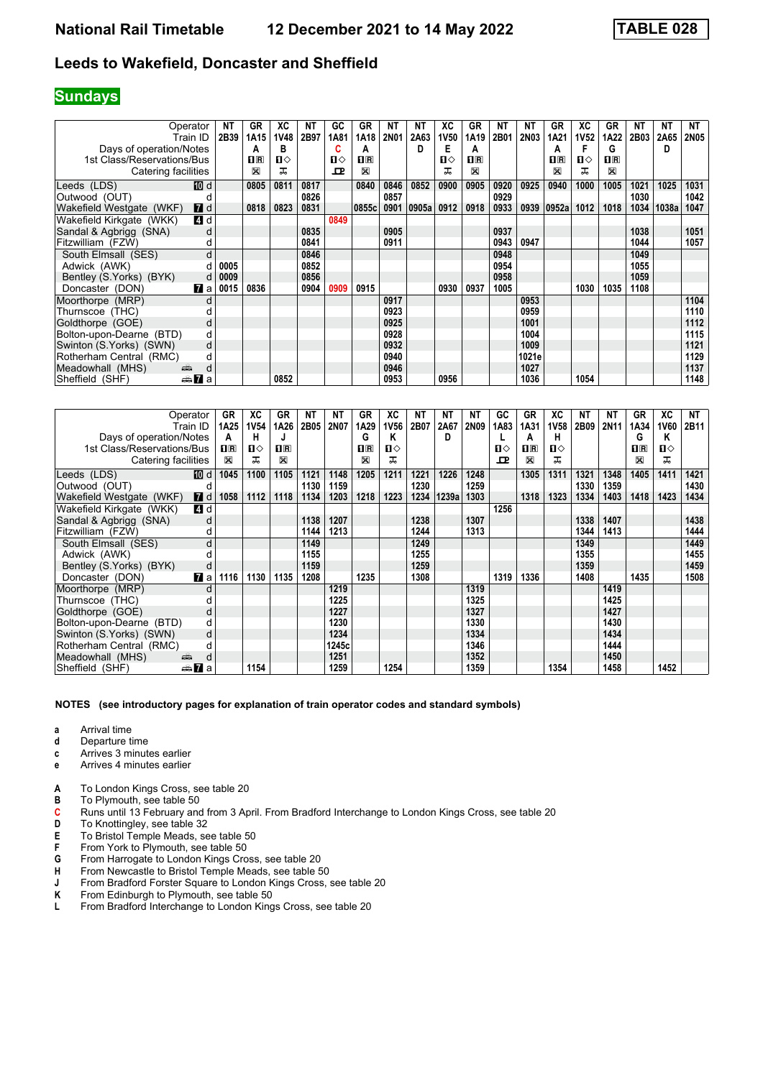### **Sundays**

|                            | Operator        | ΝT   | GR                 | XC          | NΤ   | GC           | GR                                              | NΤ          | <b>NT</b> | ХC          | GR      | <b>NT</b> | <b>NT</b>   | GR                                              | XC          | GR           | NΤ   | <b>NT</b> | NT          |
|----------------------------|-----------------|------|--------------------|-------------|------|--------------|-------------------------------------------------|-------------|-----------|-------------|---------|-----------|-------------|-------------------------------------------------|-------------|--------------|------|-----------|-------------|
|                            | Train ID        | 2B39 | 1A15               | <b>1V48</b> | 2B97 | 1A81         | 1A18                                            | <b>2N01</b> | 2A63      | <b>1V50</b> | 1A19    | 2B01      | <b>2N03</b> | 1A21                                            | <b>1V52</b> | 1A22         | 2B03 | 2A65      | <b>2N05</b> |
| Days of operation/Notes    |                 |      | A                  | в           |      | C            | A                                               |             |           | Е           | A       |           |             | А                                               | F           | G            |      | D         |             |
| 1st Class/Reservations/Bus |                 |      | $\Pi$ <sub>R</sub> | Ⅱ◇          |      | п⇔           | $\overline{\mathbf{H}}$ $\overline{\mathbf{R}}$ |             |           | п⇔          | $\Pi$ R |           |             | $\overline{\mathbf{H}}$ $\overline{\mathbf{R}}$ | П⇔          | $\mathbf{H}$ |      |           |             |
| Catering facilities        |                 |      | ⊠                  | ᅚ           |      | $\mathbf{P}$ | ⊠                                               |             |           | ᅚ           | ⊠       |           |             | X                                               | ㅈ           | $\mathbb{X}$ |      |           |             |
| Leeds (LDS)                | [10] d          |      | 0805               | 0811        | 0817 |              | 0840                                            | 0846        | 0852      | 0900        | 0905    | 0920      | 0925        | 0940                                            | 1000        | 1005         | 1021 | 1025      | 1031        |
| Outwood (OUT)              |                 |      |                    |             | 0826 |              |                                                 | 0857        |           |             |         | 0929      |             |                                                 |             |              | 1030 |           | 1042        |
| Wakefield Westgate (WKF)   | <b>7</b> d      |      | 0818               | 0823        | 0831 |              | 0855c                                           | 0901        | 0905a     | 0912        | 0918    | 0933      | 0939        | 0952a                                           | 1012        | 1018         | 1034 | 1038a     | 1047        |
| Wakefield Kirkgate (WKK)   | 4 d             |      |                    |             |      | 0849         |                                                 |             |           |             |         |           |             |                                                 |             |              |      |           |             |
| Sandal & Agbrigg (SNA)     |                 |      |                    |             | 0835 |              |                                                 | 0905        |           |             |         | 0937      |             |                                                 |             |              | 1038 |           | 1051        |
| Fitzwilliam (FZW)          | d               |      |                    |             | 0841 |              |                                                 | 0911        |           |             |         | 0943      | 0947        |                                                 |             |              | 1044 |           | 1057        |
| South Elmsall (SES)        | d               |      |                    |             | 0846 |              |                                                 |             |           |             |         | 0948      |             |                                                 |             |              | 1049 |           |             |
| Adwick (AWK)               | d               | 0005 |                    |             | 0852 |              |                                                 |             |           |             |         | 0954      |             |                                                 |             |              | 1055 |           |             |
| Bentley (S.Yorks) (BYK)    | d               | 0009 |                    |             | 0856 |              |                                                 |             |           |             |         | 0958      |             |                                                 |             |              | 1059 |           |             |
| Doncaster (DON)            | <b>7</b> a      | 0015 | 0836               |             | 0904 | 0909         | 0915                                            |             |           | 0930        | 0937    | 1005      |             |                                                 | 1030        | 1035         | 1108 |           |             |
| Moorthorpe (MRP)           | d               |      |                    |             |      |              |                                                 | 0917        |           |             |         |           | 0953        |                                                 |             |              |      |           | 1104        |
| Thurnscoe (THC)            |                 |      |                    |             |      |              |                                                 | 0923        |           |             |         |           | 0959        |                                                 |             |              |      |           | 1110        |
| Goldthorpe (GOE)           | d               |      |                    |             |      |              |                                                 | 0925        |           |             |         |           | 1001        |                                                 |             |              |      |           | 1112        |
| Bolton-upon-Dearne (BTD)   | d               |      |                    |             |      |              |                                                 | 0928        |           |             |         |           | 1004        |                                                 |             |              |      |           | 1115        |
| Swinton (S.Yorks) (SWN)    | d               |      |                    |             |      |              |                                                 | 0932        |           |             |         |           | 1009        |                                                 |             |              |      |           | 1121        |
| Rotherham Central (RMC)    | d               |      |                    |             |      |              |                                                 | 0940        |           |             |         |           | 1021e       |                                                 |             |              |      |           | 1129        |
| Meadowhall (MHS)           | پېښ<br>d        |      |                    |             |      |              |                                                 | 0946        |           |             |         |           | 1027        |                                                 |             |              |      |           | 1137        |
| Sheffield (SHF)            | <del>⊯</del> ∎a |      |                    | 0852        |      |              |                                                 | 0953        |           | 0956        |         |           | 1036        |                                                 | 1054        |              |      |           | 1148        |

|                            | Operator               | GR             | ХC          | GR             | NΤ   | <b>NT</b> | <b>GR</b>   | ХC   | NΤ   | NΤ    | ΝT          | GC   | GR                      | ХC   | ΝT   | NΤ   | GR          | ХC   | NT   |
|----------------------------|------------------------|----------------|-------------|----------------|------|-----------|-------------|------|------|-------|-------------|------|-------------------------|------|------|------|-------------|------|------|
|                            | Train ID               | 1A25           | <b>1V54</b> | 1A26           | 2B05 | 2N07      | 1A29        | 1V56 | 2B07 | 2A67  | <b>2N09</b> | 1A83 | 1A31                    | 1V58 | 2B09 | 2N11 | 1A34        | 1V60 | 2B11 |
| Days of operation/Notes    |                        | A              | н           | J              |      |           | G           | ĸ    |      | D     |             |      | A                       | н    |      |      | G           | Κ    |      |
| 1st Class/Reservations/Bus |                        | $\mathbf{H}$ R | п⇔          | $\mathbf{H}$ R |      |           | $n_{\rm R}$ | Ⅱ♦   |      |       |             | п⇔   | $\overline{\mathbf{H}}$ | ப⇔   |      |      | $n_{\rm R}$ | ்ப   |      |
| Catering facilities        |                        | $\boxtimes$    | ᠼ           | ⊠              |      |           | ⊠           | ᅚ    |      |       |             | ᇁ    | X                       | ᠼ    |      |      | $\boxtimes$ | ᠼ    |      |
| Leeds (LDS)                | [10] d                 | 1045           | 1100        | 1105           | 1121 | 1148      | 1205        | 1211 | 1221 | 1226  | 1248        |      | 1305                    | 1311 | 1321 | 1348 | 1405        | 1411 | 1421 |
| Outwood (OUT)              | a                      |                |             |                | 1130 | 1159      |             |      | 1230 |       | 1259        |      |                         |      | 1330 | 1359 |             |      | 1430 |
| Wakefield Westgate (WKF)   | <b>7</b> d             | 1058           | 1112        | 1118           | 1134 | 1203      | 1218        | 1223 | 1234 | 1239a | 1303        |      | 1318                    | 1323 | 1334 | 1403 | 1418        | 1423 | 1434 |
| Wakefield Kirkgate (WKK)   | 4 d                    |                |             |                |      |           |             |      |      |       |             | 1256 |                         |      |      |      |             |      |      |
| Sandal & Agbrigg (SNA)     | d                      |                |             |                | 1138 | 1207      |             |      | 1238 |       | 1307        |      |                         |      | 1338 | 1407 |             |      | 1438 |
| Fitzwilliam (FZW)          | d                      |                |             |                | 1144 | 1213      |             |      | 1244 |       | 1313        |      |                         |      | 1344 | 1413 |             |      | 1444 |
| South Elmsall (SES)        | d                      |                |             |                | 1149 |           |             |      | 1249 |       |             |      |                         |      | 1349 |      |             |      | 1449 |
| Adwick (AWK)               |                        |                |             |                | 1155 |           |             |      | 1255 |       |             |      |                         |      | 1355 |      |             |      | 1455 |
| Bentley (S.Yorks) (BYK)    | d                      |                |             |                | 1159 |           |             |      | 1259 |       |             |      |                         |      | 1359 |      |             |      | 1459 |
| Doncaster (DON)            | $\mathbf{z}$ a         | 1116           | 1130        | 1135           | 1208 |           | 1235        |      | 1308 |       |             | 1319 | 1336                    |      | 1408 |      | 1435        |      | 1508 |
| Moorthorpe (MRP)           | d                      |                |             |                |      | 1219      |             |      |      |       | 1319        |      |                         |      |      | 1419 |             |      |      |
| Thurnscoe (THC)            |                        |                |             |                |      | 1225      |             |      |      |       | 1325        |      |                         |      |      | 1425 |             |      |      |
| Goldthorpe (GOE)           | d                      |                |             |                |      | 1227      |             |      |      |       | 1327        |      |                         |      |      | 1427 |             |      |      |
| Bolton-upon-Dearne (BTD)   | d                      |                |             |                |      | 1230      |             |      |      |       | 1330        |      |                         |      |      | 1430 |             |      |      |
| Swinton (S.Yorks) (SWN)    | d                      |                |             |                |      | 1234      |             |      |      |       | 1334        |      |                         |      |      | 1434 |             |      |      |
| Rotherham Central (RMC)    | d                      |                |             |                |      | 1245c     |             |      |      |       | 1346        |      |                         |      |      | 1444 |             |      |      |
| Meadowhall (MHS)           | پته<br>d               |                |             |                |      | 1251      |             |      |      |       | 1352        |      |                         |      |      | 1450 |             |      |      |
| Sheffield (SHF)            | anna <mark>7</mark> ∎a |                | 1154        |                |      | 1259      |             | 1254 |      |       | 1359        |      |                         | 1354 |      | 1458 |             | 1452 |      |

- **a** Arrival time<br>**d** Departure t
- **d** Departure time
- **c** Arrives 3 minutes earlier
- **e** Arrives 4 minutes earlier
- A To London Kings Cross, see table 20
- 
- **B** To Plymouth, see table 50<br>**C** Runs until 13 February and **C** Runs until 13 February and from 3 April. From Bradford Interchange to London Kings Cross, see table 20<br>**D** To Knottingley, see table 32
- **D** To Knottingley, see table 32<br>**E** To Bristol Temple Meads. se
- **E** To Bristol Temple Meads, see table 50<br>**F** From York to Plymouth, see table 50
- **F** From York to Plymouth, see table 50<br>**G** From Harrogate to London Kings Cro
- **6** From Harrogate to London Kings Cross, see table 20<br>**H** From Newcastle to Bristol Temple Meads, see table 5
- From Newcastle to Bristol Temple Meads, see table 50
- **J** From Bradford Forster Square to London Kings Cross, see table 20<br>**K** From Edinburgh to Plymouth, see table 50
- **K** From Edinburgh to Plymouth, see table 50<br>**L** From Bradford Interchange to London King
- From Bradford Interchange to London Kings Cross, see table 20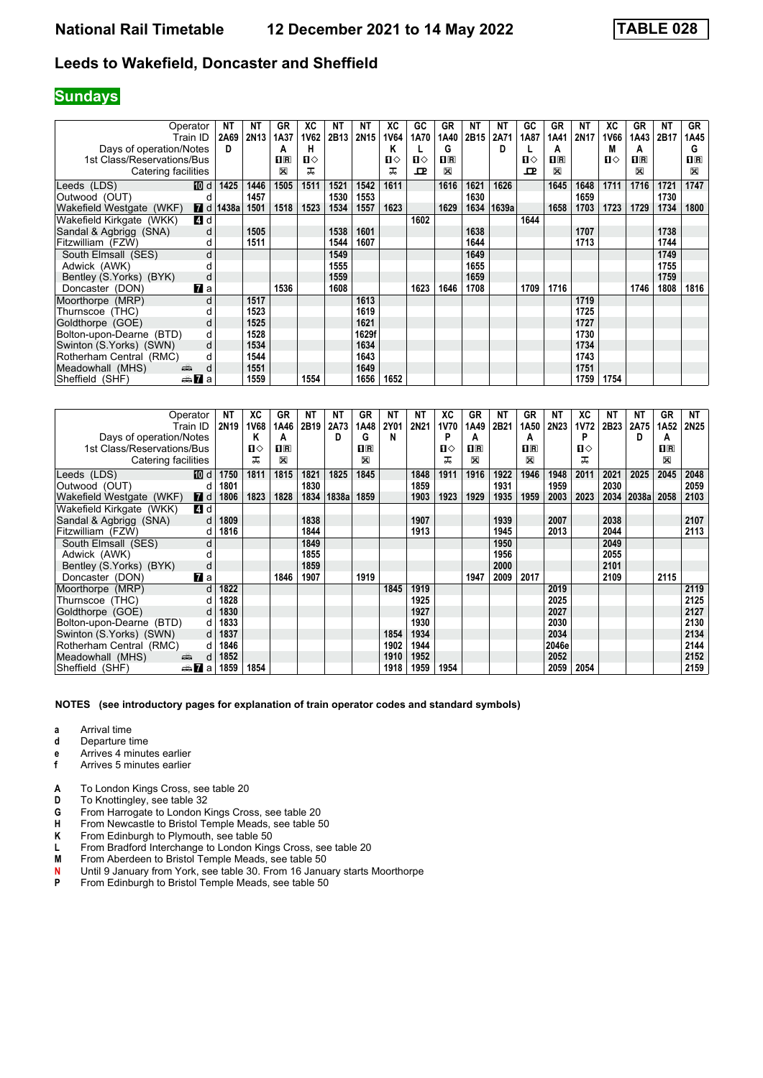### **Sundays**

|                            | Operator               | NΤ                     | NΤ          | GR                      | ХC           | NΤ   | NΤ    | ХC   | GC   | GR             | ΝT   | <b>NT</b> | GC   | GR             | NΤ               | ХC   | GR             | NΤ   | GR             |
|----------------------------|------------------------|------------------------|-------------|-------------------------|--------------|------|-------|------|------|----------------|------|-----------|------|----------------|------------------|------|----------------|------|----------------|
|                            | Train ID               | 2A69                   | <b>2N13</b> | 1A37                    | 1V62         | 2B13 | 2N15  | 1V64 | 1A70 | 1A40           | 2B15 | 2A71      | 1A87 | 1A41           | 2N <sub>17</sub> | 1V66 | 1A43           | 2B17 | 1A45           |
| Days of operation/Notes    |                        | D                      |             | А                       | н            |      |       | Κ    |      | G              |      | D         |      | A              |                  | М    | А              |      | G              |
| 1st Class/Reservations/Bus |                        |                        |             | $\overline{\mathbf{H}}$ | $\mathbf{u}$ |      |       | Ⅱ◇   | п⇔   | $\mathbf{I}$ R |      |           | п⇔   | $\mathbf{1}$ R |                  | п⇔   | $\mathbf{I}$ R |      | $\mathbf{H}$ R |
| Catering facilities        |                        |                        |             | ⊠                       | ᅚ            |      |       | ᠼ    | ᇁ    | X              |      |           | ᇁ    | X              |                  |      | X              |      | X              |
| Leeds (LDS)                | [10] d                 | 1425                   | 1446        | 1505                    | 1511         | 1521 | 1542  | 1611 |      | 1616           | 1621 | 1626      |      | 1645           | 1648             | 1711 | 1716           | 1721 | 1747           |
| Outwood (OUT)              | d                      |                        | 1457        |                         |              | 1530 | 1553  |      |      |                | 1630 |           |      |                | 1659             |      |                | 1730 |                |
| Wakefield Westgate (WKF)   |                        | $\blacksquare$ d 1438a | 1501        | 1518                    | 1523         | 1534 | 1557  | 1623 |      | 1629           | 1634 | 1639a     |      | 1658           | 1703             | 1723 | 1729           | 1734 | 1800           |
| Wakefield Kirkgate (WKK)   | 4 d                    |                        |             |                         |              |      |       |      | 1602 |                |      |           | 1644 |                |                  |      |                |      |                |
| Sandal & Agbrigg (SNA)     | d                      |                        | 1505        |                         |              | 1538 | 1601  |      |      |                | 1638 |           |      |                | 1707             |      |                | 1738 |                |
| Fitzwilliam (FZW)          | d                      |                        | 1511        |                         |              | 1544 | 1607  |      |      |                | 1644 |           |      |                | 1713             |      |                | 1744 |                |
| South Elmsall (SES)        | d                      |                        |             |                         |              | 1549 |       |      |      |                | 1649 |           |      |                |                  |      |                | 1749 |                |
| Adwick (AWK)               |                        |                        |             |                         |              | 1555 |       |      |      |                | 1655 |           |      |                |                  |      |                | 1755 |                |
| Bentley (S. Yorks) (BYK)   | d                      |                        |             |                         |              | 1559 |       |      |      |                | 1659 |           |      |                |                  |      |                | 1759 |                |
| Doncaster (DON)            | <b>7</b> a             |                        |             | 1536                    |              | 1608 |       |      | 1623 | 1646           | 1708 |           | 1709 | 1716           |                  |      | 1746           | 1808 | 1816           |
| Moorthorpe (MRP)           | d                      |                        | 1517        |                         |              |      | 1613  |      |      |                |      |           |      |                | 1719             |      |                |      |                |
| Thurnscoe (THC)            |                        |                        | 1523        |                         |              |      | 1619  |      |      |                |      |           |      |                | 1725             |      |                |      |                |
| Goldthorpe (GOE)           | d                      |                        | 1525        |                         |              |      | 1621  |      |      |                |      |           |      |                | 1727             |      |                |      |                |
| Bolton-upon-Dearne (BTD)   | d                      |                        | 1528        |                         |              |      | 1629f |      |      |                |      |           |      |                | 1730             |      |                |      |                |
| Swinton (S.Yorks) (SWN)    | d                      |                        | 1534        |                         |              |      | 1634  |      |      |                |      |           |      |                | 1734             |      |                |      |                |
| Rotherham Central (RMC)    | d                      |                        | 1544        |                         |              |      | 1643  |      |      |                |      |           |      |                | 1743             |      |                |      |                |
| Meadowhall (MHS)           | d<br>بيتيه             |                        | 1551        |                         |              |      | 1649  |      |      |                |      |           |      |                | 1751             |      |                |      |                |
| Sheffield (SHF)            | anna <mark>7</mark> ∎a |                        | 1559        |                         | 1554         |      | 1656  | 1652 |      |                |      |           |      |                | 1759             | 1754 |                |      |                |

|                            | Operator             | <b>NT</b>        | ХC          | GR                      | NΤ   | <b>NT</b> | <b>GR</b>          | NΤ          | ΝT   | ХC   | GR                      | NΤ   | GR             | NΤ    | ХC          | NΤ   | NT    | GR          | NT   |
|----------------------------|----------------------|------------------|-------------|-------------------------|------|-----------|--------------------|-------------|------|------|-------------------------|------|----------------|-------|-------------|------|-------|-------------|------|
|                            | Train ID             | 2N <sub>19</sub> | <b>1V68</b> | 1A46                    | 2B19 | 2A73      | 1A48               | <b>2Y01</b> | 2N21 | 1V70 | 1A49                    | 2B21 | 1A50           | 2N23  | <b>1V72</b> | 2B23 | 2A75  | 1A52        | 2N25 |
| Days of operation/Notes    |                      |                  | Κ           | A                       |      | D         | G                  | N           |      | P    | A                       |      | A              |       | P           |      | D     | A           |      |
| 1st Class/Reservations/Bus |                      |                  | п⇔          | $\overline{\mathbf{H}}$ |      |           | $\Pi$ <sub>R</sub> |             |      | ்ப   | $\overline{\mathbf{H}}$ |      | $\mathbf{H}$ R |       | ்ப          |      |       | $\Pi$ R     |      |
| Catering facilities        |                      |                  | ᠼ           | ⊠                       |      |           | $\boxtimes$        |             |      | ᅚ    | X                       |      | X              |       | ᅚ           |      |       | $\boxtimes$ |      |
| Leeds (LDS)                | [10] d               | 1750             | 1811        | 1815                    | 1821 | 1825      | 1845               |             | 1848 | 1911 | 1916                    | 1922 | 1946           | 1948  | 2011        | 2021 | 2025  | 2045        | 2048 |
| Outwood (OUT)              | d                    | 1801             |             |                         | 1830 |           |                    |             | 1859 |      |                         | 1931 |                | 1959  |             | 2030 |       |             | 2059 |
| Wakefield Westgate (WKF)   | <b>7</b> d           | 1806             | 1823        | 1828                    | 1834 | 1838a     | 1859               |             | 1903 | 1923 | 1929                    | 1935 | 1959           | 2003  | 2023        | 2034 | 2038a | 2058        | 2103 |
| Wakefield Kirkgate (WKK)   | 4 d                  |                  |             |                         |      |           |                    |             |      |      |                         |      |                |       |             |      |       |             |      |
| Sandal & Agbrigg (SNA)     | d                    | 1809             |             |                         | 1838 |           |                    |             | 1907 |      |                         | 1939 |                | 2007  |             | 2038 |       |             | 2107 |
| Fitzwilliam (FZW)          | d                    | 1816             |             |                         | 1844 |           |                    |             | 1913 |      |                         | 1945 |                | 2013  |             | 2044 |       |             | 2113 |
| South Elmsall (SES)        | d                    |                  |             |                         | 1849 |           |                    |             |      |      |                         | 1950 |                |       |             | 2049 |       |             |      |
| Adwick (AWK)               |                      |                  |             |                         | 1855 |           |                    |             |      |      |                         | 1956 |                |       |             | 2055 |       |             |      |
| Bentley (S.Yorks) (BYK)    | d                    |                  |             |                         | 1859 |           |                    |             |      |      |                         | 2000 |                |       |             | 2101 |       |             |      |
| Doncaster (DON)            | <b>7</b> a           |                  |             | 1846                    | 1907 |           | 1919               |             |      |      | 1947                    | 2009 | 2017           |       |             | 2109 |       | 2115        |      |
| Moorthorpe (MRP)           | d                    | 1822             |             |                         |      |           |                    | 1845        | 1919 |      |                         |      |                | 2019  |             |      |       |             | 2119 |
| Thurnscoe (THC)            | d                    | 1828             |             |                         |      |           |                    |             | 1925 |      |                         |      |                | 2025  |             |      |       |             | 2125 |
| Goldthorpe (GOE)           | d                    | 1830             |             |                         |      |           |                    |             | 1927 |      |                         |      |                | 2027  |             |      |       |             | 2127 |
| Bolton-upon-Dearne (BTD)   | d                    | 1833             |             |                         |      |           |                    |             | 1930 |      |                         |      |                | 2030  |             |      |       |             | 2130 |
| Swinton (S.Yorks) (SWN)    | d                    | 1837             |             |                         |      |           |                    | 1854        | 1934 |      |                         |      |                | 2034  |             |      |       |             | 2134 |
| Rotherham Central (RMC)    | d                    | 1846             |             |                         |      |           |                    | 1902        | 1944 |      |                         |      |                | 2046e |             |      |       |             | 2144 |
| Meadowhall (MHS)           | بیتیں<br>d           | 1852             |             |                         |      |           |                    | 1910        | 1952 |      |                         |      |                | 2052  |             |      |       |             | 2152 |
| Sheffield (SHF)            | dan <mark>7</mark> a | 1859             | 1854        |                         |      |           |                    | 1918        | 1959 | 1954 |                         |      |                | 2059  | 2054        |      |       |             | 2159 |

- **a** Arrival time<br>**d** Departure t
- **d** Departure time
- **e** Arrives 4 minutes earlier<br>**f** Arrives 5 minutes earlier
- **f** Arrives 5 minutes earlier
- A To London Kings Cross, see table 20
- **D** To Knottingley, see table 32<br>**G** From Harrogate to London K
- 
- **6** From Harrogate to London Kings Cross, see table 20<br>**\*\*\*** From Newcastle to Bristol Temple Meads, see table 5<br>**K** From Edinburgh to Plymouth, see table 50 **+** From Newcastle to Bristol Temple Meads see table 5
- **K** From Edinburgh to Plymouth, see table 50<br>**L** From Bradford Interchange to London King
- **L** From Bradford Interchange to London Kings Cross, see table 20<br>**M** From Aberdeen to Bristol Temple Meads, see table 50
- **0** From Aberdeen to Bristol Temple Meads, see table 50<br>**0** Until 9 January from York see table 30 From 16 Janua
- **N** Until 9 January from York, see table 30. From 16 January starts Moorthorpe<br>**P** From Edinburgh to Bristol Temple Meads, see table 50
- From Edinburgh to Bristol Temple Meads, see table 50